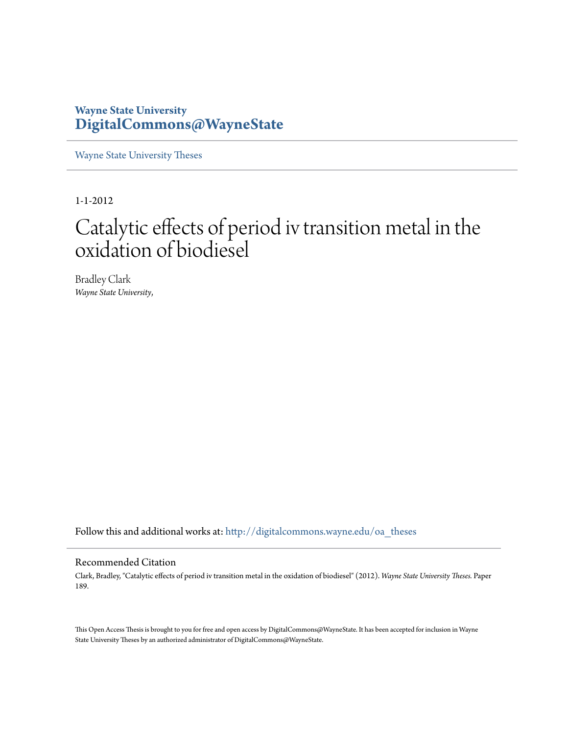# **Wayne State University [DigitalCommons@WayneState](http://digitalcommons.wayne.edu?utm_source=digitalcommons.wayne.edu%2Foa_theses%2F189&utm_medium=PDF&utm_campaign=PDFCoverPages)**

[Wayne State University Theses](http://digitalcommons.wayne.edu/oa_theses?utm_source=digitalcommons.wayne.edu%2Foa_theses%2F189&utm_medium=PDF&utm_campaign=PDFCoverPages)

1-1-2012

# Catalytic effects of period iv transition metal in the oxidation of biodiesel

Bradley Clark *Wayne State University*,

Follow this and additional works at: [http://digitalcommons.wayne.edu/oa\\_theses](http://digitalcommons.wayne.edu/oa_theses?utm_source=digitalcommons.wayne.edu%2Foa_theses%2F189&utm_medium=PDF&utm_campaign=PDFCoverPages)

#### Recommended Citation

Clark, Bradley, "Catalytic effects of period iv transition metal in the oxidation of biodiesel" (2012). *Wayne State University Theses.* Paper 189.

This Open Access Thesis is brought to you for free and open access by DigitalCommons@WayneState. It has been accepted for inclusion in Wayne State University Theses by an authorized administrator of DigitalCommons@WayneState.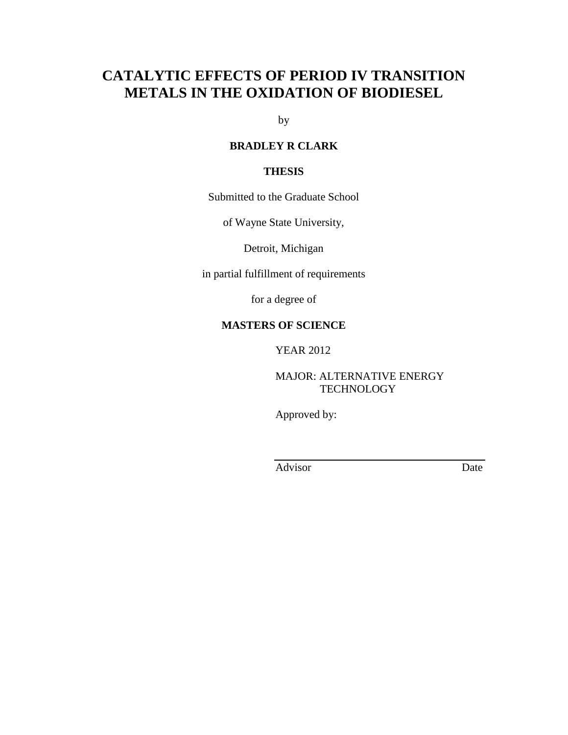# **CATALYTIC EFFECTS OF PERIOD IV TRANSITION METALS IN THE OXIDATION OF BIODIESEL**

by

#### **BRADLEY R CLARK**

#### **THESIS**

Submitted to the Graduate School

of Wayne State University,

Detroit, Michigan

in partial fulfillment of requirements

for a degree of

#### **MASTERS OF SCIENCE**

YEAR 2012

MAJOR: ALTERNATIVE ENERGY **TECHNOLOGY** 

Approved by:

Advisor Date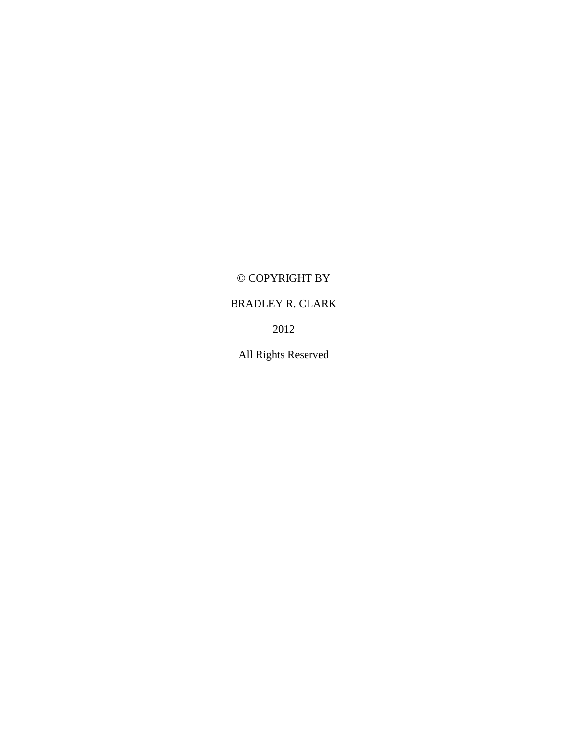# © COPYRIGHT BY

# BRADLEY R. CLARK

2012

All Rights Reserved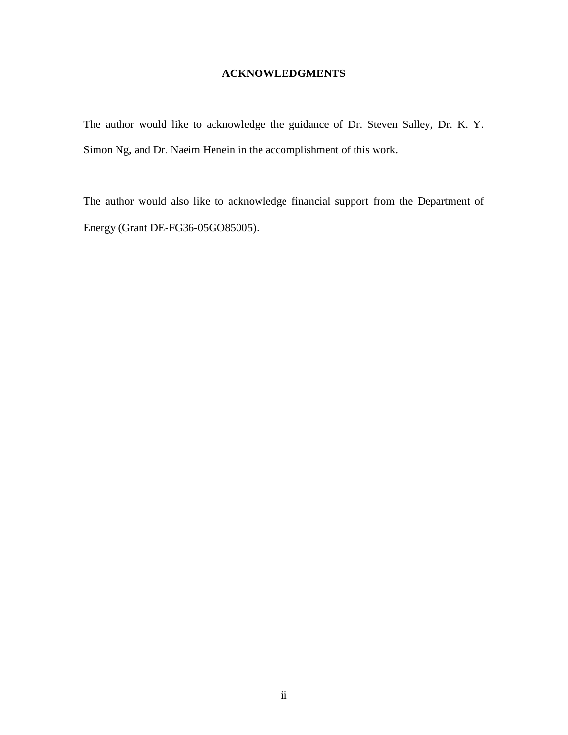### **ACKNOWLEDGMENTS**

The author would like to acknowledge the guidance of Dr. Steven Salley, Dr. K. Y. Simon Ng, and Dr. Naeim Henein in the accomplishment of this work.

The author would also like to acknowledge financial support from the Department of Energy (Grant DE-FG36-05GO85005).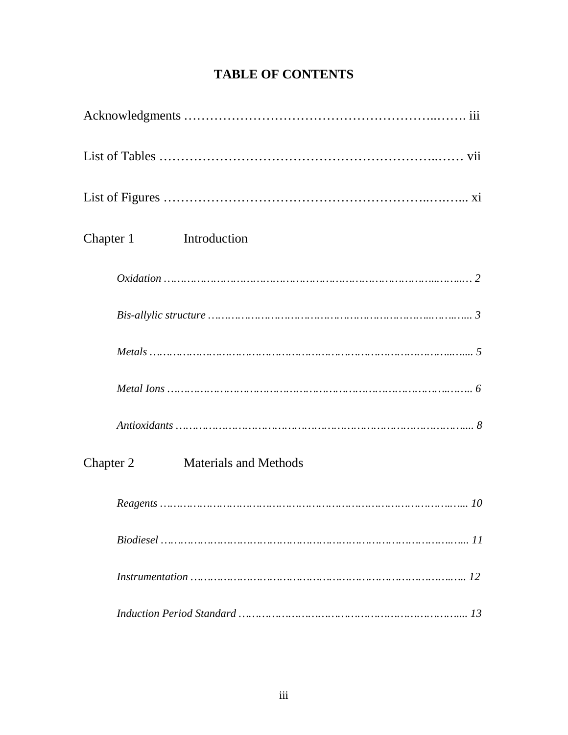# **TABLE OF CONTENTS**

| Chapter 1<br>Introduction                 |
|-------------------------------------------|
|                                           |
|                                           |
|                                           |
|                                           |
|                                           |
| <b>Materials and Methods</b><br>Chapter 2 |
|                                           |
|                                           |
|                                           |
|                                           |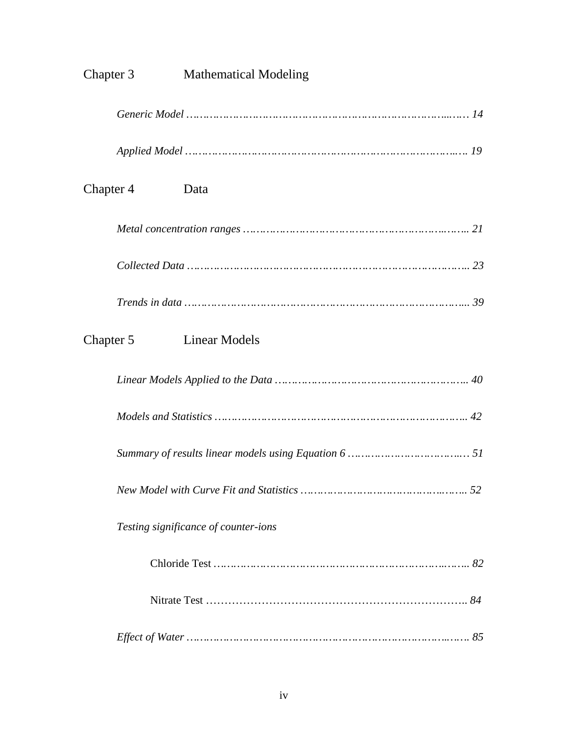| Chapter 3 | <b>Mathematical Modeling</b>         |
|-----------|--------------------------------------|
|           |                                      |
|           |                                      |
| Chapter 4 | Data                                 |
|           |                                      |
|           |                                      |
|           |                                      |
| Chapter 5 | Linear Models                        |
|           |                                      |
|           |                                      |
|           |                                      |
|           |                                      |
|           | Testing significance of counter-ions |
|           |                                      |
|           |                                      |
|           |                                      |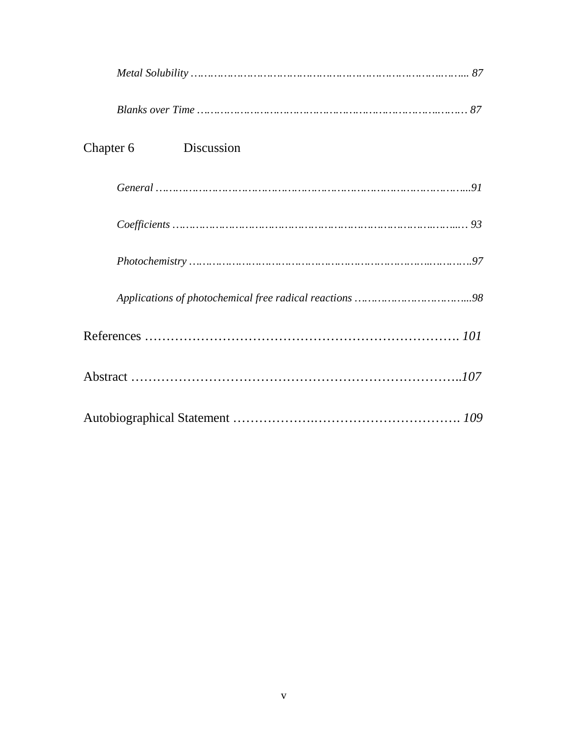| Discussion<br>Chapter 6 |
|-------------------------|
|                         |
|                         |
|                         |
|                         |
|                         |
|                         |
|                         |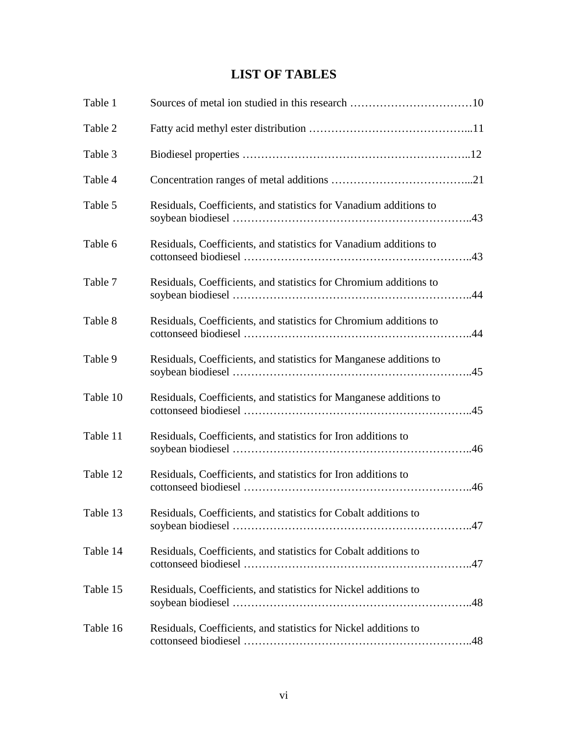# **LIST OF TABLES**

| Table 1  |                                                                    |
|----------|--------------------------------------------------------------------|
| Table 2  |                                                                    |
| Table 3  |                                                                    |
| Table 4  |                                                                    |
| Table 5  | Residuals, Coefficients, and statistics for Vanadium additions to  |
| Table 6  | Residuals, Coefficients, and statistics for Vanadium additions to  |
| Table 7  | Residuals, Coefficients, and statistics for Chromium additions to  |
| Table 8  | Residuals, Coefficients, and statistics for Chromium additions to  |
| Table 9  | Residuals, Coefficients, and statistics for Manganese additions to |
| Table 10 | Residuals, Coefficients, and statistics for Manganese additions to |
| Table 11 | Residuals, Coefficients, and statistics for Iron additions to      |
| Table 12 | Residuals, Coefficients, and statistics for Iron additions to      |
| Table 13 | Residuals, Coefficients, and statistics for Cobalt additions to    |
| Table 14 | Residuals, Coefficients, and statistics for Cobalt additions to    |
| Table 15 | Residuals, Coefficients, and statistics for Nickel additions to    |
| Table 16 | Residuals, Coefficients, and statistics for Nickel additions to    |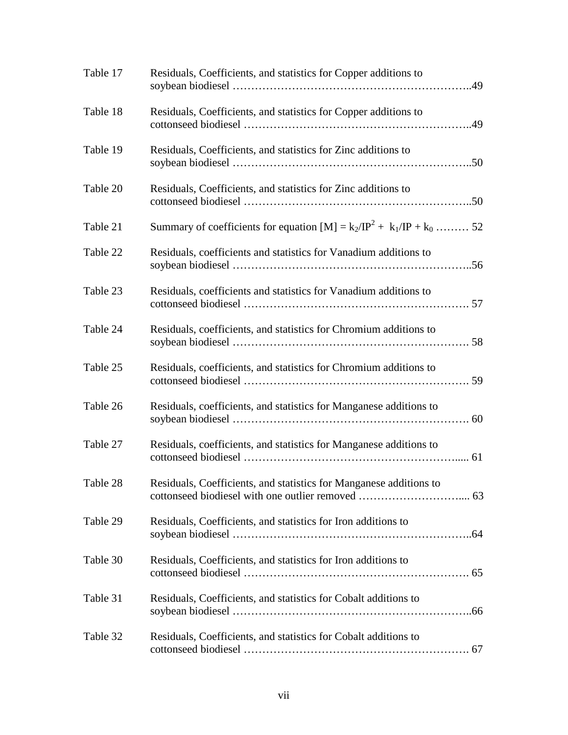| Table 17 | Residuals, Coefficients, and statistics for Copper additions to         |
|----------|-------------------------------------------------------------------------|
| Table 18 | Residuals, Coefficients, and statistics for Copper additions to         |
| Table 19 | Residuals, Coefficients, and statistics for Zinc additions to           |
| Table 20 | Residuals, Coefficients, and statistics for Zinc additions to           |
| Table 21 | Summary of coefficients for equation $[M] = k_2/IP^2 + k_1/IP + k_0$ 52 |
| Table 22 | Residuals, coefficients and statistics for Vanadium additions to        |
| Table 23 | Residuals, coefficients and statistics for Vanadium additions to        |
| Table 24 | Residuals, coefficients, and statistics for Chromium additions to       |
| Table 25 | Residuals, coefficients, and statistics for Chromium additions to       |
| Table 26 | Residuals, coefficients, and statistics for Manganese additions to      |
| Table 27 | Residuals, coefficients, and statistics for Manganese additions to      |
| Table 28 | Residuals, Coefficients, and statistics for Manganese additions to      |
| Table 29 | Residuals, Coefficients, and statistics for Iron additions to           |
| Table 30 | Residuals, Coefficients, and statistics for Iron additions to           |
| Table 31 | Residuals, Coefficients, and statistics for Cobalt additions to         |
| Table 32 | Residuals, Coefficients, and statistics for Cobalt additions to         |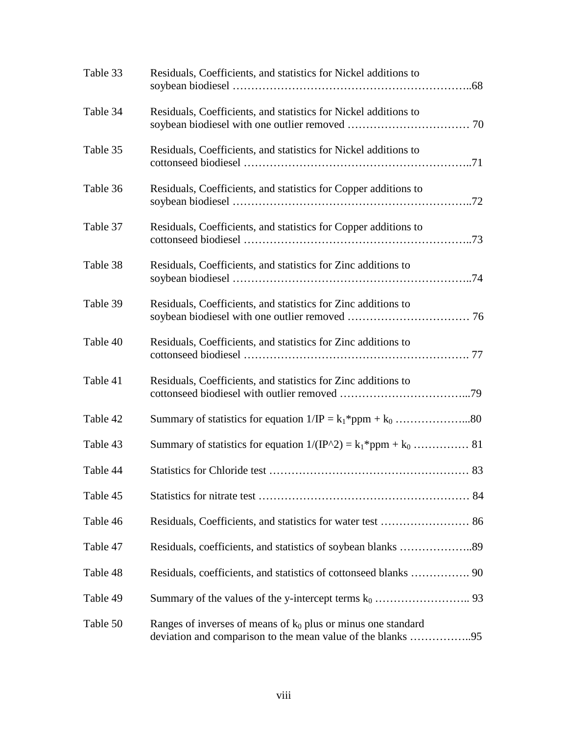| Table 33 | Residuals, Coefficients, and statistics for Nickel additions to                                                                |
|----------|--------------------------------------------------------------------------------------------------------------------------------|
| Table 34 | Residuals, Coefficients, and statistics for Nickel additions to                                                                |
| Table 35 | Residuals, Coefficients, and statistics for Nickel additions to                                                                |
| Table 36 | Residuals, Coefficients, and statistics for Copper additions to                                                                |
| Table 37 | Residuals, Coefficients, and statistics for Copper additions to                                                                |
| Table 38 | Residuals, Coefficients, and statistics for Zinc additions to                                                                  |
| Table 39 | Residuals, Coefficients, and statistics for Zinc additions to                                                                  |
| Table 40 | Residuals, Coefficients, and statistics for Zinc additions to                                                                  |
| Table 41 | Residuals, Coefficients, and statistics for Zinc additions to                                                                  |
| Table 42 |                                                                                                                                |
| Table 43 |                                                                                                                                |
| Table 44 |                                                                                                                                |
| Table 45 |                                                                                                                                |
| Table 46 |                                                                                                                                |
| Table 47 |                                                                                                                                |
| Table 48 |                                                                                                                                |
| Table 49 |                                                                                                                                |
| Table 50 | Ranges of inverses of means of $k_0$ plus or minus one standard<br>deviation and comparison to the mean value of the blanks 95 |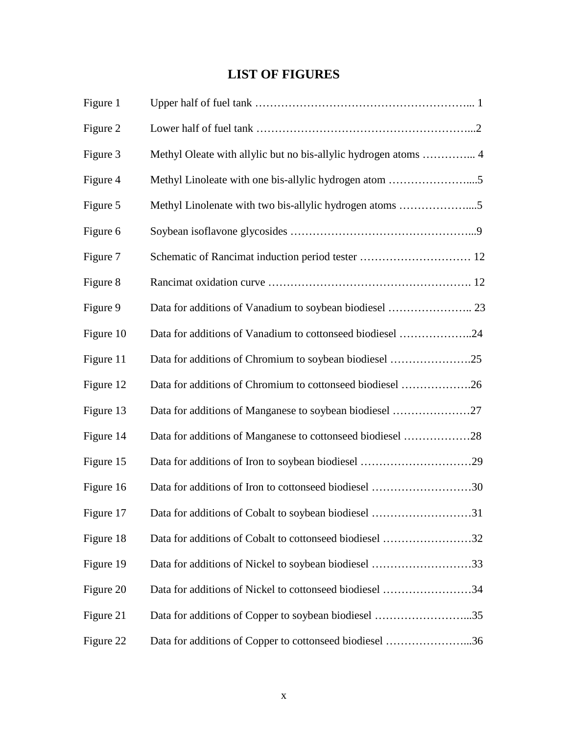# **LIST OF FIGURES**

| Figure 1  |                                                                 |
|-----------|-----------------------------------------------------------------|
| Figure 2  |                                                                 |
| Figure 3  | Methyl Oleate with allylic but no bis-allylic hydrogen atoms  4 |
| Figure 4  |                                                                 |
| Figure 5  | Methyl Linolenate with two bis-allylic hydrogen atoms 5         |
| Figure 6  |                                                                 |
| Figure 7  |                                                                 |
| Figure 8  |                                                                 |
| Figure 9  |                                                                 |
| Figure 10 | Data for additions of Vanadium to cottonseed biodiesel 24       |
| Figure 11 | Data for additions of Chromium to soybean biodiesel 25          |
| Figure 12 | Data for additions of Chromium to cottonseed biodiesel 26       |
| Figure 13 |                                                                 |
| Figure 14 | Data for additions of Manganese to cottonseed biodiesel 28      |
| Figure 15 |                                                                 |
| Figure 16 | Data for additions of Iron to cottonseed biodiesel 30           |
| Figure 17 | Data for additions of Cobalt to soybean biodiesel 31            |
| Figure 18 | Data for additions of Cobalt to cottonseed biodiesel 32         |
| Figure 19 | Data for additions of Nickel to soybean biodiesel 33            |
| Figure 20 | Data for additions of Nickel to cottonseed biodiesel 34         |
| Figure 21 | Data for additions of Copper to soybean biodiesel 35            |
| Figure 22 | Data for additions of Copper to cottonseed biodiesel 36         |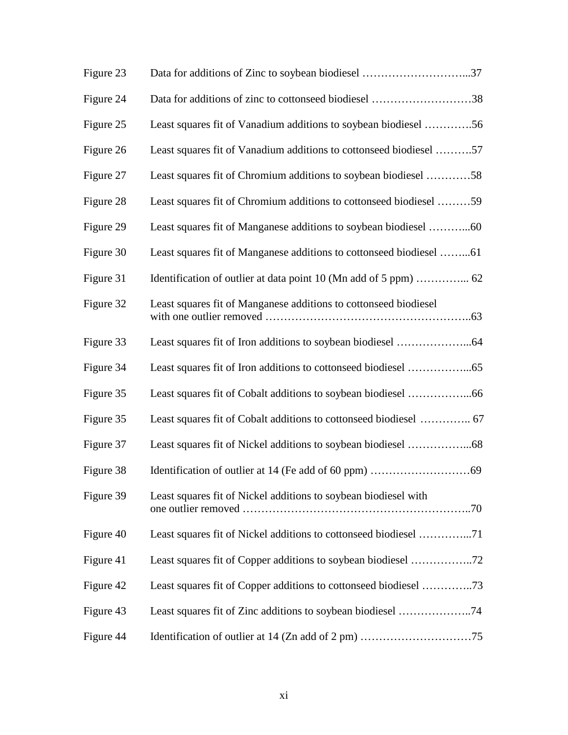| Figure 23 | Data for additions of Zinc to soybean biodiesel 37                 |
|-----------|--------------------------------------------------------------------|
| Figure 24 | Data for additions of zinc to cottonseed biodiesel 38              |
| Figure 25 | Least squares fit of Vanadium additions to soybean biodiesel 56    |
| Figure 26 | Least squares fit of Vanadium additions to cottonseed biodiesel 57 |
| Figure 27 | Least squares fit of Chromium additions to soybean biodiesel 58    |
| Figure 28 | Least squares fit of Chromium additions to cottonseed biodiesel 59 |
| Figure 29 |                                                                    |
| Figure 30 |                                                                    |
| Figure 31 |                                                                    |
| Figure 32 | Least squares fit of Manganese additions to cottonseed biodiesel   |
| Figure 33 |                                                                    |
| Figure 34 |                                                                    |
| Figure 35 |                                                                    |
| Figure 35 |                                                                    |
| Figure 37 |                                                                    |
| Figure 38 |                                                                    |
| Figure 39 | Least squares fit of Nickel additions to soybean biodiesel with    |
| Figure 40 | Least squares fit of Nickel additions to cottonseed biodiesel 71   |
| Figure 41 |                                                                    |
| Figure 42 | Least squares fit of Copper additions to cottonseed biodiesel 73   |
| Figure 43 |                                                                    |
| Figure 44 |                                                                    |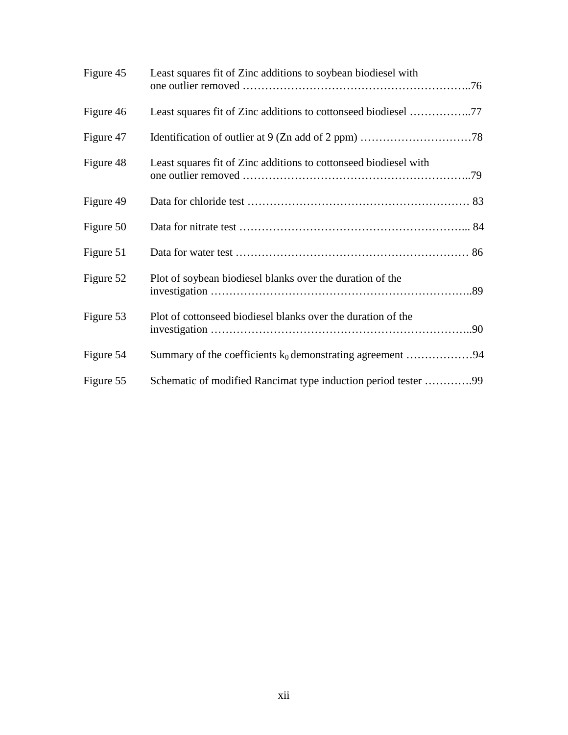| Figure 45 | Least squares fit of Zinc additions to soybean biodiesel with    |
|-----------|------------------------------------------------------------------|
| Figure 46 |                                                                  |
| Figure 47 |                                                                  |
| Figure 48 | Least squares fit of Zinc additions to cottonseed biodiesel with |
| Figure 49 |                                                                  |
| Figure 50 |                                                                  |
| Figure 51 |                                                                  |
| Figure 52 | Plot of soybean biodiesel blanks over the duration of the        |
| Figure 53 | Plot of cottonseed biodiesel blanks over the duration of the     |
| Figure 54 | Summary of the coefficients $k_0$ demonstrating agreement 94     |
| Figure 55 | Schematic of modified Rancimat type induction period tester 99   |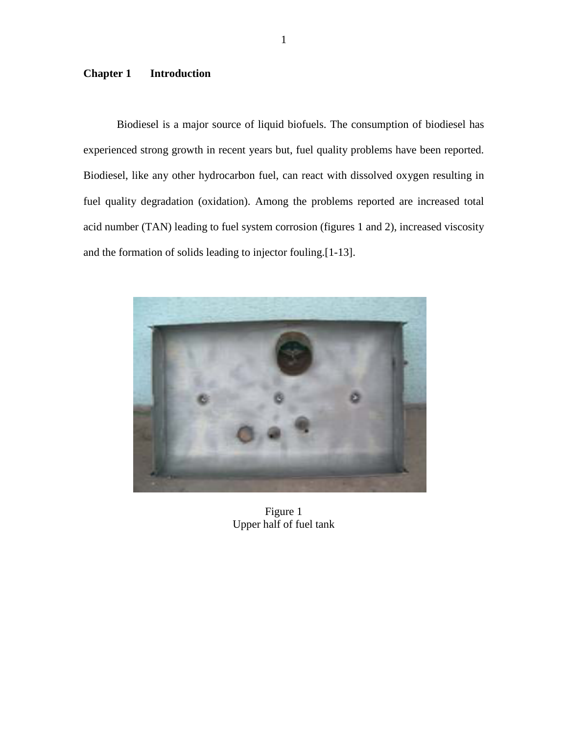### **Chapter 1 Introduction**

 Biodiesel is a major source of liquid biofuels. The consumption of biodiesel has experienced strong growth in recent years but, fuel quality problems have been reported. Biodiesel, like any other hydrocarbon fuel, can react with dissolved oxygen resulting in fuel quality degradation (oxidation). Among the problems reported are increased total acid number (TAN) leading to fuel system corrosion (figures 1 and 2), increased viscosity and the formation of solids leading to injector fouling.[1-13].



Figure 1 Upper half of fuel tank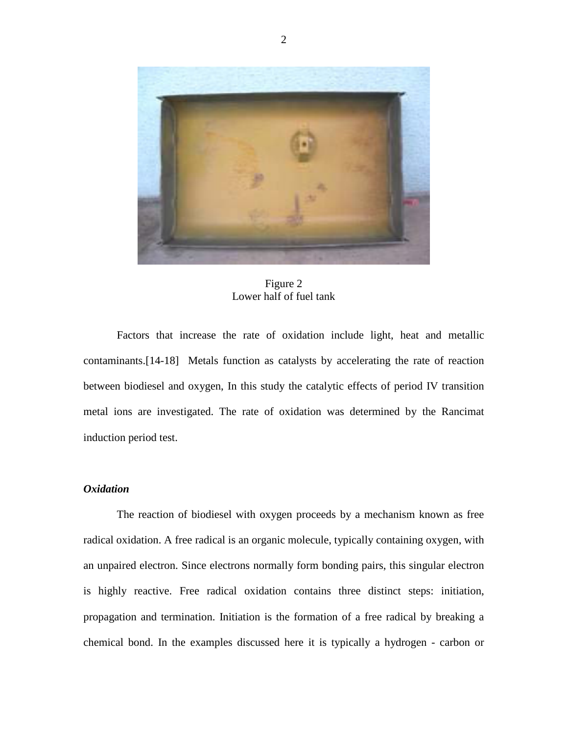

Figure 2 Lower half of fuel tank

 Factors that increase the rate of oxidation include light, heat and metallic contaminants.[14-18] Metals function as catalysts by accelerating the rate of reaction between biodiesel and oxygen, In this study the catalytic effects of period IV transition metal ions are investigated. The rate of oxidation was determined by the Rancimat induction period test.

#### *Oxidation*

 The reaction of biodiesel with oxygen proceeds by a mechanism known as free radical oxidation. A free radical is an organic molecule, typically containing oxygen, with an unpaired electron. Since electrons normally form bonding pairs, this singular electron is highly reactive. Free radical oxidation contains three distinct steps: initiation, propagation and termination. Initiation is the formation of a free radical by breaking a chemical bond. In the examples discussed here it is typically a hydrogen - carbon or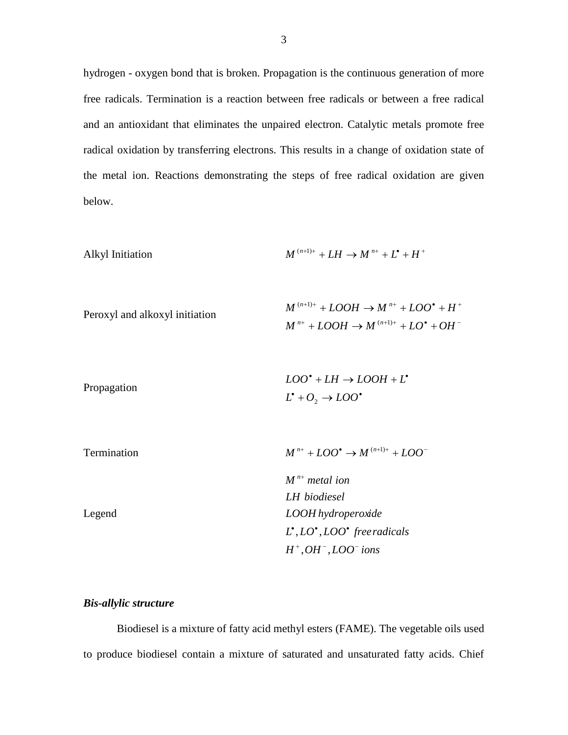hydrogen - oxygen bond that is broken. Propagation is the continuous generation of more free radicals. Termination is a reaction between free radicals or between a free radical and an antioxidant that eliminates the unpaired electron. Catalytic metals promote free radical oxidation by transferring electrons. This results in a change of oxidation state of the metal ion. Reactions demonstrating the steps of free radical oxidation are given below.

Ally1 Initiation

\n
$$
M^{(n+1)+} + LH \rightarrow M^{n+} + L^{\bullet} + H^+
$$

| Peroxyl and alkoxyl initiation | $M^{(n+1)+} + LOOH \rightarrow M^{n+} + LOO^{\bullet} + H^{+}$ |
|--------------------------------|----------------------------------------------------------------|
|                                | $M^{n+} + LOOH \rightarrow M^{(n+1)+} + LO^* + OH^-$           |

|             | $LOO^{\bullet} + LH \rightarrow LOOH + L^{\bullet}$ |
|-------------|-----------------------------------------------------|
| Propagation | $L^{\bullet} + O_2 \rightarrow LOO^{\bullet}$       |

| Termination | $M^{n+} + LOO^{\bullet} \rightarrow M^{(n+1)+} + LOO^{-}$          |
|-------------|--------------------------------------------------------------------|
|             | $M^{n+}$ metal ion                                                 |
|             | LH biodiesel                                                       |
| Legend      | LOOH hydroperoxide                                                 |
|             | $L^{\bullet}, LO^{\bullet}, LOO^{\bullet}$ free radicals           |
|             | $H^+$ , <i>OH</i> <sup><math>-</math></sup> , <i>LOO</i> $^-$ ions |

#### *Bis-allylic structure*

 Biodiesel is a mixture of fatty acid methyl esters (FAME). The vegetable oils used to produce biodiesel contain a mixture of saturated and unsaturated fatty acids. Chief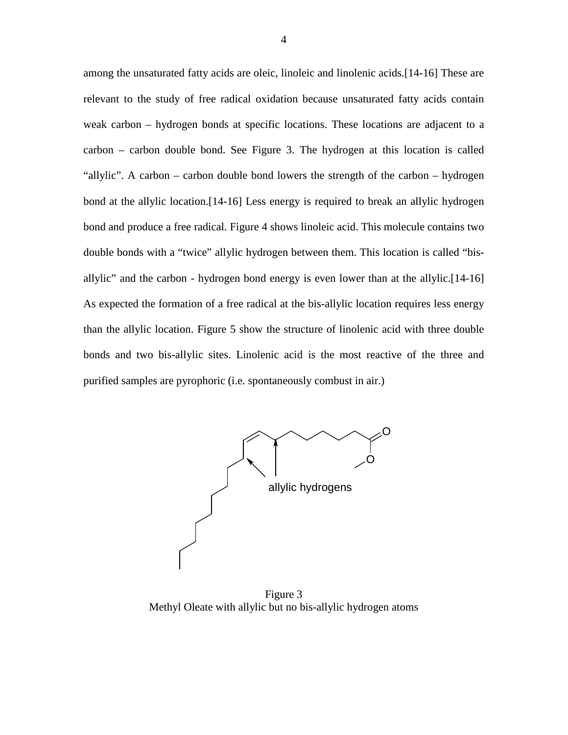among the unsaturated fatty acids are oleic, linoleic and linolenic acids.[14-16] These are relevant to the study of free radical oxidation because unsaturated fatty acids contain weak carbon – hydrogen bonds at specific locations. These locations are adjacent to a carbon – carbon double bond. See Figure 3. The hydrogen at this location is called "allylic". A carbon – carbon double bond lowers the strength of the carbon – hydrogen bond at the allylic location.[14-16] Less energy is required to break an allylic hydrogen bond and produce a free radical. Figure 4 shows linoleic acid. This molecule contains two double bonds with a "twice" allylic hydrogen between them. This location is called "bisallylic" and the carbon - hydrogen bond energy is even lower than at the allylic.[14-16] As expected the formation of a free radical at the bis-allylic location requires less energy than the allylic location. Figure 5 show the structure of linolenic acid with three double bonds and two bis-allylic sites. Linolenic acid is the most reactive of the three and purified samples are pyrophoric (i.e. spontaneously combust in air.)



Figure 3 Methyl Oleate with allylic but no bis-allylic hydrogen atoms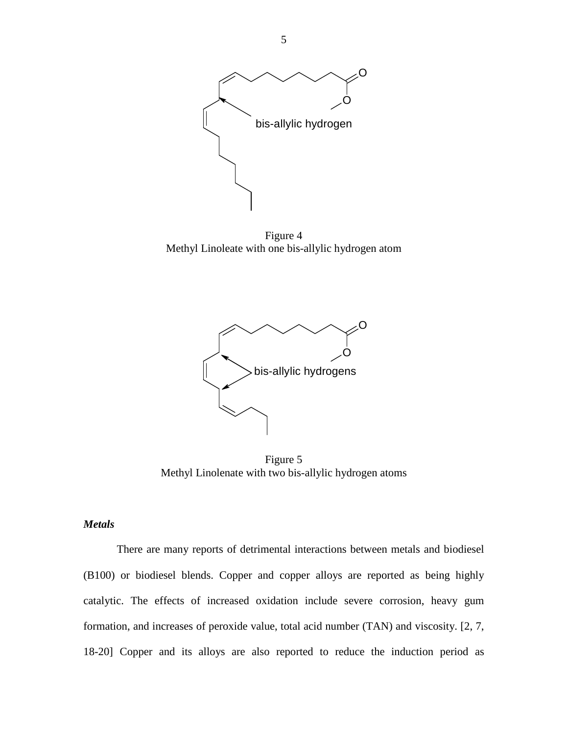

Figure 4 Methyl Linoleate with one bis-allylic hydrogen atom



Figure 5 Methyl Linolenate with two bis-allylic hydrogen atoms

#### *Metals*

 There are many reports of detrimental interactions between metals and biodiesel (B100) or biodiesel blends. Copper and copper alloys are reported as being highly catalytic. The effects of increased oxidation include severe corrosion, heavy gum formation, and increases of peroxide value, total acid number (TAN) and viscosity. [2, 7, 18-20] Copper and its alloys are also reported to reduce the induction period as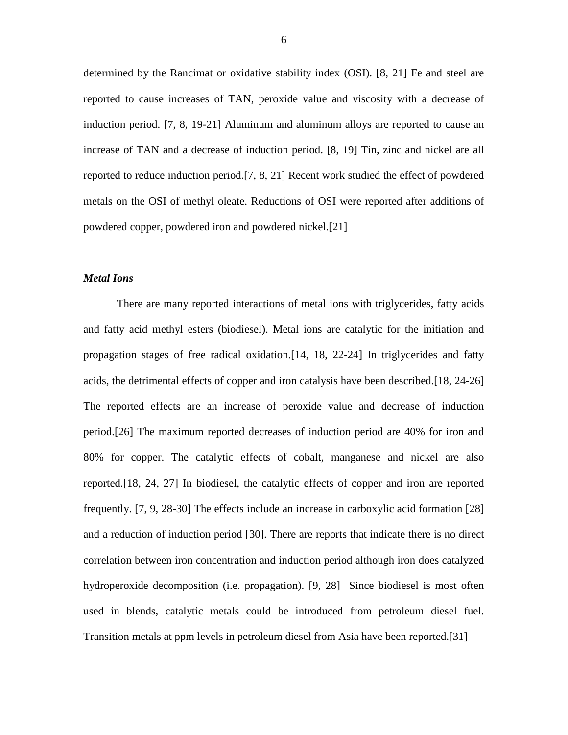determined by the Rancimat or oxidative stability index (OSI). [8, 21] Fe and steel are reported to cause increases of TAN, peroxide value and viscosity with a decrease of induction period. [7, 8, 19-21] Aluminum and aluminum alloys are reported to cause an increase of TAN and a decrease of induction period. [8, 19] Tin, zinc and nickel are all reported to reduce induction period.[7, 8, 21] Recent work studied the effect of powdered metals on the OSI of methyl oleate. Reductions of OSI were reported after additions of powdered copper, powdered iron and powdered nickel.[21]

#### *Metal Ions*

 There are many reported interactions of metal ions with triglycerides, fatty acids and fatty acid methyl esters (biodiesel). Metal ions are catalytic for the initiation and propagation stages of free radical oxidation.[14, 18, 22-24] In triglycerides and fatty acids, the detrimental effects of copper and iron catalysis have been described.[18, 24-26] The reported effects are an increase of peroxide value and decrease of induction period.[26] The maximum reported decreases of induction period are 40% for iron and 80% for copper. The catalytic effects of cobalt, manganese and nickel are also reported.[18, 24, 27] In biodiesel, the catalytic effects of copper and iron are reported frequently. [7, 9, 28-30] The effects include an increase in carboxylic acid formation [28] and a reduction of induction period [30]. There are reports that indicate there is no direct correlation between iron concentration and induction period although iron does catalyzed hydroperoxide decomposition (i.e. propagation). [9, 28] Since biodiesel is most often used in blends, catalytic metals could be introduced from petroleum diesel fuel. Transition metals at ppm levels in petroleum diesel from Asia have been reported.[31]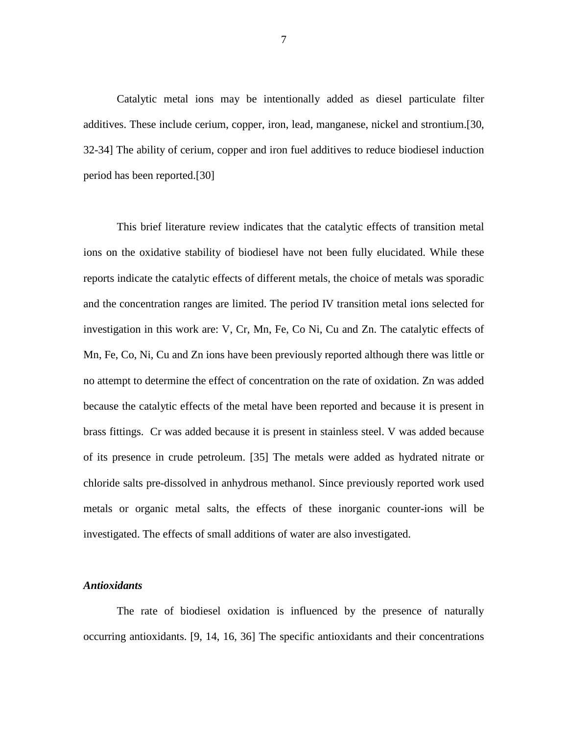Catalytic metal ions may be intentionally added as diesel particulate filter additives. These include cerium, copper, iron, lead, manganese, nickel and strontium.[30, 32-34] The ability of cerium, copper and iron fuel additives to reduce biodiesel induction period has been reported.[30]

 This brief literature review indicates that the catalytic effects of transition metal ions on the oxidative stability of biodiesel have not been fully elucidated. While these reports indicate the catalytic effects of different metals, the choice of metals was sporadic and the concentration ranges are limited. The period IV transition metal ions selected for investigation in this work are: V, Cr, Mn, Fe, Co Ni, Cu and Zn. The catalytic effects of Mn, Fe, Co, Ni, Cu and Zn ions have been previously reported although there was little or no attempt to determine the effect of concentration on the rate of oxidation. Zn was added because the catalytic effects of the metal have been reported and because it is present in brass fittings. Cr was added because it is present in stainless steel. V was added because of its presence in crude petroleum. [35] The metals were added as hydrated nitrate or chloride salts pre-dissolved in anhydrous methanol. Since previously reported work used metals or organic metal salts, the effects of these inorganic counter-ions will be investigated. The effects of small additions of water are also investigated.

#### *Antioxidants*

 The rate of biodiesel oxidation is influenced by the presence of naturally occurring antioxidants. [9, 14, 16, 36] The specific antioxidants and their concentrations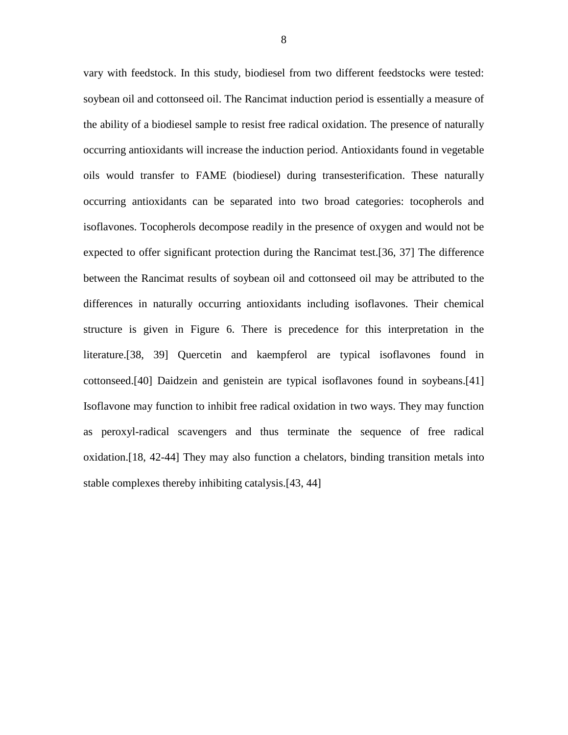vary with feedstock. In this study, biodiesel from two different feedstocks were tested: soybean oil and cottonseed oil. The Rancimat induction period is essentially a measure of the ability of a biodiesel sample to resist free radical oxidation. The presence of naturally occurring antioxidants will increase the induction period. Antioxidants found in vegetable oils would transfer to FAME (biodiesel) during transesterification. These naturally occurring antioxidants can be separated into two broad categories: tocopherols and isoflavones. Tocopherols decompose readily in the presence of oxygen and would not be expected to offer significant protection during the Rancimat test.[36, 37] The difference between the Rancimat results of soybean oil and cottonseed oil may be attributed to the differences in naturally occurring antioxidants including isoflavones. Their chemical structure is given in Figure 6. There is precedence for this interpretation in the literature.[38, 39] Quercetin and kaempferol are typical isoflavones found in cottonseed.[40] Daidzein and genistein are typical isoflavones found in soybeans.[41] Isoflavone may function to inhibit free radical oxidation in two ways. They may function as peroxyl-radical scavengers and thus terminate the sequence of free radical oxidation.[18, 42-44] They may also function a chelators, binding transition metals into stable complexes thereby inhibiting catalysis.[43, 44]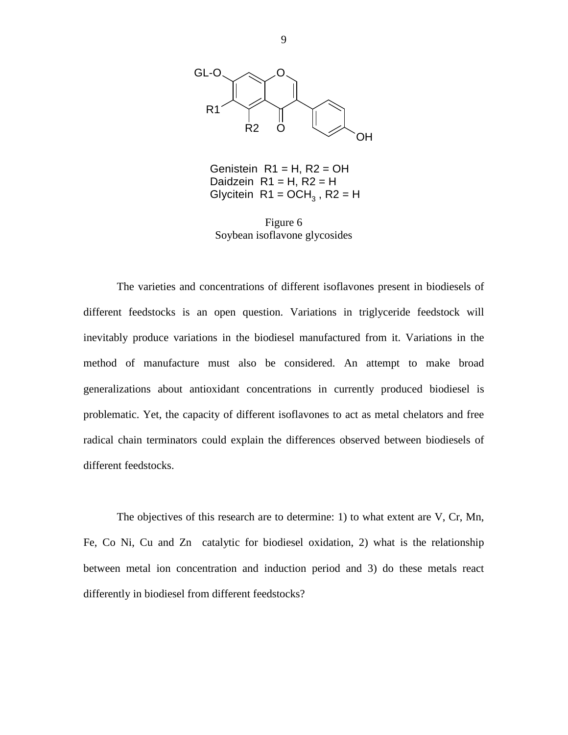

Genistein  $R1 = H$ ,  $R2 = OH$ Daidzein  $R1 = H$ ,  $R2 = H$ Glycitein  $R1 = OCH<sub>3</sub>$ ,  $R2 = H$ 

Figure 6 Soybean isoflavone glycosides

 The varieties and concentrations of different isoflavones present in biodiesels of different feedstocks is an open question. Variations in triglyceride feedstock will inevitably produce variations in the biodiesel manufactured from it. Variations in the method of manufacture must also be considered. An attempt to make broad generalizations about antioxidant concentrations in currently produced biodiesel is problematic. Yet, the capacity of different isoflavones to act as metal chelators and free radical chain terminators could explain the differences observed between biodiesels of different feedstocks.

 The objectives of this research are to determine: 1) to what extent are V, Cr, Mn, Fe, Co Ni, Cu and Zn catalytic for biodiesel oxidation, 2) what is the relationship between metal ion concentration and induction period and 3) do these metals react differently in biodiesel from different feedstocks?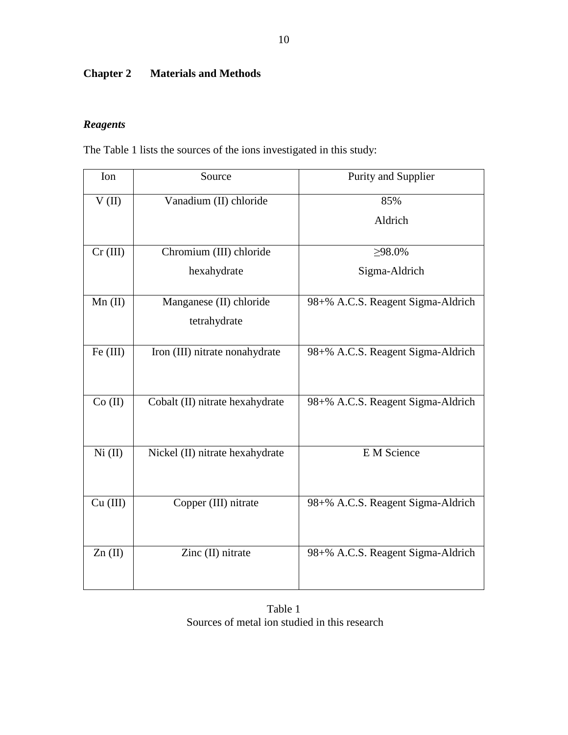# **Chapter 2 Materials and Methods**

## *Reagents*

The Table 1 lists the sources of the ions investigated in this study:

| Ion       | Source                          | Purity and Supplier               |
|-----------|---------------------------------|-----------------------------------|
| V(II)     | Vanadium (II) chloride          | 85%                               |
|           |                                 | Aldrich                           |
| Cr (III)  | Chromium (III) chloride         | $\geq 98.0\%$                     |
|           | hexahydrate                     | Sigma-Aldrich                     |
| $Mn$ (II) | Manganese (II) chloride         | 98+% A.C.S. Reagent Sigma-Aldrich |
|           | tetrahydrate                    |                                   |
| Fe (III)  | Iron (III) nitrate nonahydrate  | 98+% A.C.S. Reagent Sigma-Aldrich |
| Co (II)   | Cobalt (II) nitrate hexahydrate | 98+% A.C.S. Reagent Sigma-Aldrich |
| Ni (II)   | Nickel (II) nitrate hexahydrate | E M Science                       |
| Cu (III)  | Copper (III) nitrate            | 98+% A.C.S. Reagent Sigma-Aldrich |
| Zn(II)    | Zinc (II) nitrate               | 98+% A.C.S. Reagent Sigma-Aldrich |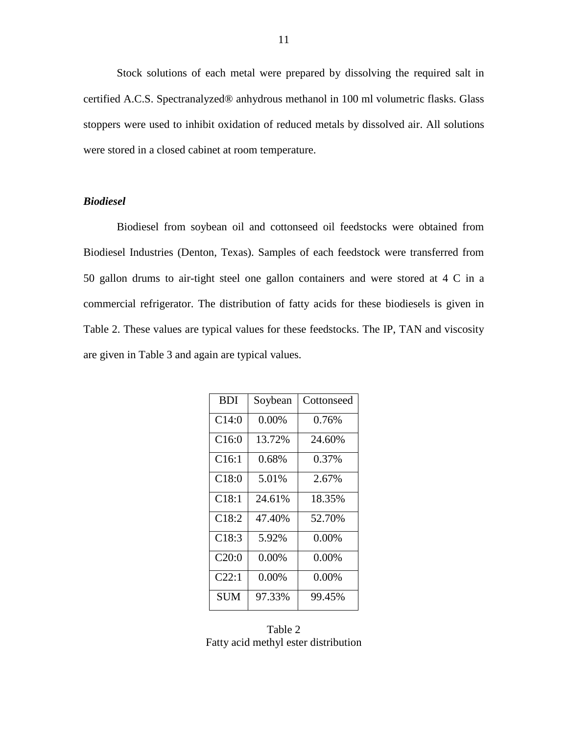Stock solutions of each metal were prepared by dissolving the required salt in certified A.C.S. Spectranalyzed® anhydrous methanol in 100 ml volumetric flasks. Glass stoppers were used to inhibit oxidation of reduced metals by dissolved air. All solutions were stored in a closed cabinet at room temperature.

#### *Biodiesel*

 Biodiesel from soybean oil and cottonseed oil feedstocks were obtained from Biodiesel Industries (Denton, Texas). Samples of each feedstock were transferred from 50 gallon drums to air-tight steel one gallon containers and were stored at 4 C in a commercial refrigerator. The distribution of fatty acids for these biodiesels is given in Table 2. These values are typical values for these feedstocks. The IP, TAN and viscosity are given in Table 3 and again are typical values.

| <b>BDI</b>        | Soybean  | Cottonseed |
|-------------------|----------|------------|
| C14:0             | 0.00%    | 0.76%      |
| C <sub>16:0</sub> | 13.72%   | 24.60%     |
| C16:1             | 0.68%    | 0.37%      |
| C18:0             | 5.01%    | 2.67%      |
| C18:1             | 24.61%   | 18.35%     |
| C18:2             | 47.40%   | 52.70%     |
| C18:3             | 5.92%    | $0.00\%$   |
| C20:0             | 0.00%    | $0.00\%$   |
| C22:1             | $0.00\%$ | $0.00\%$   |
| <b>SUM</b>        | 97.33%   | 99.45%     |

Table 2 Fatty acid methyl ester distribution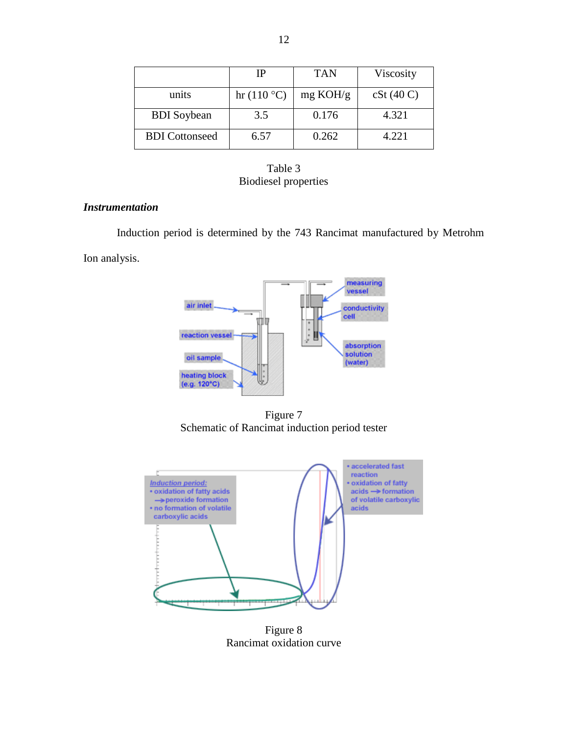|                       | IP         | <b>TAN</b>         | Viscosity |
|-----------------------|------------|--------------------|-----------|
| units                 | hr(110 °C) | $mg \text{ KOH/g}$ | cSt(40 C) |
| <b>BDI</b> Soybean    | 3.5        | 0.176              | 4.321     |
| <b>BDI</b> Cottonseed | 6.57       | 0.262              | 4.221     |



#### *Instrumentation*

Induction period is determined by the 743 Rancimat manufactured by Metrohm

Ion analysis.



Figure 7 Schematic of Rancimat induction period tester



Figure 8 Rancimat oxidation curve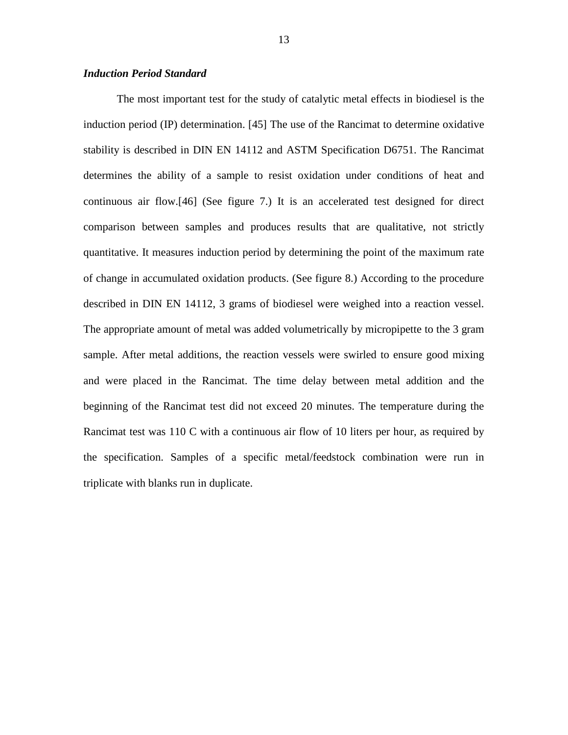#### *Induction Period Standard*

 The most important test for the study of catalytic metal effects in biodiesel is the induction period (IP) determination. [45] The use of the Rancimat to determine oxidative stability is described in DIN EN 14112 and ASTM Specification D6751. The Rancimat determines the ability of a sample to resist oxidation under conditions of heat and continuous air flow.[46] (See figure 7.) It is an accelerated test designed for direct comparison between samples and produces results that are qualitative, not strictly quantitative. It measures induction period by determining the point of the maximum rate of change in accumulated oxidation products. (See figure 8.) According to the procedure described in DIN EN 14112, 3 grams of biodiesel were weighed into a reaction vessel. The appropriate amount of metal was added volumetrically by micropipette to the 3 gram sample. After metal additions, the reaction vessels were swirled to ensure good mixing and were placed in the Rancimat. The time delay between metal addition and the beginning of the Rancimat test did not exceed 20 minutes. The temperature during the Rancimat test was 110 C with a continuous air flow of 10 liters per hour, as required by the specification. Samples of a specific metal/feedstock combination were run in triplicate with blanks run in duplicate.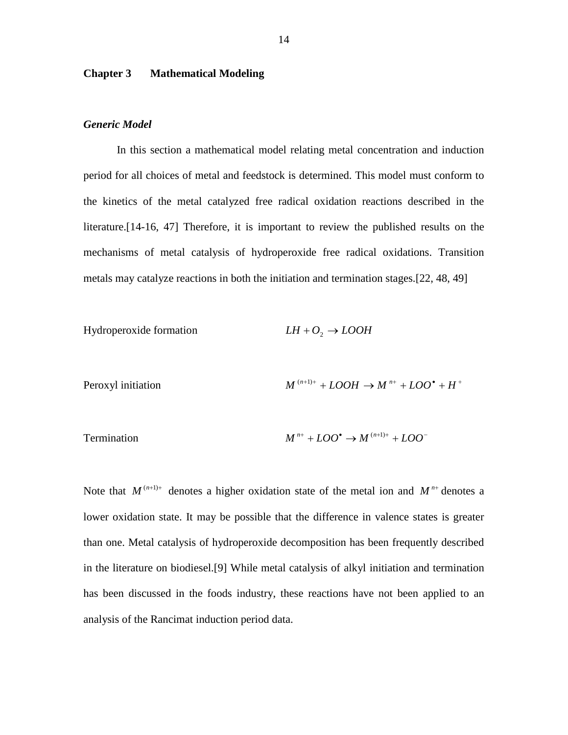#### **Chapter 3 Mathematical Modeling**

#### *Generic Model*

 In this section a mathematical model relating metal concentration and induction period for all choices of metal and feedstock is determined. This model must conform to the kinetics of the metal catalyzed free radical oxidation reactions described in the literature.[14-16, 47] Therefore, it is important to review the published results on the mechanisms of metal catalysis of hydroperoxide free radical oxidations. Transition metals may catalyze reactions in both the initiation and termination stages.[22, 48, 49]

Hydroperoxide formation *LH* + *O*<sup>2</sup> → *LOOH*

$$
M^{(n+1)+} + LOOH \rightarrow M^{n+} + LOO^{\bullet} + H^{+}
$$

Termination 
$$
M^{n+} + LOO^{\bullet} \rightarrow M^{(n+1)+} + LOO^{-}
$$

Note that  $M^{(n+1)+}$  denotes a higher oxidation state of the metal ion and  $M^{n+}$  denotes a lower oxidation state. It may be possible that the difference in valence states is greater than one. Metal catalysis of hydroperoxide decomposition has been frequently described in the literature on biodiesel.[9] While metal catalysis of alkyl initiation and termination has been discussed in the foods industry, these reactions have not been applied to an analysis of the Rancimat induction period data.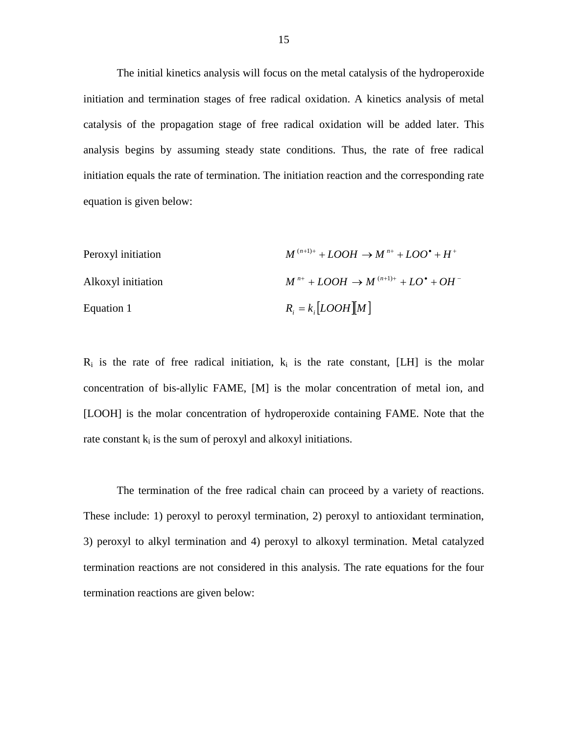The initial kinetics analysis will focus on the metal catalysis of the hydroperoxide initiation and termination stages of free radical oxidation. A kinetics analysis of metal catalysis of the propagation stage of free radical oxidation will be added later. This analysis begins by assuming steady state conditions. Thus, the rate of free radical initiation equals the rate of termination. The initiation reaction and the corresponding rate equation is given below:

Peroxyl initiation

\n
$$
M^{(n+1)+} + LOOH \rightarrow M^{n+} + LOO^{\bullet} + H^{+}
$$
\nAlkoxyl initiation

\n
$$
M^{n+} + LOOH \rightarrow M^{(n+1)+} + LO^{\bullet} + OH^{-}
$$
\nEquation 1

\n
$$
R_{i} = k_{i} [LOOH][M]
$$

 $R_i$  is the rate of free radical initiation,  $k_i$  is the rate constant, [LH] is the molar concentration of bis-allylic FAME, [M] is the molar concentration of metal ion, and [LOOH] is the molar concentration of hydroperoxide containing FAME. Note that the rate constant  $k_i$  is the sum of peroxyl and alkoxyl initiations.

 The termination of the free radical chain can proceed by a variety of reactions. These include: 1) peroxyl to peroxyl termination, 2) peroxyl to antioxidant termination, 3) peroxyl to alkyl termination and 4) peroxyl to alkoxyl termination. Metal catalyzed termination reactions are not considered in this analysis. The rate equations for the four termination reactions are given below: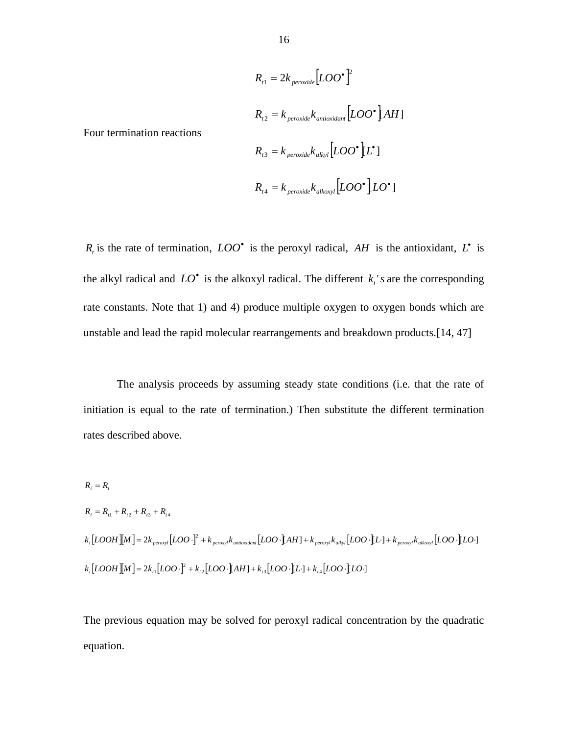$$
R_{t1} = 2k_{\text{peroxide}} [LOO^{\bullet}]^2
$$
  
\n
$$
R_{t2} = k_{\text{peroxide}} k_{\text{antisoidal}} [LOO^{\bullet}] AH]
$$
  
\n
$$
R_{t3} = k_{\text{peroxide}} k_{\text{alkyl}} [LOO^{\bullet}] L^{\bullet}]
$$
  
\n
$$
R_{t4} = k_{\text{peroxide}} k_{\text{alkoxyI}} [LOO^{\bullet}] LO^{\bullet}]
$$

 $R_t$  is the rate of termination,  $LOO^{\bullet}$  is the peroxyl radical, *AH* is the antioxidant,  $L^{\bullet}$  is the alkyl radical and  $LO^*$  is the alkoxyl radical. The different  $k_i$ 's are the corresponding rate constants. Note that 1) and 4) produce multiple oxygen to oxygen bonds which are unstable and lead the rapid molecular rearrangements and breakdown products.[14, 47]

 The analysis proceeds by assuming steady state conditions (i.e. that the rate of initiation is equal to the rate of termination.) Then substitute the different termination rates described above.

$$
R_{i} = R_{i}
$$
  
\n
$$
R_{i} = R_{i1} + R_{i2} + R_{i3} + R_{i4}
$$
  
\n
$$
k_{i}[LOOH][M] = 2k_{\text{peroxyl}}[LOO \cdot ]^{2} + k_{\text{peroxyl}}k_{\text{antioxidam}}[LOO \cdot ]AH] + k_{\text{peroxyl}}k_{\text{alkyl}}[LOO \cdot ]L] + k_{\text{peroxyl}}k_{\text{alkoxyl}}[LOO \cdot ]LO \cdot ]
$$
  
\n
$$
k_{i}[LOOH][M] = 2k_{i1}[LOO \cdot ]^{2} + k_{i2}[LOO \cdot ]AH] + k_{i3}[LOO \cdot ]L] + k_{i4}[LOO \cdot ]LO \cdot ]
$$

The previous equation may be solved for peroxyl radical concentration by the quadratic equation.

Four termination reactions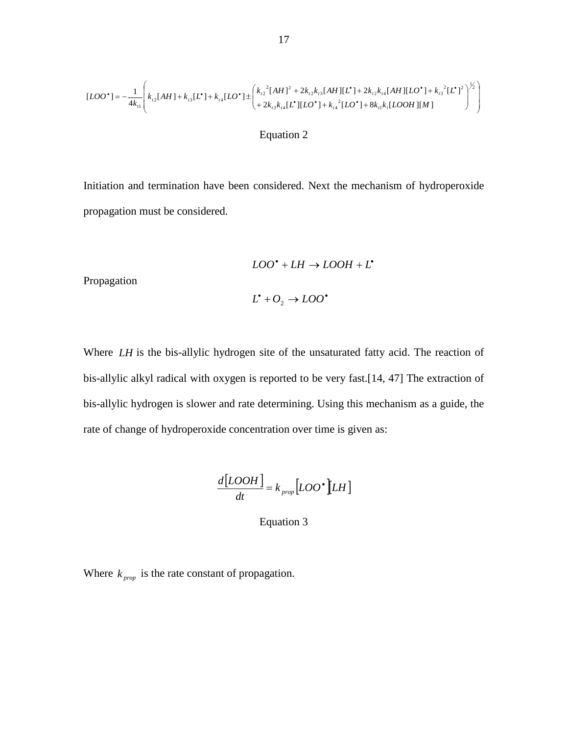$$
[LOO^{\bullet}] = -\frac{1}{4k_{t1}} \left( k_{t2} [AH] + k_{t3} [L^{\bullet}] + k_{t4} [LO^{\bullet}] \pm \left( k_{t2}^2 [AH]^2 + 2k_{t2} k_{t3} [AH] [L^{\bullet}] + 2k_{t2} k_{t4} [AH] [LO^{\bullet}] + k_{t3}^2 [L^{\bullet}]^2 \right)^{1/2} \right)
$$

#### Equation 2

Initiation and termination have been considered. Next the mechanism of hydroperoxide propagation must be considered.

$$
LOO^* + LH \rightarrow LOOH + L^*
$$

Propagation

$$
L^{\scriptscriptstyle\bullet}+O_2\to LOO^{\scriptscriptstyle\bullet}
$$

Where *LH* is the bis-allylic hydrogen site of the unsaturated fatty acid. The reaction of bis-allylic alkyl radical with oxygen is reported to be very fast.[14, 47] The extraction of bis-allylic hydrogen is slower and rate determining. Using this mechanism as a guide, the rate of change of hydroperoxide concentration over time is given as:

$$
\frac{d[LOOH]}{dt} = k_{prop}[LOO^{\bullet}][LH]
$$

Equation 3

Where  $k_{\text{prop}}$  is the rate constant of propagation.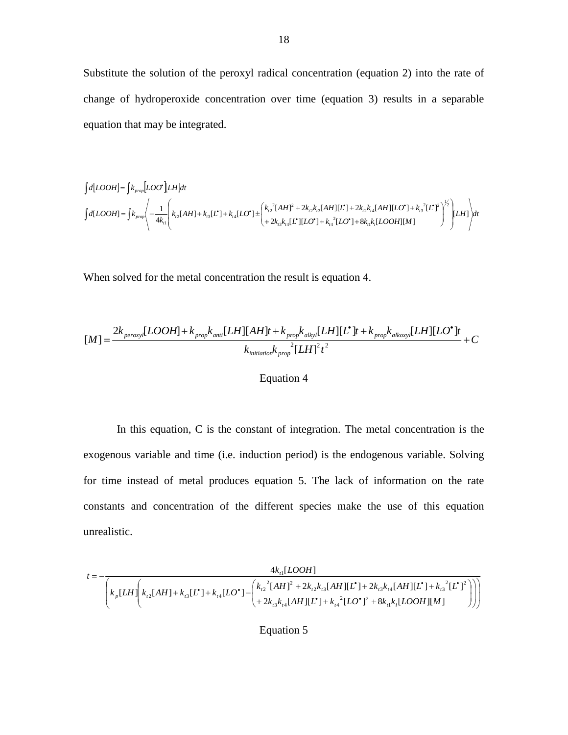Substitute the solution of the peroxyl radical concentration (equation 2) into the rate of change of hydroperoxide concentration over time (equation 3) results in a separable equation that may be integrated.

$$
\begin{array}{l} \displaystyle \int d[LOOH]=\int k_{prop}\Bigl[LOO^\bullet\Bigr[ LH]dt \\ \displaystyle \int d[LOOH]=\int k_{prop}\Biggl\langle -\frac{1}{4k_n}\Biggl(k_{r2}[AH]+k_{r3}[L^\bullet]+k_{r4}[LO^\bullet] \pm\Biggl(k_{r2}^2[AH]^2+2k_{r2}k_{r3}[AH][L^\bullet]+2k_{r2}k_{r4}[AH][LO^\bullet]+k_{r3}^2[L^\bullet]^2\Biggr)^{1/2}\Biggl|LH]\Biggr\rangle dt \\ \displaystyle +2k_{r3}k_{r4}[L^\bullet][LO^\bullet]+k_{r4}^2[LO^\bullet]+8k_{r1}k_{r}[LOOH][M] \end{array}
$$

When solved for the metal concentration the result is equation 4.

$$
[M] = \frac{2k_{\text{peroxy}}[LOOH] + k_{\text{prop}}k_{\text{anti}}[LH][AH]t + k_{\text{prop}}k_{\text{alky}}[LH][L^{\bullet}]t + k_{\text{prop}}k_{\text{alkoxy}}[LH][LO^{\bullet}]t}{k_{\text{initial}}k_{\text{prop}}^{2}[LH]^{2}t^{2}} + C
$$

#### Equation 4

 In this equation, C is the constant of integration. The metal concentration is the exogenous variable and time (i.e. induction period) is the endogenous variable. Solving for time instead of metal produces equation 5. The lack of information on the rate constants and concentration of the different species make the use of this equation unrealistic.

$$
t = -\frac{4k_{n}[LOOH]}{\left(k_{p}[LH] \left(k_{n2}[AH] + k_{n3}[L^{*}] + k_{n4}[LO^{*}] - \left(\frac{k_{n2}^{2}[AH]^{2} + 2k_{n2}k_{n3}[AH][L^{*}] + 2k_{n3}k_{n4}[AH][L^{*}] + k_{n3}^{2}[L^{*}]^{2}}{+2k_{n3}k_{n4}[AH][L^{*}] + k_{n4}^{2}[LO^{*}]^{2} + 8k_{n1}k_{n}[LOOH][M]}\right)\right)\right)}
$$

Equation 5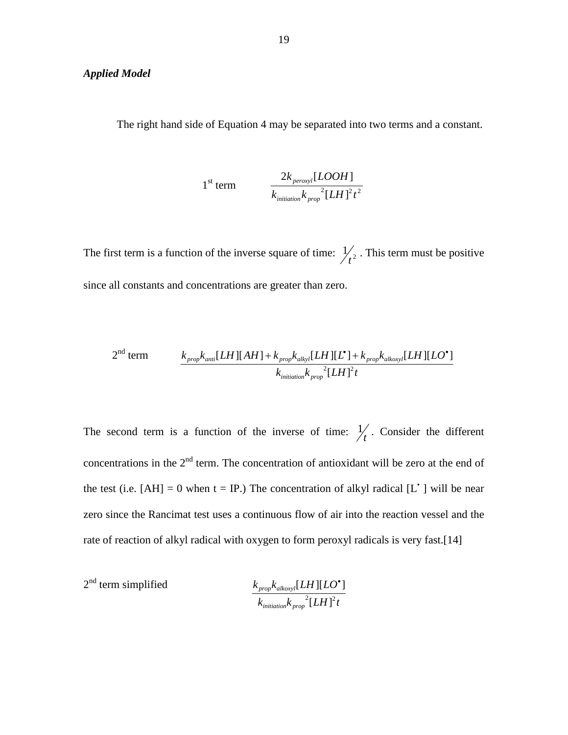#### *Applied Model*

The right hand side of Equation 4 may be separated into two terms and a constant.

1<sup>st</sup> term 
$$
\frac{2k_{\text{peroxyl}}[LOOH]}{k_{\text{initialion}}k_{\text{prop}}^2[LH]^2t^2}
$$

The first term is a function of the inverse square of time:  $\frac{1}{2}$  $t<sub>t</sub><sup>2</sup>$ . This term must be positive since all constants and concentrations are greater than zero.

$$
2nd term
$$

$$
\frac{k_{prop}k_{anti}[LH][AH] + k_{prop}k_{alkyl}[LH][L^{\bullet}] + k_{prop}k_{alkoxy}[LH][LO^{\bullet}]}{k_{initialion}k_{prop}^{2}[LH]^{2}t}
$$

The second term is a function of the inverse of time:  $\frac{1}{t}$ . Consider the different concentrations in the  $2<sup>nd</sup>$  term. The concentration of antioxidant will be zero at the end of the test (i.e.  $[AH] = 0$  when  $t = IP$ .) The concentration of alkyl radical  $[L^{\dagger}]$  will be near zero since the Rancimat test uses a continuous flow of air into the reaction vessel and the rate of reaction of alkyl radical with oxygen to form peroxyl radicals is very fast.[14]

$$
2nd term simplified
$$

$$
\frac{k_{prop}k_{alkoxyl}[LH][LO^{\bullet}]}{k_{initialion}k_{prop}^{2}[LH]^{2}t}
$$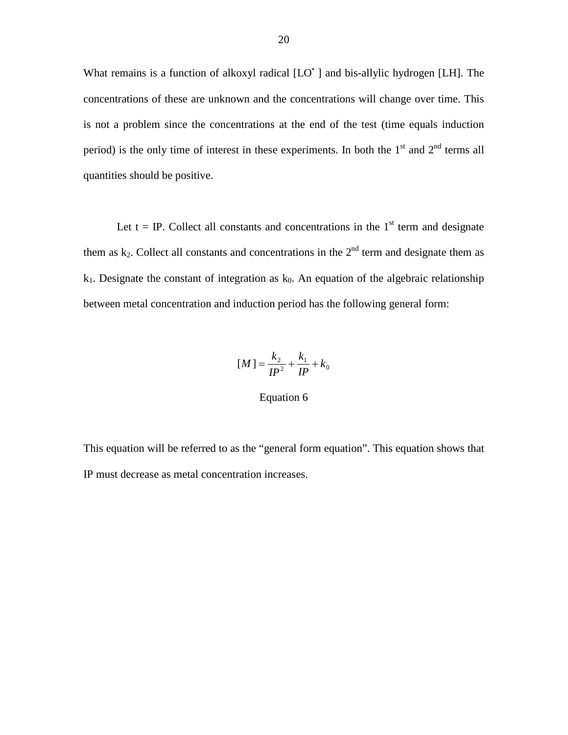What remains is a function of alkoxyl radical [LO<sup>\*</sup>] and bis-allylic hydrogen [LH]. The concentrations of these are unknown and the concentrations will change over time. This is not a problem since the concentrations at the end of the test (time equals induction period) is the only time of interest in these experiments. In both the  $1<sup>st</sup>$  and  $2<sup>nd</sup>$  terms all quantities should be positive.

Let  $t = IP$ . Collect all constants and concentrations in the 1<sup>st</sup> term and designate them as  $k_2$ . Collect all constants and concentrations in the  $2<sup>nd</sup>$  term and designate them as  $k_1$ . Designate the constant of integration as  $k_0$ . An equation of the algebraic relationship between metal concentration and induction period has the following general form:

$$
[M] = \frac{k_2}{IP^2} + \frac{k_1}{IP} + k_0
$$

Equation 6

This equation will be referred to as the "general form equation". This equation shows that IP must decrease as metal concentration increases.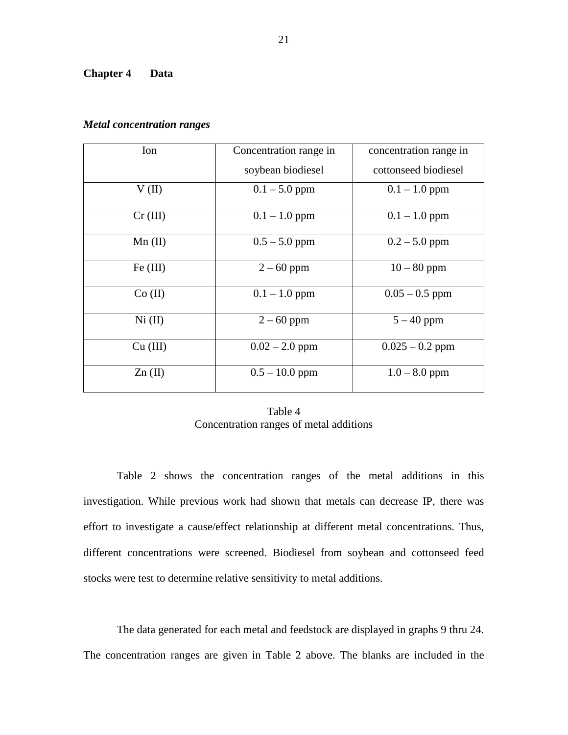#### **Chapter 4 Data**

| Ion       | Concentration range in | concentration range in |
|-----------|------------------------|------------------------|
|           | soybean biodiesel      | cottonseed biodiesel   |
| V(II)     | $0.1 - 5.0$ ppm        | $0.1 - 1.0$ ppm        |
| Cr (III)  | $0.1 - 1.0$ ppm        | $0.1 - 1.0$ ppm        |
| $Mn$ (II) | $0.5 - 5.0$ ppm        | $0.2 - 5.0$ ppm        |
| Fe (III)  | $2 - 60$ ppm           | $10 - 80$ ppm          |
| Co (II)   | $0.1 - 1.0$ ppm        | $0.05 - 0.5$ ppm       |
| Ni (II)   | $2 - 60$ ppm           | $5 - 40$ ppm           |
| Cu (III)  | $0.02 - 2.0$ ppm       | $0.025 - 0.2$ ppm      |
| $Zn$ (II) | $0.5 - 10.0$ ppm       | $1.0 - 8.0$ ppm        |

#### *Metal concentration ranges*

| Table 4                                 |
|-----------------------------------------|
| Concentration ranges of metal additions |

 Table 2 shows the concentration ranges of the metal additions in this investigation. While previous work had shown that metals can decrease IP, there was effort to investigate a cause/effect relationship at different metal concentrations. Thus, different concentrations were screened. Biodiesel from soybean and cottonseed feed stocks were test to determine relative sensitivity to metal additions.

 The data generated for each metal and feedstock are displayed in graphs 9 thru 24. The concentration ranges are given in Table 2 above. The blanks are included in the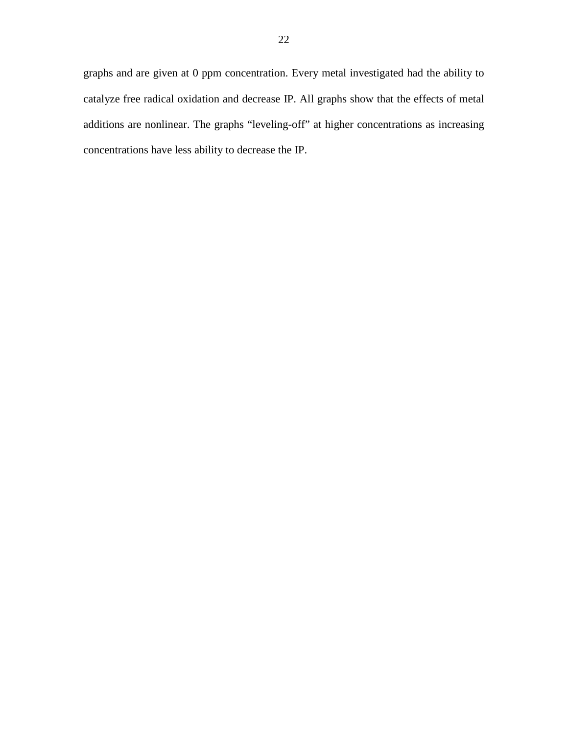graphs and are given at 0 ppm concentration. Every metal investigated had the ability to catalyze free radical oxidation and decrease IP. All graphs show that the effects of metal additions are nonlinear. The graphs "leveling-off" at higher concentrations as increasing concentrations have less ability to decrease the IP.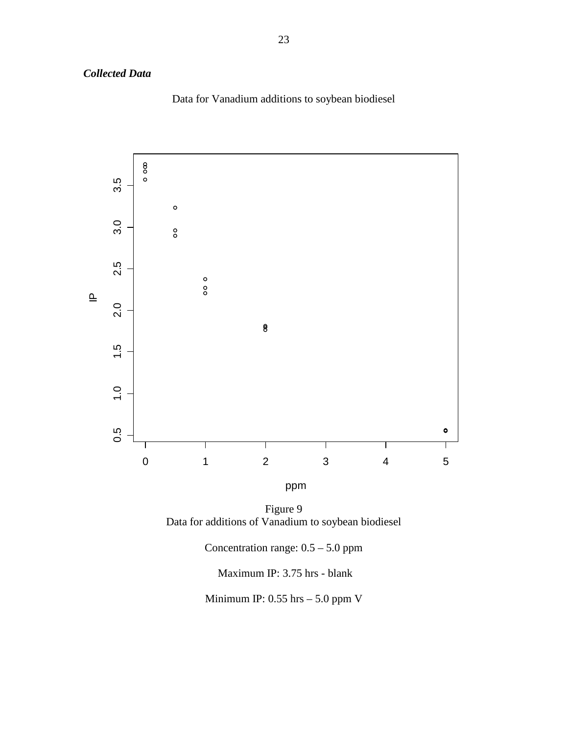# *Collected Data*

Data for Vanadium additions to soybean biodiesel



ppm

Figure 9 Data for additions of Vanadium to soybean biodiesel

Concentration range: 0.5 – 5.0 ppm

Maximum IP: 3.75 hrs - blank

Minimum IP: 0.55 hrs – 5.0 ppm V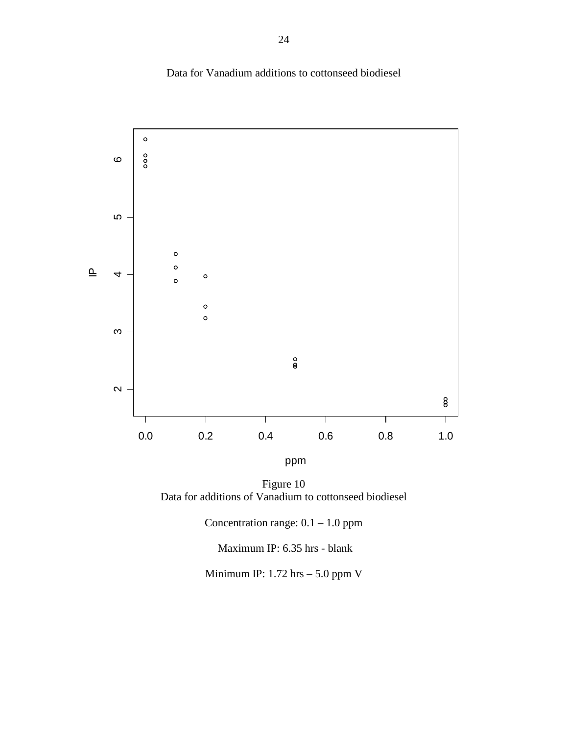



ppm

Figure 10 Data for additions of Vanadium to cottonseed biodiesel

Concentration range: 0.1 – 1.0 ppm

Maximum IP: 6.35 hrs - blank

Minimum IP: 1.72 hrs – 5.0 ppm V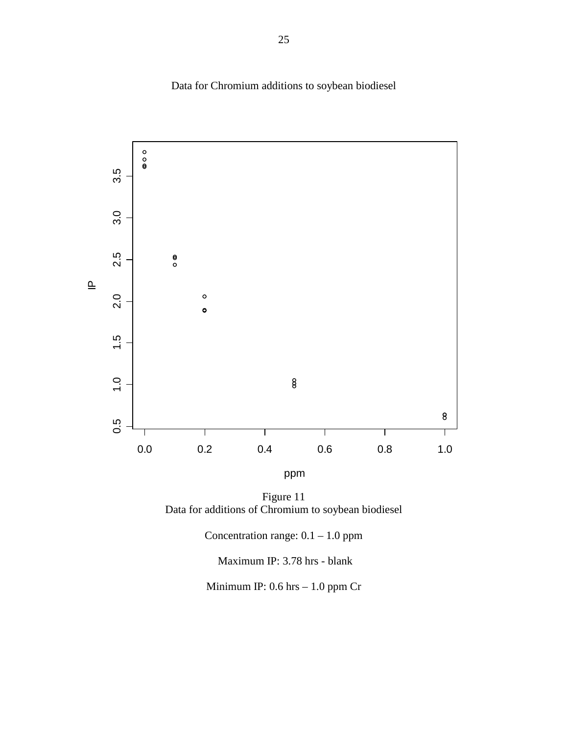

Data for Chromium additions to soybean biodiesel

ppm

Figure 11 Data for additions of Chromium to soybean biodiesel

Concentration range: 0.1 – 1.0 ppm

Maximum IP: 3.78 hrs - blank

Minimum IP: 0.6 hrs – 1.0 ppm Cr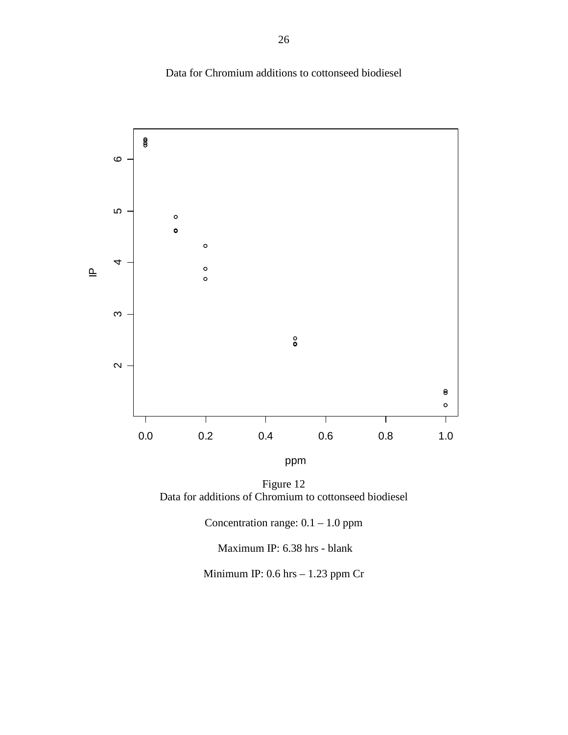Data for Chromium additions to cottonseed biodiesel



ppm

Figure 12 Data for additions of Chromium to cottonseed biodiesel

Concentration range: 0.1 – 1.0 ppm

Maximum IP: 6.38 hrs - blank

Minimum IP: 0.6 hrs – 1.23 ppm Cr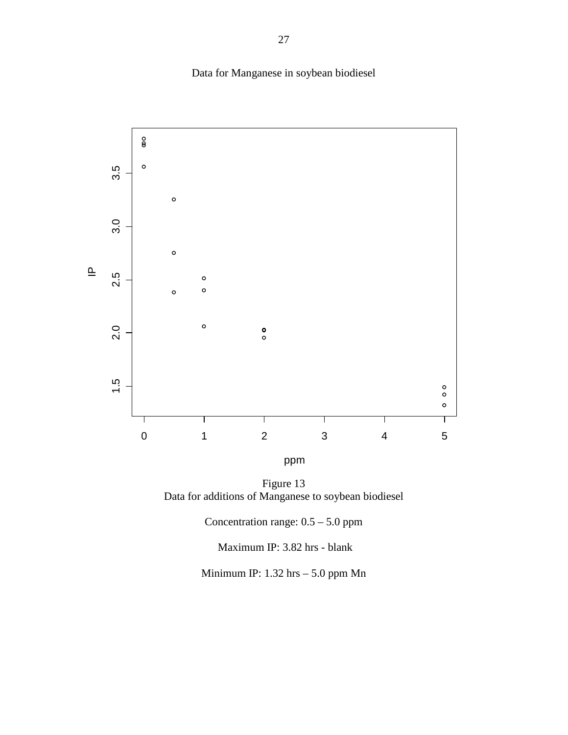Data for Manganese in soybean biodiesel



ppm

Figure 13 Data for additions of Manganese to soybean biodiesel

Concentration range: 0.5 – 5.0 ppm

Maximum IP: 3.82 hrs - blank

Minimum IP: 1.32 hrs – 5.0 ppm Mn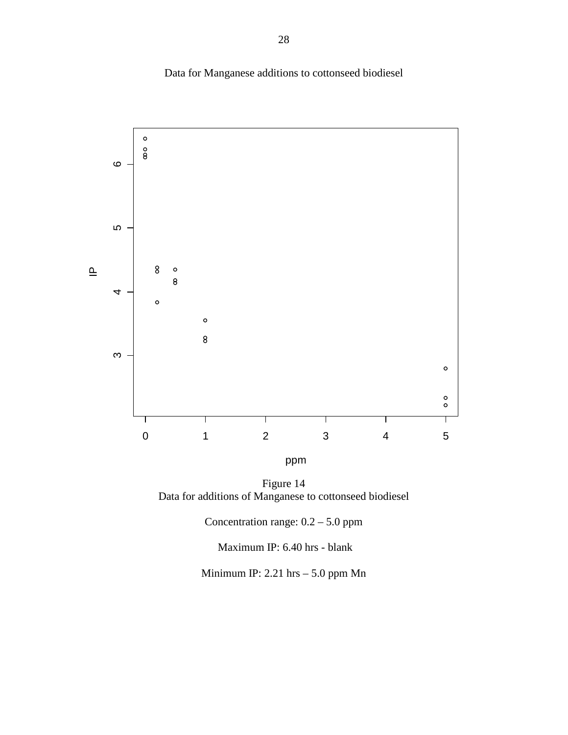



ppm

Figure 14 Data for additions of Manganese to cottonseed biodiesel

Concentration range: 0.2 – 5.0 ppm

Maximum IP: 6.40 hrs - blank

Minimum IP: 2.21 hrs – 5.0 ppm Mn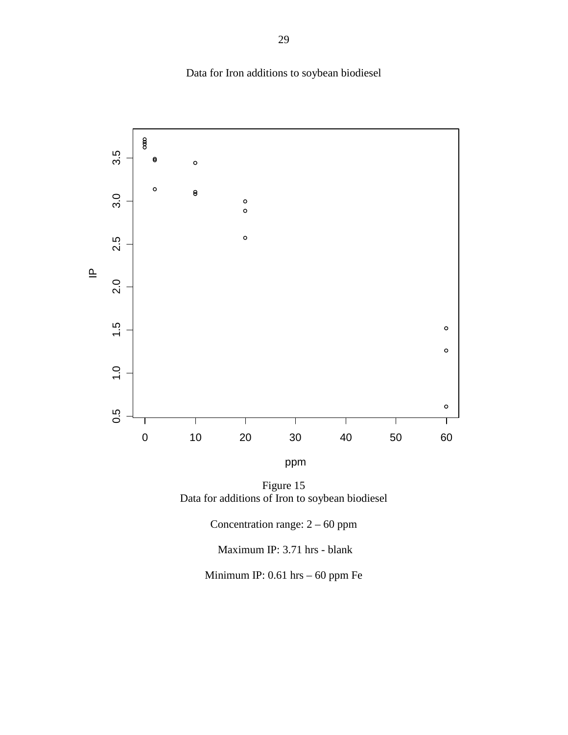Data for Iron additions to soybean biodiesel



Figure 15 Data for additions of Iron to soybean biodiesel

Concentration range: 2 – 60 ppm

Maximum IP: 3.71 hrs - blank

Minimum IP: 0.61 hrs – 60 ppm Fe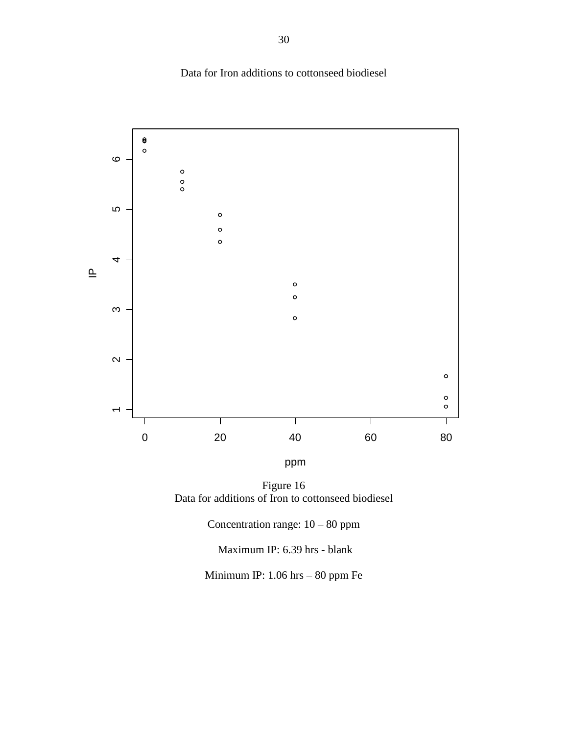



ppm

Figure 16 Data for additions of Iron to cottonseed biodiesel

Concentration range: 10 – 80 ppm

Maximum IP: 6.39 hrs - blank

Minimum IP: 1.06 hrs – 80 ppm Fe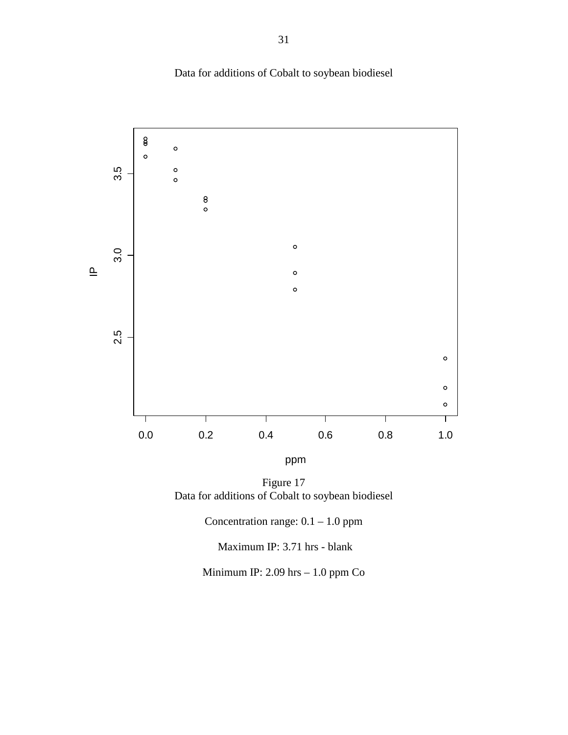Data for additions of Cobalt to soybean biodiesel



ppm

Figure 17 Data for additions of Cobalt to soybean biodiesel

Concentration range:  $0.1 - 1.0$  ppm

Maximum IP: 3.71 hrs - blank

Minimum IP: 2.09 hrs – 1.0 ppm Co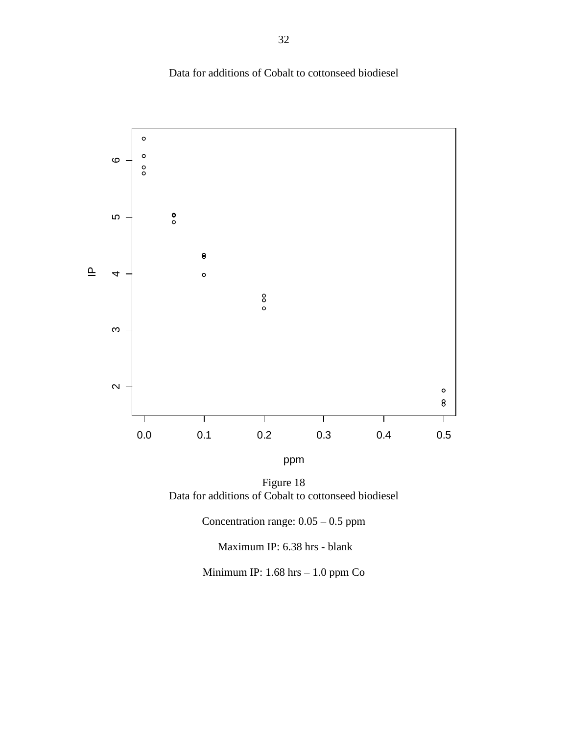Data for additions of Cobalt to cottonseed biodiesel



ppm

Figure 18 Data for additions of Cobalt to cottonseed biodiesel

Concentration range: 0.05 – 0.5 ppm

Maximum IP: 6.38 hrs - blank

Minimum IP: 1.68 hrs – 1.0 ppm Co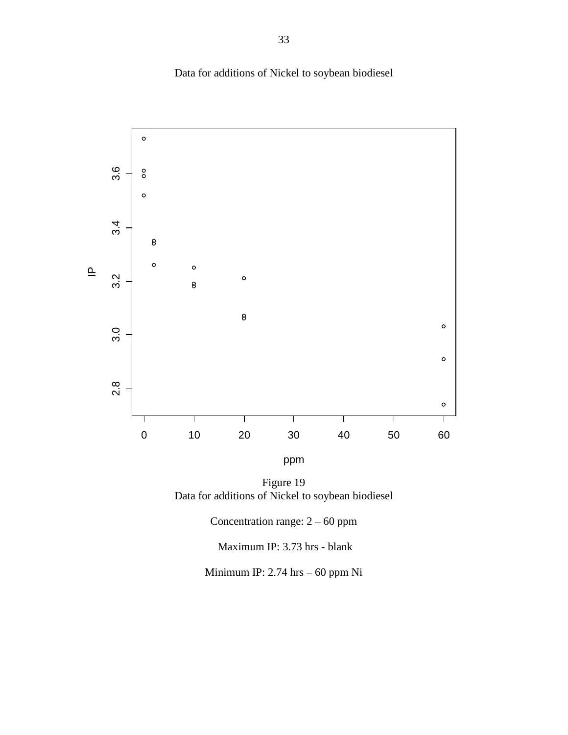Data for additions of Nickel to soybean biodiesel



Figure 19 Data for additions of Nickel to soybean biodiesel

Concentration range: 2 – 60 ppm

Maximum IP: 3.73 hrs - blank

Minimum IP: 2.74 hrs – 60 ppm Ni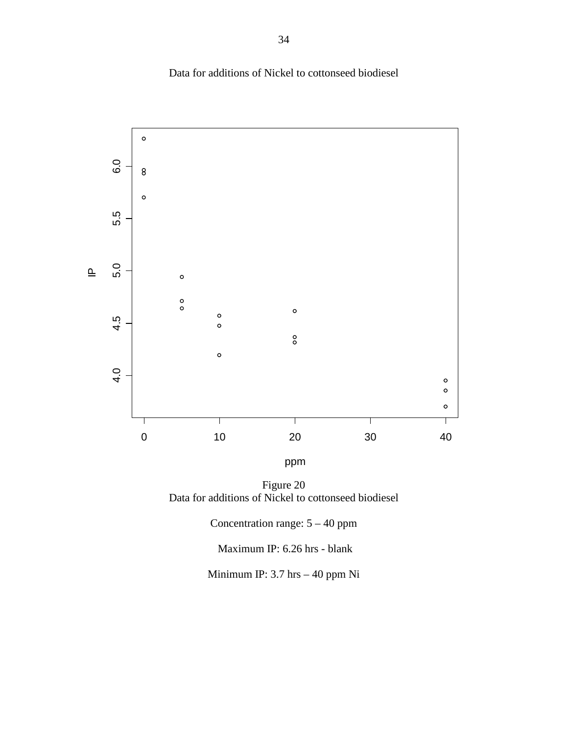Data for additions of Nickel to cottonseed biodiesel



Figure 20 Data for additions of Nickel to cottonseed biodiesel

Concentration range: 5 – 40 ppm

Maximum IP: 6.26 hrs - blank

Minimum IP: 3.7 hrs – 40 ppm Ni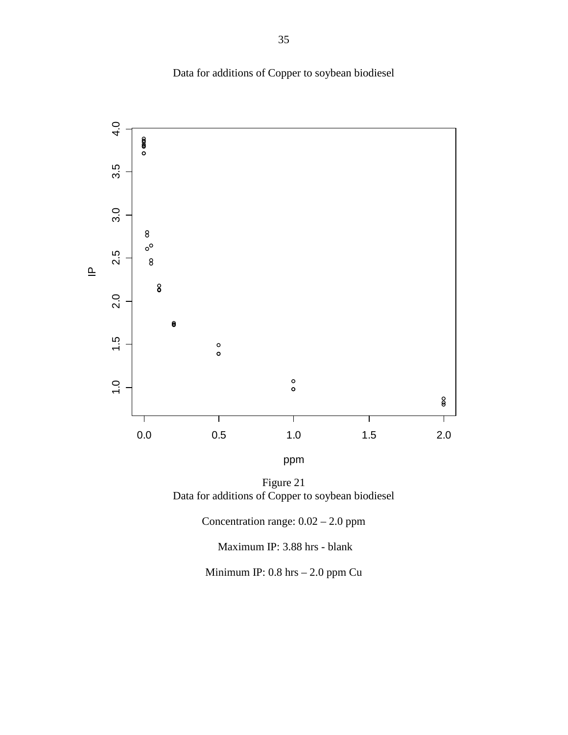



Figure 21 Data for additions of Copper to soybean biodiesel

Concentration range: 0.02 – 2.0 ppm

Maximum IP: 3.88 hrs - blank

Minimum IP: 0.8 hrs – 2.0 ppm Cu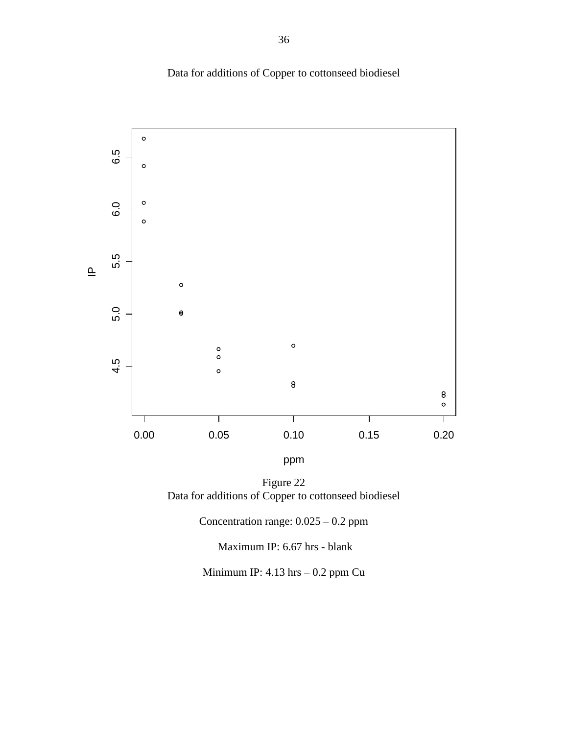



Figure 22 Data for additions of Copper to cottonseed biodiesel

Concentration range: 0.025 – 0.2 ppm

Maximum IP: 6.67 hrs - blank

Minimum IP: 4.13 hrs – 0.2 ppm Cu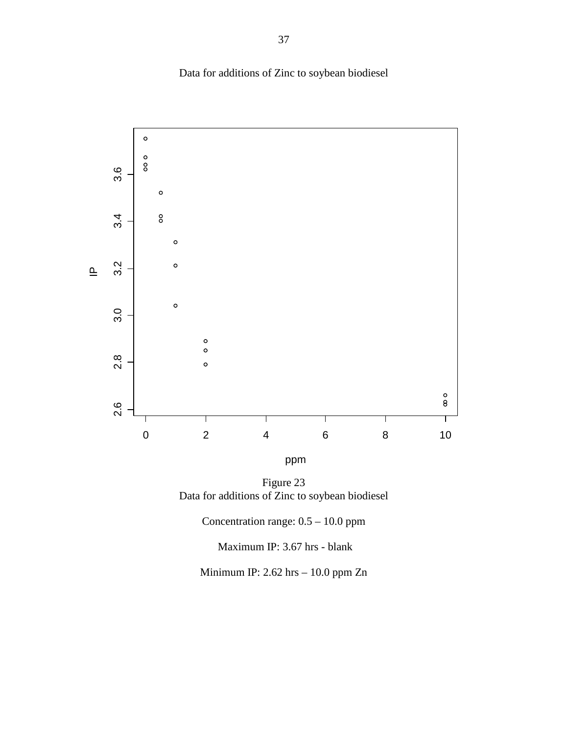Data for additions of Zinc to soybean biodiesel



ppm

Figure 23 Data for additions of Zinc to soybean biodiesel

Concentration range: 0.5 – 10.0 ppm

Maximum IP: 3.67 hrs - blank

Minimum IP: 2.62 hrs – 10.0 ppm Zn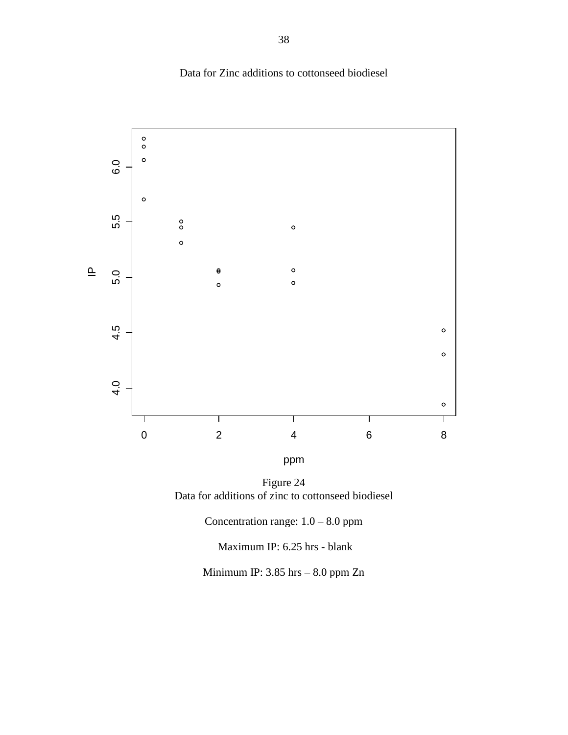



ppm

Figure 24 Data for additions of zinc to cottonseed biodiesel

Concentration range: 1.0 – 8.0 ppm

Maximum IP: 6.25 hrs - blank

Minimum IP: 3.85 hrs – 8.0 ppm Zn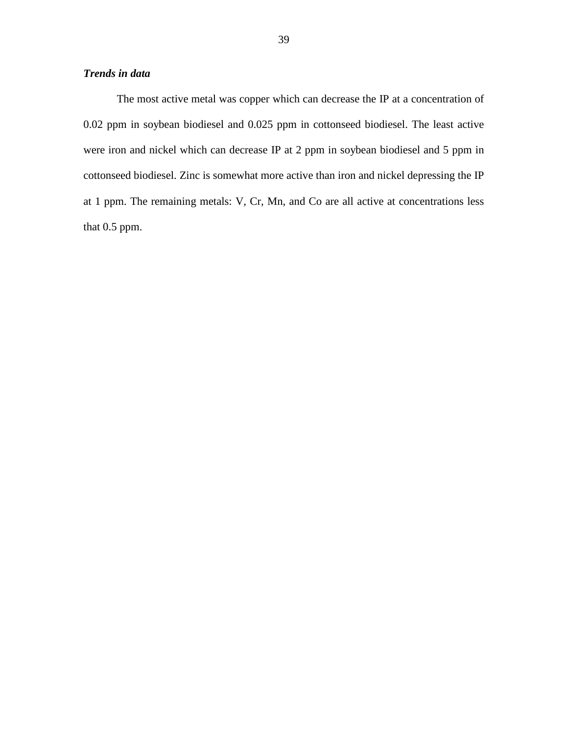The most active metal was copper which can decrease the IP at a concentration of 0.02 ppm in soybean biodiesel and 0.025 ppm in cottonseed biodiesel. The least active were iron and nickel which can decrease IP at 2 ppm in soybean biodiesel and 5 ppm in cottonseed biodiesel. Zinc is somewhat more active than iron and nickel depressing the IP at 1 ppm. The remaining metals: V, Cr, Mn, and Co are all active at concentrations less that 0.5 ppm.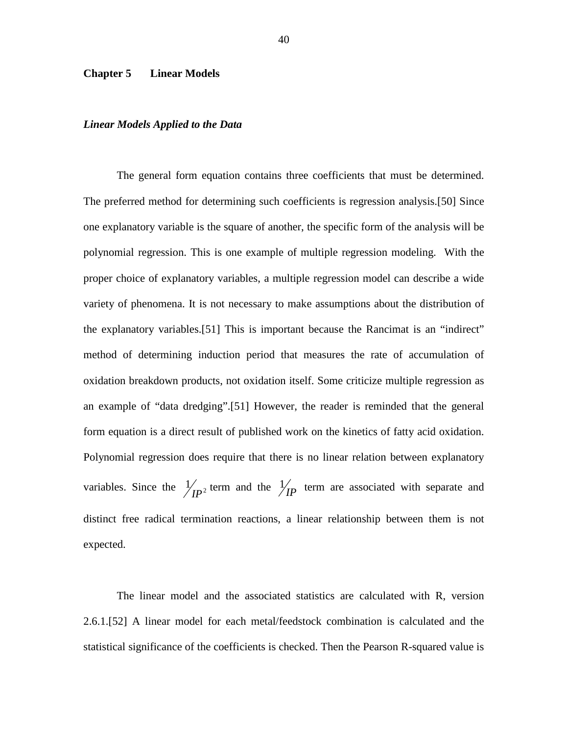#### **Chapter 5 Linear Models**

#### *Linear Models Applied to the Data*

 The general form equation contains three coefficients that must be determined. The preferred method for determining such coefficients is regression analysis.[50] Since one explanatory variable is the square of another, the specific form of the analysis will be polynomial regression. This is one example of multiple regression modeling. With the proper choice of explanatory variables, a multiple regression model can describe a wide variety of phenomena. It is not necessary to make assumptions about the distribution of the explanatory variables.[51] This is important because the Rancimat is an "indirect" method of determining induction period that measures the rate of accumulation of oxidation breakdown products, not oxidation itself. Some criticize multiple regression as an example of "data dredging".[51] However, the reader is reminded that the general form equation is a direct result of published work on the kinetics of fatty acid oxidation. Polynomial regression does require that there is no linear relation between explanatory variables. Since the  $\frac{1}{\mu}$  term and the  $\frac{1}{\mu}$  term are associated with separate and distinct free radical termination reactions, a linear relationship between them is not expected.

 The linear model and the associated statistics are calculated with R, version 2.6.1.[52] A linear model for each metal/feedstock combination is calculated and the statistical significance of the coefficients is checked. Then the Pearson R-squared value is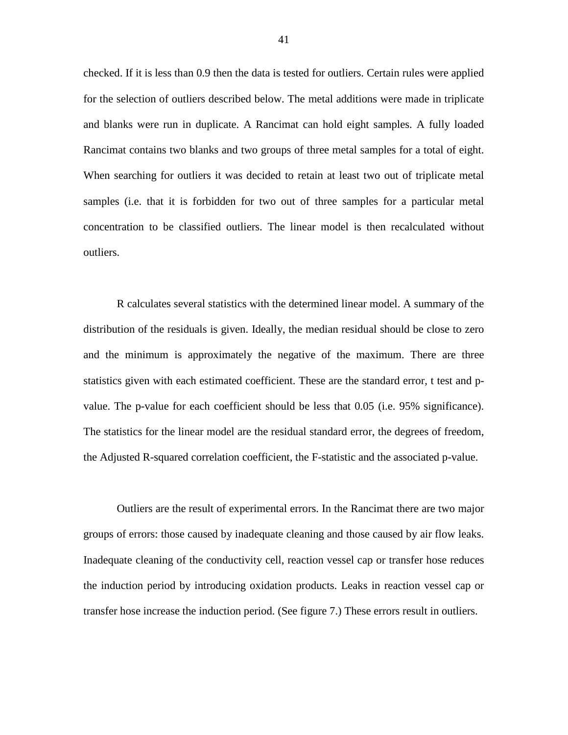checked. If it is less than 0.9 then the data is tested for outliers. Certain rules were applied for the selection of outliers described below. The metal additions were made in triplicate and blanks were run in duplicate. A Rancimat can hold eight samples. A fully loaded Rancimat contains two blanks and two groups of three metal samples for a total of eight. When searching for outliers it was decided to retain at least two out of triplicate metal samples (i.e. that it is forbidden for two out of three samples for a particular metal concentration to be classified outliers. The linear model is then recalculated without outliers.

 R calculates several statistics with the determined linear model. A summary of the distribution of the residuals is given. Ideally, the median residual should be close to zero and the minimum is approximately the negative of the maximum. There are three statistics given with each estimated coefficient. These are the standard error, t test and pvalue. The p-value for each coefficient should be less that 0.05 (i.e. 95% significance). The statistics for the linear model are the residual standard error, the degrees of freedom, the Adjusted R-squared correlation coefficient, the F-statistic and the associated p-value.

 Outliers are the result of experimental errors. In the Rancimat there are two major groups of errors: those caused by inadequate cleaning and those caused by air flow leaks. Inadequate cleaning of the conductivity cell, reaction vessel cap or transfer hose reduces the induction period by introducing oxidation products. Leaks in reaction vessel cap or transfer hose increase the induction period. (See figure 7.) These errors result in outliers.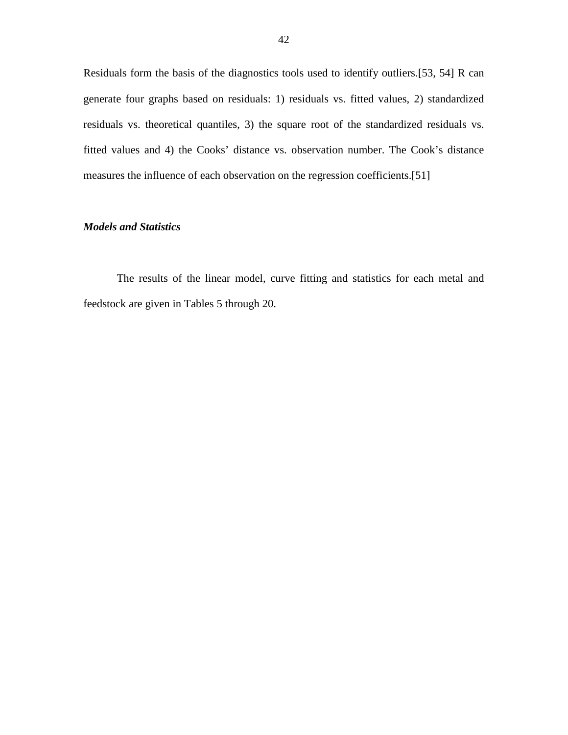Residuals form the basis of the diagnostics tools used to identify outliers.[53, 54] R can generate four graphs based on residuals: 1) residuals vs. fitted values, 2) standardized residuals vs. theoretical quantiles, 3) the square root of the standardized residuals vs. fitted values and 4) the Cooks' distance vs. observation number. The Cook's distance measures the influence of each observation on the regression coefficients.[51]

## *Models and Statistics*

 The results of the linear model, curve fitting and statistics for each metal and feedstock are given in Tables 5 through 20.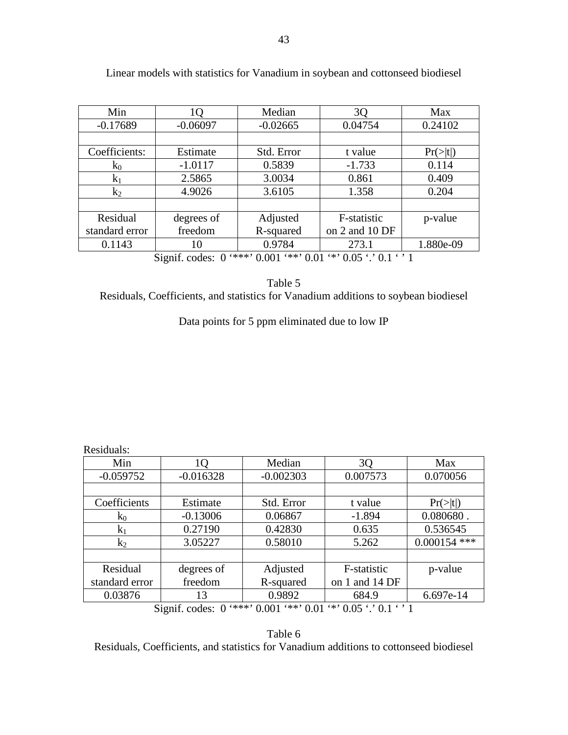| Min                                                                                      | 10         | Median     | 3Q             | Max            |
|------------------------------------------------------------------------------------------|------------|------------|----------------|----------------|
| $-0.17689$                                                                               | $-0.06097$ | $-0.02665$ | 0.04754        | 0.24102        |
|                                                                                          |            |            |                |                |
| Coefficients:                                                                            | Estimate   | Std. Error | t value        | $Pr(>\mid t )$ |
| $k_0$                                                                                    | $-1.0117$  | 0.5839     | $-1.733$       | 0.114          |
| $k_1$                                                                                    | 2.5865     | 3.0034     | 0.861          | 0.409          |
| $k_2$                                                                                    | 4.9026     | 3.6105     | 1.358          | 0.204          |
|                                                                                          |            |            |                |                |
| Residual                                                                                 | degrees of | Adjusted   | F-statistic    | p-value        |
| standard error                                                                           | freedom    | R-squared  | on 2 and 10 DF |                |
| 0.1143                                                                                   | 10         | 0.9784     | 273.1          | 1.880e-09      |
| $***$ , 0.001<br>$**$ , 0.01 $**$ , 0.05 $\cdot$ , 0.1 $\cdot$ , 1<br>Signif. codes: $0$ |            |            |                |                |

Linear models with statistics for Vanadium in soybean and cottonseed biodiesel

Table 5

Residuals, Coefficients, and statistics for Vanadium additions to soybean biodiesel

Data points for 5 ppm eliminated due to low IP

Residuals:

| Min                                                                       | 10          | Median      | 3Q             | Max            |  |
|---------------------------------------------------------------------------|-------------|-------------|----------------|----------------|--|
| $-0.059752$                                                               | $-0.016328$ | $-0.002303$ | 0.007573       | 0.070056       |  |
|                                                                           |             |             |                |                |  |
| Coefficients                                                              | Estimate    | Std. Error  | t value        | Pr(> t )       |  |
| $k_0$                                                                     | $-0.13006$  | 0.06867     | $-1.894$       | $0.080680$ .   |  |
| $k_1$                                                                     | 0.27190     | 0.42830     | 0.635          | 0.536545       |  |
| $k_2$                                                                     | 3.05227     | 0.58010     | 5.262          | $0.000154$ *** |  |
|                                                                           |             |             |                |                |  |
| Residual                                                                  | degrees of  | Adjusted    | F-statistic    | p-value        |  |
| standard error                                                            | freedom     | R-squared   | on 1 and 14 DF |                |  |
| 0.03876                                                                   | 13          | 0.9892      | 684.9          | 6.697e-14      |  |
| '***' $0.001$ '**' $0.01$ '*' $0.05$ '.' $0.1$ ' '1<br>Signif. codes: $0$ |             |             |                |                |  |

Table 6 Residuals, Coefficients, and statistics for Vanadium additions to cottonseed biodiesel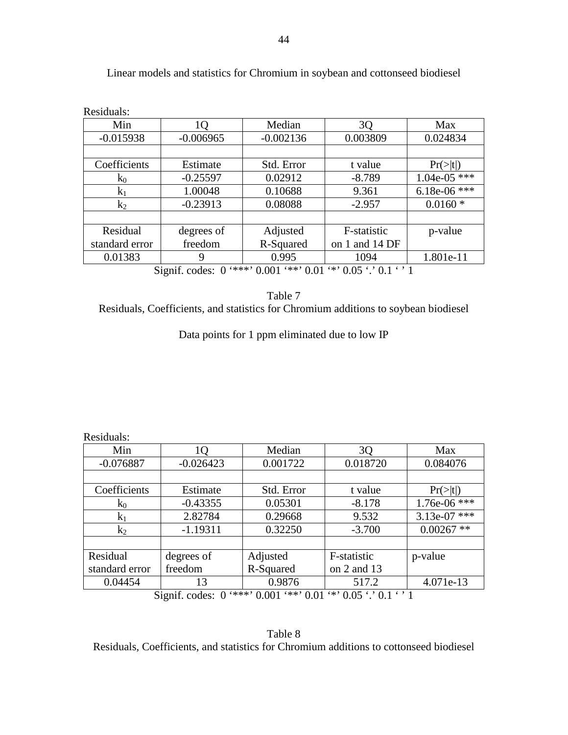| Residuals:     |             |             |                                                                      |                |
|----------------|-------------|-------------|----------------------------------------------------------------------|----------------|
| Min            | 1Q          | Median      | 3Q                                                                   | Max            |
| $-0.015938$    | $-0.006965$ | $-0.002136$ | 0.003809                                                             | 0.024834       |
|                |             |             |                                                                      |                |
| Coefficients   | Estimate    | Std. Error  | t value                                                              | Pr(> t )       |
| $k_0$          | $-0.25597$  | 0.02912     | $-8.789$                                                             | $1.04e-05$ *** |
| $k_1$          | 1.00048     | 0.10688     | 9.361                                                                | $6.18e-06$ *** |
| $k_2$          | $-0.23913$  | 0.08088     | $-2.957$                                                             | $0.0160*$      |
|                |             |             |                                                                      |                |
| Residual       | degrees of  | Adjusted    | F-statistic                                                          | p-value        |
| standard error | freedom     | R-Squared   | on 1 and 14 DF                                                       |                |
| 0.01383        | 9           | 0.995       | 1094                                                                 | 1.801e-11      |
| $\sim \cdot$   |             |             | $\alpha$ (didn't a contribution of the complete contract of $\alpha$ |                |

Linear models and statistics for Chromium in soybean and cottonseed biodiesel

Signif. codes: 0 '\*\*\*' 0.001 '\*\*' 0.01 '\*' 0.05 '.' 0.1 ' ' 1

Table 7 Residuals, Coefficients, and statistics for Chromium additions to soybean biodiesel

Data points for 1 ppm eliminated due to low IP

| Residuals: |  |
|------------|--|
|            |  |

| Min                                                            | 10          | Median     | 3Q              | Max                  |  |
|----------------------------------------------------------------|-------------|------------|-----------------|----------------------|--|
| $-0.076887$                                                    | $-0.026423$ | 0.001722   | 0.018720        | 0.084076             |  |
|                                                                |             |            |                 |                      |  |
| Coefficients                                                   | Estimate    | Std. Error | t value         | $Pr(>\vert t \vert)$ |  |
| $k_0$                                                          | $-0.43355$  | 0.05301    | $-8.178$        | $1.76e-06$ ***       |  |
| $k_1$                                                          | 2.82784     | 0.29668    | 9.532           | $3.13e-07$ ***       |  |
| $k_2$                                                          | $-1.19311$  | 0.32250    | $-3.700$        | $0.00267$ **         |  |
|                                                                |             |            |                 |                      |  |
| Residual                                                       | degrees of  | Adjusted   | F-statistic     | p-value              |  |
| standard error                                                 | freedom     | R-Squared  | on $2$ and $13$ |                      |  |
| 0.04454                                                        | 13          | 0.9876     | 517.2           | 4.071e-13            |  |
| $***$ 0.001<br>$**$ , 0.01<br>$4*0.05$ $1.01$<br>Signif codes: |             |            |                 |                      |  |

Signif. codes:  $0 \rightarrow \infty$  0.001  $\rightarrow \infty$  0.01  $\rightarrow$  0.05  $\cdot$  0.1

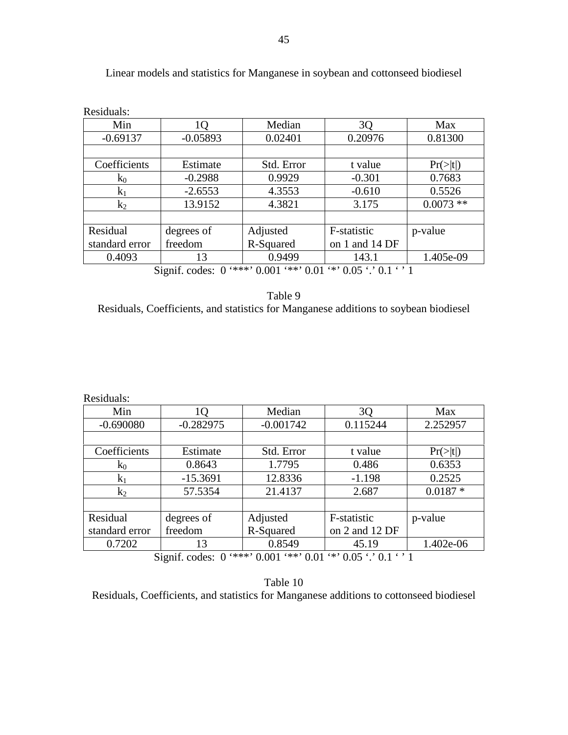| Residuals:                                                                                                |            |            |                |                      |  |
|-----------------------------------------------------------------------------------------------------------|------------|------------|----------------|----------------------|--|
| Min                                                                                                       | 10         | Median     | 3 <sub>Q</sub> | Max                  |  |
| $-0.69137$                                                                                                | $-0.05893$ | 0.02401    | 0.20976        | 0.81300              |  |
|                                                                                                           |            |            |                |                      |  |
| Coefficients                                                                                              | Estimate   | Std. Error | t value        | $Pr(>\vert t \vert)$ |  |
| $k_0$                                                                                                     | $-0.2988$  | 0.9929     | $-0.301$       | 0.7683               |  |
| $k_1$                                                                                                     | $-2.6553$  | 4.3553     | $-0.610$       | 0.5526               |  |
| $k_2$                                                                                                     | 13.9152    | 4.3821     | 3.175          | $0.0073**$           |  |
|                                                                                                           |            |            |                |                      |  |
| Residual                                                                                                  | degrees of | Adjusted   | F-statistic    | p-value              |  |
| standard error                                                                                            | freedom    | R-Squared  | on 1 and 14 DF |                      |  |
| 0.4093                                                                                                    | 13         | 0.9499     | 143.1          | 1.405e-09            |  |
| $\alpha'$ (c) 1 $\alpha$ (+++) $\alpha$ $\alpha$ 01 (++) $\alpha$ 01 (+) $\alpha$ 01 (+) $\alpha$ 1 (+) 1 |            |            |                |                      |  |

Linear models and statistics for Manganese in soybean and cottonseed biodiesel

Signif. codes: 0 '\*\*\*' 0.001 '\*\*' 0.01 '\*' 0.05 '.' 0.1 ' ' 1

| Table 9                                                                              |
|--------------------------------------------------------------------------------------|
| Residuals, Coefficients, and statistics for Manganese additions to soybean biodiesel |

Residuals:

| Min                                                                                                                                                                                                                                                                                                                                                                              | IО          | Median      | 3Q             | Max                  |  |
|----------------------------------------------------------------------------------------------------------------------------------------------------------------------------------------------------------------------------------------------------------------------------------------------------------------------------------------------------------------------------------|-------------|-------------|----------------|----------------------|--|
| $-0.690080$                                                                                                                                                                                                                                                                                                                                                                      | $-0.282975$ | $-0.001742$ | 0.115244       | 2.252957             |  |
|                                                                                                                                                                                                                                                                                                                                                                                  |             |             |                |                      |  |
| Coefficients                                                                                                                                                                                                                                                                                                                                                                     | Estimate    | Std. Error  | t value        | $Pr(>\vert t \vert)$ |  |
| $k_0$                                                                                                                                                                                                                                                                                                                                                                            | 0.8643      | 1.7795      | 0.486          | 0.6353               |  |
| $k_1$                                                                                                                                                                                                                                                                                                                                                                            | $-15.3691$  | 12.8336     | $-1.198$       | 0.2525               |  |
| $k_2$                                                                                                                                                                                                                                                                                                                                                                            | 57.5354     | 21.4137     | 2.687          | $0.0187 *$           |  |
|                                                                                                                                                                                                                                                                                                                                                                                  |             |             |                |                      |  |
| Residual                                                                                                                                                                                                                                                                                                                                                                         | degrees of  | Adjusted    | F-statistic    | p-value              |  |
| standard error                                                                                                                                                                                                                                                                                                                                                                   | freedom     | R-Squared   | on 2 and 12 DF |                      |  |
| 0.7202                                                                                                                                                                                                                                                                                                                                                                           | 13          | 0.8549      | 45.19          | 1.402e-06            |  |
| 0.444420001.443001.423007.12301.131<br>$\mathfrak{a}$ $\mathfrak{c}$ $\mathfrak{c}$ $\mathfrak{c}$ $\mathfrak{c}$ $\mathfrak{c}$ $\mathfrak{c}$ $\mathfrak{c}$ $\mathfrak{c}$ $\mathfrak{c}$ $\mathfrak{c}$ $\mathfrak{c}$ $\mathfrak{c}$ $\mathfrak{c}$ $\mathfrak{c}$ $\mathfrak{c}$ $\mathfrak{c}$ $\mathfrak{c}$ $\mathfrak{c}$ $\mathfrak{c}$ $\mathfrak{c}$ $\mathfrak{c}$ |             |             |                |                      |  |

Signif. codes:  $0$  '\*\*\*'  $0.001$  '\*\*'  $0.01$  '\*'  $0.05$  '.'  $0.1$  ' ' 1

Table 10 Residuals, Coefficients, and statistics for Manganese additions to cottonseed biodiesel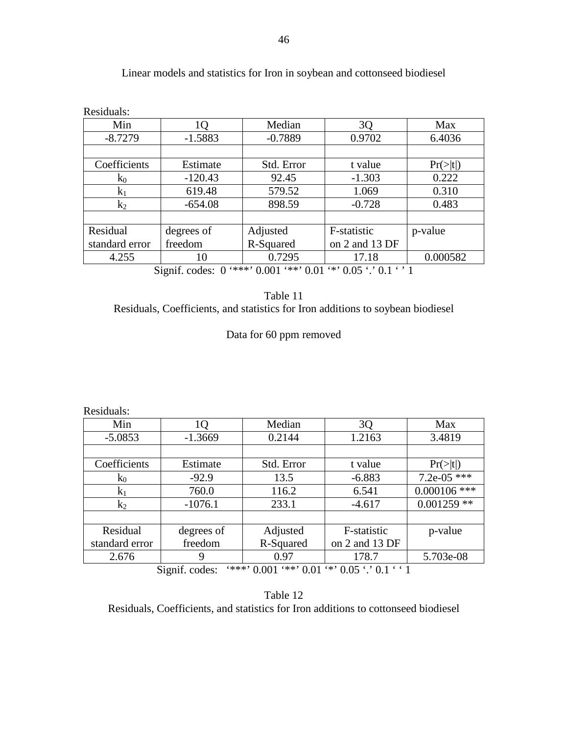| Residuals:     |            |            |                |                      |
|----------------|------------|------------|----------------|----------------------|
| Min            | LO.        | Median     | 3Q             | Max                  |
| $-8.7279$      | $-1.5883$  | $-0.7889$  | 0.9702         | 6.4036               |
|                |            |            |                |                      |
| Coefficients   | Estimate   | Std. Error | t value        | $Pr(>\vert t \vert)$ |
| $k_0$          | $-120.43$  | 92.45      | $-1.303$       | 0.222                |
| $k_1$          | 619.48     | 579.52     | 1.069          | 0.310                |
| $k_2$          | $-654.08$  | 898.59     | $-0.728$       | 0.483                |
|                |            |            |                |                      |
| Residual       | degrees of | Adjusted   | F-statistic    | p-value              |
| standard error | freedom    | R-Squared  | on 2 and 13 DF |                      |
| 4.255          | 10         | 0.7295     | 17.18          | 0.000582             |

## Linear models and statistics for Iron in soybean and cottonseed biodiesel

Signif. codes:  $0$  '\*\*\*'  $0.001$  '\*\*'  $0.01$  '\*'  $0.05$  '.'  $0.1$  ' ' 1

| Table 11                                                                        |
|---------------------------------------------------------------------------------|
| Residuals, Coefficients, and statistics for Iron additions to soybean biodiesel |

# Data for 60 ppm removed

Residuals:

| Min                                                                     | 1Q         | Median     | 3Q             | Max                  |  |
|-------------------------------------------------------------------------|------------|------------|----------------|----------------------|--|
| $-5.0853$                                                               | $-1.3669$  | 0.2144     | 1.2163         | 3.4819               |  |
|                                                                         |            |            |                |                      |  |
| Coefficients                                                            | Estimate   | Std. Error | t value        | $Pr(>\vert t \vert)$ |  |
| $k_0$                                                                   | $-92.9$    | 13.5       | $-6.883$       | 7.2e-05 ***          |  |
| $k_1$                                                                   | 760.0      | 116.2      | 6.541          | $0.000106$ ***       |  |
| $k_2$                                                                   | $-1076.1$  | 233.1      | $-4.617$       | $0.001259$ **        |  |
|                                                                         |            |            |                |                      |  |
| Residual                                                                | degrees of | Adjusted   | F-statistic    | p-value              |  |
| standard error                                                          | freedom    | R-Squared  | on 2 and 13 DF |                      |  |
| 2.676                                                                   | 9          | 0.97       | 178.7          | 5.703e-08            |  |
| $***$ 0.001 $**$ 0.01 $**$ 0.05 $\cdot$ 0.1 $\cdot$ 1<br>Signif. codes: |            |            |                |                      |  |

Table 12 Residuals, Coefficients, and statistics for Iron additions to cottonseed biodiesel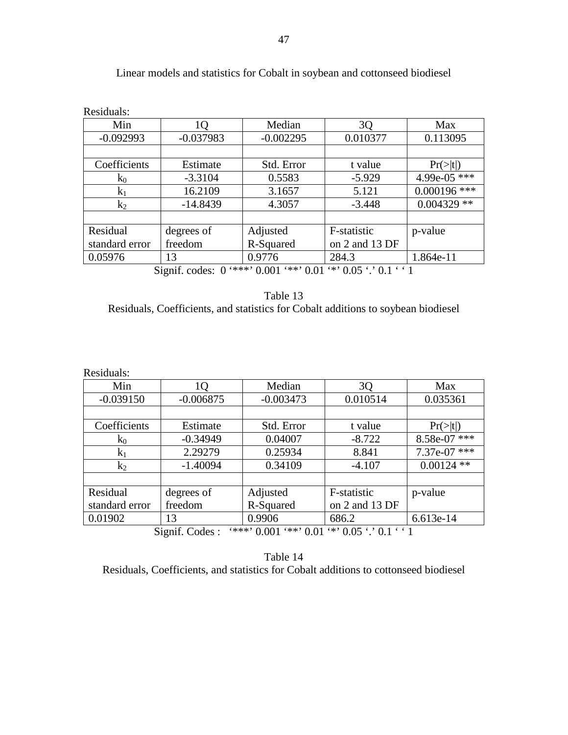| Residuals:     |                                                                                                                                                                                                                                                                                                                                                                                                                                                       |             |                |                      |
|----------------|-------------------------------------------------------------------------------------------------------------------------------------------------------------------------------------------------------------------------------------------------------------------------------------------------------------------------------------------------------------------------------------------------------------------------------------------------------|-------------|----------------|----------------------|
| Min            | 1Q                                                                                                                                                                                                                                                                                                                                                                                                                                                    | Median      | 3Q             | Max                  |
| $-0.092993$    | $-0.037983$                                                                                                                                                                                                                                                                                                                                                                                                                                           | $-0.002295$ | 0.010377       | 0.113095             |
|                |                                                                                                                                                                                                                                                                                                                                                                                                                                                       |             |                |                      |
| Coefficients   | Estimate                                                                                                                                                                                                                                                                                                                                                                                                                                              | Std. Error  | t value        | $Pr(>\vert t \vert)$ |
| $k_0$          | $-3.3104$                                                                                                                                                                                                                                                                                                                                                                                                                                             | 0.5583      | $-5.929$       | 4.99e-05 ***         |
| $k_1$          | 16.2109                                                                                                                                                                                                                                                                                                                                                                                                                                               | 3.1657      | 5.121          | $0.000196$ ***       |
| $k_2$          | $-14.8439$                                                                                                                                                                                                                                                                                                                                                                                                                                            | 4.3057      | $-3.448$       | $0.004329$ **        |
|                |                                                                                                                                                                                                                                                                                                                                                                                                                                                       |             |                |                      |
| Residual       | degrees of                                                                                                                                                                                                                                                                                                                                                                                                                                            | Adjusted    | F-statistic    | p-value              |
| standard error | freedom                                                                                                                                                                                                                                                                                                                                                                                                                                               | R-Squared   | on 2 and 13 DF |                      |
| 0.05976        | 13                                                                                                                                                                                                                                                                                                                                                                                                                                                    | 0.9776      | 284.3          | 1.864e-11            |
|                | $C: \mathbb{R}^2 \times \mathbb{R}^2 \times \mathbb{R}^2 \times \mathbb{R}^2 \times \mathbb{R}^2 \times \mathbb{R}^2 \times \mathbb{R}^2 \times \mathbb{R}^2 \times \mathbb{R}^2 \times \mathbb{R}^2 \times \mathbb{R}^2 \times \mathbb{R}^2 \times \mathbb{R}^2 \times \mathbb{R}^2 \times \mathbb{R}^2 \times \mathbb{R}^2 \times \mathbb{R}^2 \times \mathbb{R}^2 \times \mathbb{R}^2 \times \mathbb{R}^2 \times \mathbb{R}^2 \times \mathbb{R}^2$ |             |                |                      |

## Linear models and statistics for Cobalt in soybean and cottonseed biodiesel

Signif. codes:  $0$  '\*\*\*'  $0.001$  '\*\*'  $0.01$  '\*'  $0.05$  '.'  $0.1$  ' ' 1

| Table 13                                                                          |
|-----------------------------------------------------------------------------------|
| Residuals, Coefficients, and statistics for Cobalt additions to soybean biodiesel |

Residuals:

| Min            | 0                    | Median                                  | 3 <sub>Q</sub> | Max                  |
|----------------|----------------------|-----------------------------------------|----------------|----------------------|
| $-0.039150$    | $-0.006875$          | $-0.003473$                             | 0.010514       | 0.035361             |
|                |                      |                                         |                |                      |
| Coefficients   | Estimate             | Std. Error                              | t value        | $Pr(>\vert t \vert)$ |
| $k_0$          | $-0.34949$           | 0.04007                                 | $-8.722$       | 8.58e-07 ***         |
| $k_1$          | 2.29279              | 0.25934                                 | 8.841          | 7.37e-07 ***         |
| $k_2$          | $-1.40094$           | 0.34109                                 | $-4.107$       | $0.00124$ **         |
|                |                      |                                         |                |                      |
| Residual       | degrees of           | Adjusted                                | F-statistic    | p-value              |
| standard error | freedom              | R-Squared                               | on 2 and 13 DF |                      |
| 0.01902        | 13                   | 0.9906                                  | 686.2          | 6.613e-14            |
| $\sim \cdot$   | $\sim$ $\sim$ $\sim$ | $\lambda$ A COOL A A COL A O CHAIN A LA |                |                      |

Signif. Codes : '\*\*\*' 0.001 '\*\*' 0.01 '\*' 0.05 '.' 0.1 ' ' 1

Table 14 Residuals, Coefficients, and statistics for Cobalt additions to cottonseed biodiesel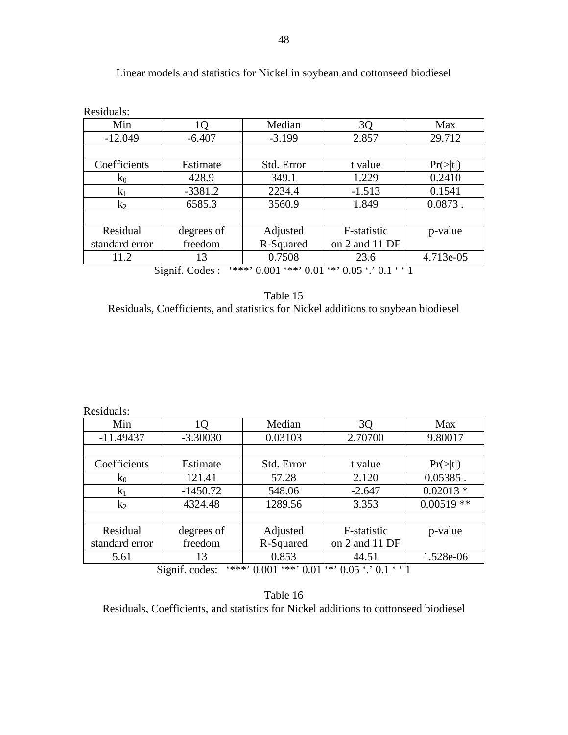| Residuals:                                                                        |            |            |                |                      |
|-----------------------------------------------------------------------------------|------------|------------|----------------|----------------------|
| Min                                                                               | 10         | Median     | 3Q             | Max                  |
| $-12.049$                                                                         | $-6.407$   | $-3.199$   | 2.857          | 29.712               |
|                                                                                   |            |            |                |                      |
| Coefficients                                                                      | Estimate   | Std. Error | t value        | $Pr(>\vert t \vert)$ |
| $k_0$                                                                             | 428.9      | 349.1      | 1.229          | 0.2410               |
| $k_1$                                                                             | $-3381.2$  | 2234.4     | $-1.513$       | 0.1541               |
| $k_2$                                                                             | 6585.3     | 3560.9     | 1.849          | $0.0873$ .           |
|                                                                                   |            |            |                |                      |
| Residual                                                                          | degrees of | Adjusted   | F-statistic    | p-value              |
| standard error                                                                    | freedom    | R-Squared  | on 2 and 11 DF |                      |
| 11.2                                                                              | 13         | 0.7508     | 23.6           | 4.713e-05            |
| $**$ 0.05 $\cdot$ 0.1 $\cdot$ 1<br>'***'<br>$*** 0.01$<br>Signif. Codes:<br>0.001 |            |            |                |                      |

## Linear models and statistics for Nickel in soybean and cottonseed biodiesel

Table 15

Residuals, Coefficients, and statistics for Nickel additions to soybean biodiesel

Residuals:

| Min                                                                     | lO         | Median     | 30             | Max                  |
|-------------------------------------------------------------------------|------------|------------|----------------|----------------------|
| $-11.49437$                                                             | $-3.30030$ | 0.03103    | 2.70700        | 9.80017              |
|                                                                         |            |            |                |                      |
| Coefficients                                                            | Estimate   | Std. Error | t value        | $Pr(>\vert t \vert)$ |
| $k_0$                                                                   | 121.41     | 57.28      | 2.120          | $0.05385$ .          |
| $k_1$                                                                   | $-1450.72$ | 548.06     | $-2.647$       | $0.02013*$           |
| $k_2$                                                                   | 4324.48    | 1289.56    | 3.353          | $0.00519**$          |
|                                                                         |            |            |                |                      |
| Residual                                                                | degrees of | Adjusted   | F-statistic    | p-value              |
| standard error                                                          | freedom    | R-Squared  | on 2 and 11 DF |                      |
| 5.61                                                                    | 13         | 0.853      | 44.51          | 1.528e-06            |
| $***$ 0.001 $**$ 0.01 $**$ 0.05 $\cdot$ 0.1 $\cdot$ 1<br>Signif. codes: |            |            |                |                      |

Table 16 Residuals, Coefficients, and statistics for Nickel additions to cottonseed biodiesel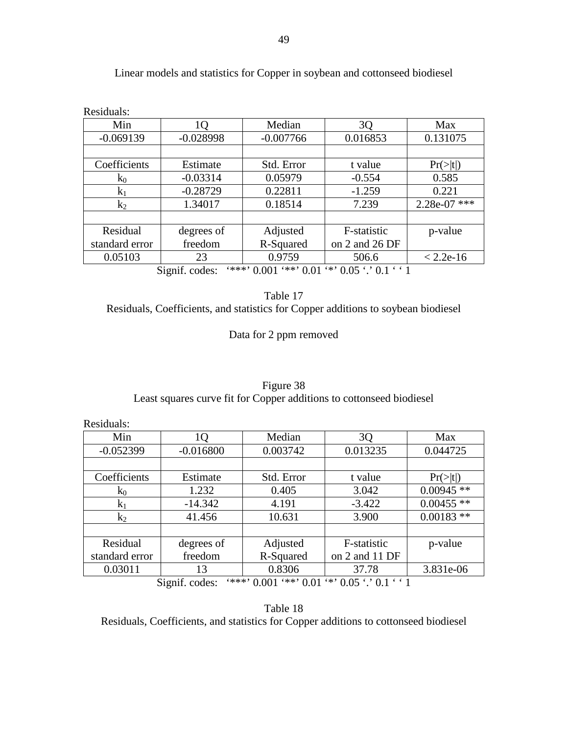| Residuals:                                                                                                                                                                                                                    |             |             |                |                      |  |
|-------------------------------------------------------------------------------------------------------------------------------------------------------------------------------------------------------------------------------|-------------|-------------|----------------|----------------------|--|
| Min                                                                                                                                                                                                                           | 1Q          | Median      | 3Q             | Max                  |  |
| $-0.069139$                                                                                                                                                                                                                   | $-0.028998$ | $-0.007766$ | 0.016853       | 0.131075             |  |
|                                                                                                                                                                                                                               |             |             |                |                      |  |
| Coefficients                                                                                                                                                                                                                  | Estimate    | Std. Error  | t value        | $Pr(>\vert t \vert)$ |  |
| $k_0$                                                                                                                                                                                                                         | $-0.03314$  | 0.05979     | $-0.554$       | 0.585                |  |
| $k_1$                                                                                                                                                                                                                         | $-0.28729$  | 0.22811     | $-1.259$       | 0.221                |  |
| $k_2$                                                                                                                                                                                                                         | 1.34017     | 0.18514     | 7.239          | 2.28e-07 ***         |  |
|                                                                                                                                                                                                                               |             |             |                |                      |  |
| Residual                                                                                                                                                                                                                      | degrees of  | Adjusted    | F-statistic    | p-value              |  |
| standard error                                                                                                                                                                                                                | freedom     | R-Squared   | on 2 and 26 DF |                      |  |
| 0.05103                                                                                                                                                                                                                       | 23          | 0.9759      | 506.6          | $< 2.2e-16$          |  |
| $\sim$<br>$\cdot$ $\sim$<br>$\omega_1$ $\omega_2$ $\omega_3$ $\omega_4$ $\omega_5$ $\omega_6$ $\omega_7$ $\omega_7$ $\omega_8$ $\omega_7$ $\omega_8$ $\omega_7$ $\omega_8$ $\omega_1$ $\omega_1$ $\omega_1$ $\omega_1$<br>- 1 |             |             |                |                      |  |

## Linear models and statistics for Copper in soybean and cottonseed biodiesel

Signif. codes: '\*\*\*' 0.001 '\*\*' 0.01 '\*' 0.05 '.' 0.1 ' ' 1

| Table 17                                                                          |
|-----------------------------------------------------------------------------------|
| Residuals, Coefficients, and statistics for Copper additions to soybean biodiesel |

Data for 2 ppm removed

| Figure 38                                                            |
|----------------------------------------------------------------------|
| Least squares curve fit for Copper additions to cottonseed biodiesel |

Residuals: Min 1Q Median 3Q Max<br>052399 -0.016800 0.003742 0.013235 0.04472  $-0.052399$   $-0.016800$   $0.003742$   $0.013235$  0.044725 Coefficients Estimate Std. Error tvalue Pr(>|t|)  $k_0$  1.232 0.405 3.042 0.00945 \*\*  $k_1$  -14.342  $\vert$  4.191  $\vert$  -3.422  $\vert$  0.00455 \*\*  $k_2$  41.456 10.631 3.900 0.00183 \*\* Residual standard error degrees of freedom Adjusted R-Squared F-statistic on 2 and 11 DF p-value 0.03011 13 0.8306 37.78 3.831e-06 Signif. codes: '\*\*\*' 0.001 '\*\*' 0.01 '\*' 0.05 '.' 0.1 ' ' 1

Table 18 Residuals, Coefficients, and statistics for Copper additions to cottonseed biodiesel

49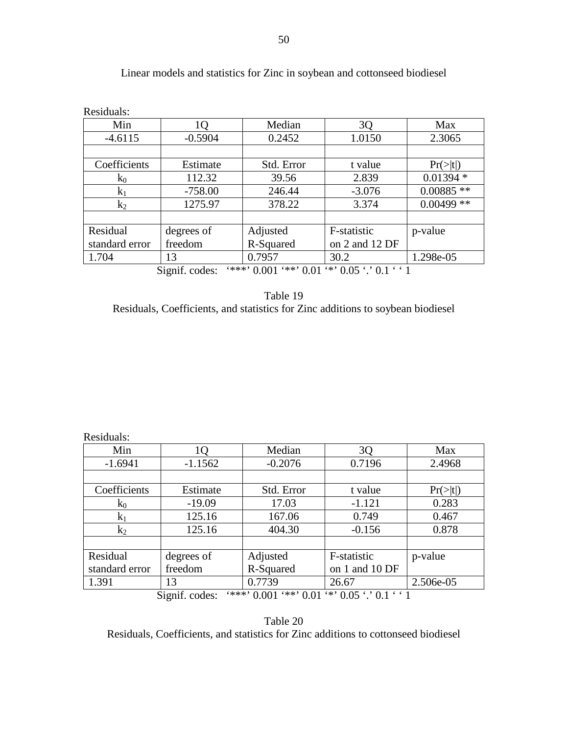| Residuals:                                                              |            |            |                |                      |
|-------------------------------------------------------------------------|------------|------------|----------------|----------------------|
| Min                                                                     | 1Q         | Median     | 3Q             | Max                  |
| $-4.6115$                                                               | $-0.5904$  | 0.2452     | 1.0150         | 2.3065               |
|                                                                         |            |            |                |                      |
| Coefficients                                                            | Estimate   | Std. Error | t value        | $Pr(>\vert t \vert)$ |
| $k_0$                                                                   | 112.32     | 39.56      | 2.839          | $0.01394*$           |
| $k_1$                                                                   | $-758.00$  | 246.44     | $-3.076$       | $0.00885$ **         |
| $k_2$                                                                   | 1275.97    | 378.22     | 3.374          | $0.00499$ **         |
|                                                                         |            |            |                |                      |
| Residual                                                                | degrees of | Adjusted   | F-statistic    | p-value              |
| standard error                                                          | freedom    | R-Squared  | on 2 and 12 DF |                      |
| 1.704                                                                   | 13         | 0.7957     | 30.2           | 1.298e-05            |
| $***$ 0.001 $**$ 0.01 $**$ 0.05 $\cdot$ 0.1 $\cdot$ 1<br>Signif. codes: |            |            |                |                      |

## Linear models and statistics for Zinc in soybean and cottonseed biodiesel

Table 19 Residuals, Coefficients, and statistics for Zinc additions to soybean biodiesel

Residuals:

| Min                                                                     | 10         | Median     | 3Q             | Max            |
|-------------------------------------------------------------------------|------------|------------|----------------|----------------|
| $-1.6941$                                                               | $-1.1562$  | $-0.2076$  | 0.7196         | 2.4968         |
|                                                                         |            |            |                |                |
| Coefficients                                                            | Estimate   | Std. Error | t value        | $Pr(>\mid t )$ |
| $k_0$                                                                   | $-19.09$   | 17.03      | $-1.121$       | 0.283          |
| $k_1$                                                                   | 125.16     | 167.06     | 0.749          | 0.467          |
| $k_2$                                                                   | 125.16     | 404.30     | $-0.156$       | 0.878          |
|                                                                         |            |            |                |                |
| Residual                                                                | degrees of | Adjusted   | F-statistic    | p-value        |
| standard error                                                          | freedom    | R-Squared  | on 1 and 10 DF |                |
| 1.391                                                                   | 13         | 0.7739     | 26.67          | 2.506e-05      |
| $***$ 0.001 $**$ 0.01 $**$ 0.05 $\cdot$ 0.1 $\cdot$ 1<br>Signif. codes: |            |            |                |                |

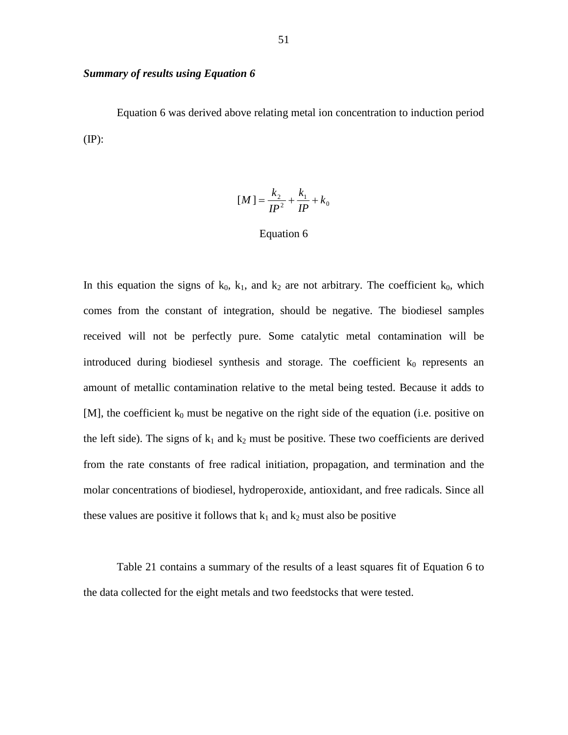## *Summary of results using Equation 6*

 Equation 6 was derived above relating metal ion concentration to induction period (IP):

$$
[M] = \frac{k_2}{IP^2} + \frac{k_1}{IP} + k_0
$$

### Equation 6

In this equation the signs of  $k_0$ ,  $k_1$ , and  $k_2$  are not arbitrary. The coefficient  $k_0$ , which comes from the constant of integration, should be negative. The biodiesel samples received will not be perfectly pure. Some catalytic metal contamination will be introduced during biodiesel synthesis and storage. The coefficient  $k_0$  represents an amount of metallic contamination relative to the metal being tested. Because it adds to  $[M]$ , the coefficient  $k_0$  must be negative on the right side of the equation (i.e. positive on the left side). The signs of  $k_1$  and  $k_2$  must be positive. These two coefficients are derived from the rate constants of free radical initiation, propagation, and termination and the molar concentrations of biodiesel, hydroperoxide, antioxidant, and free radicals. Since all these values are positive it follows that  $k_1$  and  $k_2$  must also be positive

 Table 21 contains a summary of the results of a least squares fit of Equation 6 to the data collected for the eight metals and two feedstocks that were tested.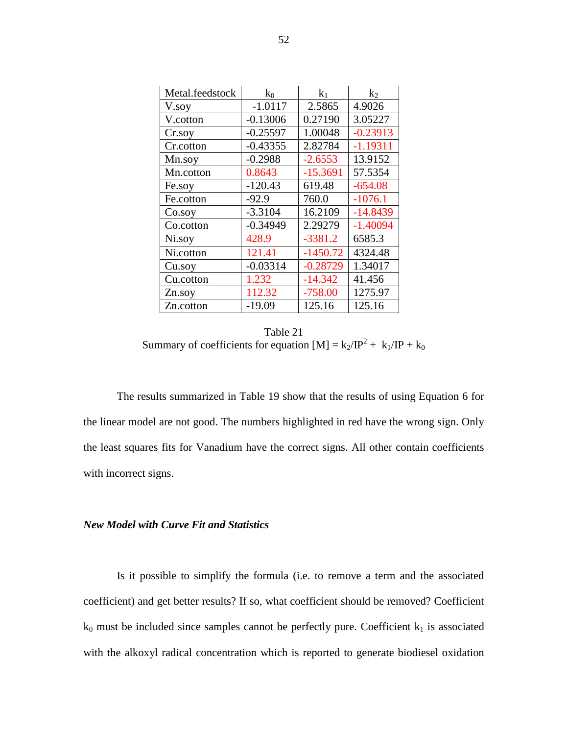| Metal.feedstock | $k_0$      | $k_1$      | $k_2$      |
|-----------------|------------|------------|------------|
| V.soy           | $-1.0117$  | 2.5865     | 4.9026     |
| V.cotton        | $-0.13006$ | 0.27190    | 3.05227    |
| Cr.soy          | $-0.25597$ | 1.00048    | $-0.23913$ |
| Cr.cotton       | $-0.43355$ | 2.82784    | $-1.19311$ |
| Mn.soy          | $-0.2988$  | $-2.6553$  | 13.9152    |
| Mn.cotton       | 0.8643     | $-15.3691$ | 57.5354    |
| Fe.soy          | $-120.43$  | 619.48     | $-654.08$  |
| Fe.cotton       | $-92.9$    | 760.0      | $-1076.1$  |
| Co.soy          | $-3.3104$  | 16.2109    | $-14.8439$ |
| Co.cotton       | $-0.34949$ | 2.29279    | $-1.40094$ |
| Ni.soy          | 428.9      | $-3381.2$  | 6585.3     |
| Ni.cotton       | 121.41     | $-1450.72$ | 4324.48    |
| Cu.soy          | $-0.03314$ | $-0.28729$ | 1.34017    |
| Cu.cotton       | 1.232      | $-14.342$  | 41.456     |
| Zn.soy          | 112.32     | $-758.00$  | 1275.97    |
| Zn.cotton       | $-19.09$   | 125.16     | 125.16     |

Table 21 Summary of coefficients for equation  $[M] = k_2/IP^2 + k_1/IP + k_0$ 

 The results summarized in Table 19 show that the results of using Equation 6 for the linear model are not good. The numbers highlighted in red have the wrong sign. Only the least squares fits for Vanadium have the correct signs. All other contain coefficients with incorrect signs.

#### *New Model with Curve Fit and Statistics*

 Is it possible to simplify the formula (i.e. to remove a term and the associated coefficient) and get better results? If so, what coefficient should be removed? Coefficient  $k_0$  must be included since samples cannot be perfectly pure. Coefficient  $k_1$  is associated with the alkoxyl radical concentration which is reported to generate biodiesel oxidation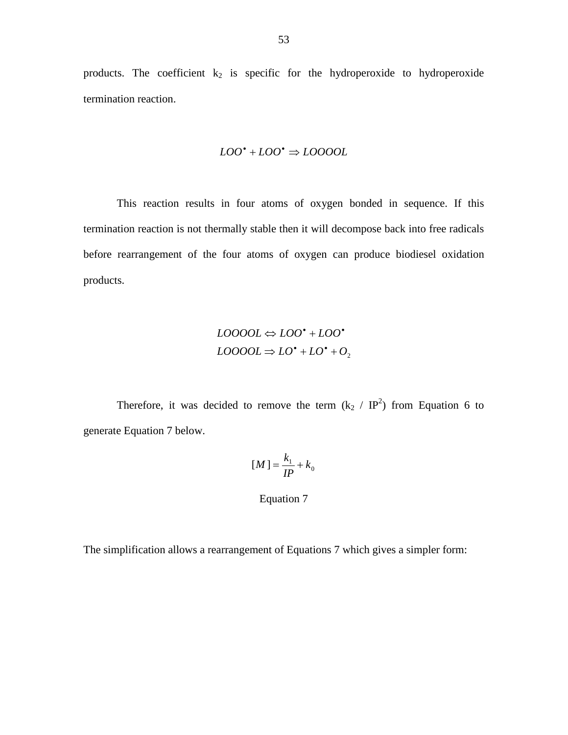products. The coefficient  $k_2$  is specific for the hydroperoxide to hydroperoxide termination reaction.

$$
LOO^{\bullet} + LOO^{\bullet} \Rightarrow LOOOOL
$$

 This reaction results in four atoms of oxygen bonded in sequence. If this termination reaction is not thermally stable then it will decompose back into free radicals before rearrangement of the four atoms of oxygen can produce biodiesel oxidation products.

$$
LOOOOL \Leftrightarrow LOO^{\bullet} + LOO^{\bullet}
$$

$$
LOOOOL \Rightarrow LO^{\bullet} + LO^{\bullet} + O_2
$$

Therefore, it was decided to remove the term  $(k_2 / IP^2)$  from Equation 6 to generate Equation 7 below.

$$
[M] = \frac{k_1}{IP} + k_0
$$

#### Equation 7

The simplification allows a rearrangement of Equations 7 which gives a simpler form: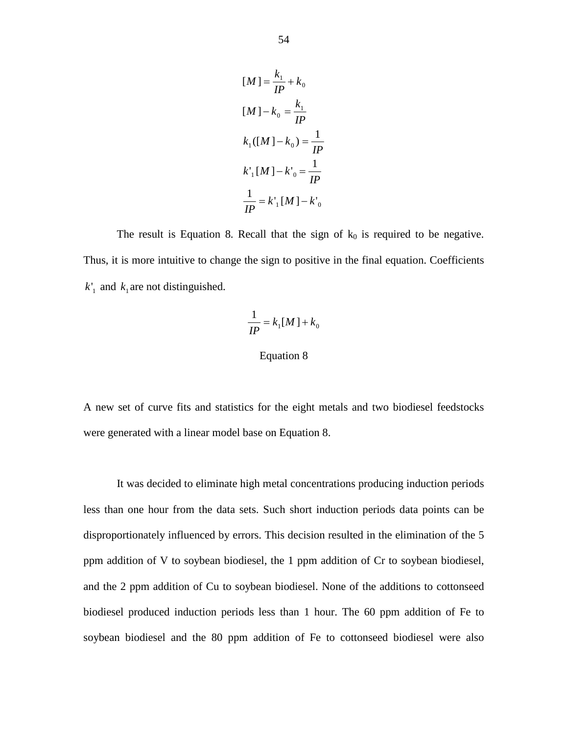$$
[M] = \frac{k_1}{IP} + k_0
$$
  
\n
$$
[M] - k_0 = \frac{k_1}{IP}
$$
  
\n
$$
k_1([M] - k_0) = \frac{1}{IP}
$$
  
\n
$$
k'_1[M] - k'_0 = \frac{1}{IP}
$$
  
\n
$$
\frac{1}{IP} = k'_1[M] - k'_0
$$

The result is Equation 8. Recall that the sign of  $k_0$  is required to be negative. Thus, it is more intuitive to change the sign to positive in the final equation. Coefficients  $k'_1$  and  $k_1$  are not distinguished.

$$
\frac{1}{IP} = k_1[M] + k_0
$$

### Equation 8

A new set of curve fits and statistics for the eight metals and two biodiesel feedstocks were generated with a linear model base on Equation 8.

 It was decided to eliminate high metal concentrations producing induction periods less than one hour from the data sets. Such short induction periods data points can be disproportionately influenced by errors. This decision resulted in the elimination of the 5 ppm addition of V to soybean biodiesel, the 1 ppm addition of Cr to soybean biodiesel, and the 2 ppm addition of Cu to soybean biodiesel. None of the additions to cottonseed biodiesel produced induction periods less than 1 hour. The 60 ppm addition of Fe to soybean biodiesel and the 80 ppm addition of Fe to cottonseed biodiesel were also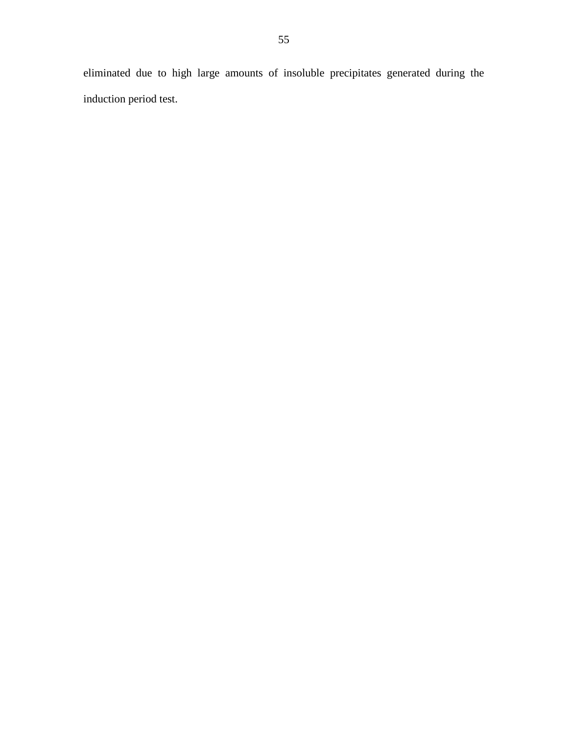eliminated due to high large amounts of insoluble precipitates generated during the induction period test.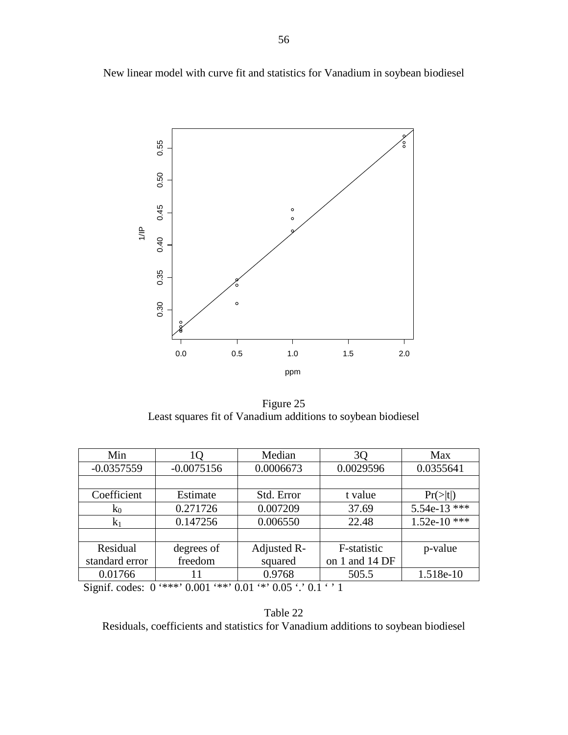New linear model with curve fit and statistics for Vanadium in soybean biodiesel



Figure 25 Least squares fit of Vanadium additions to soybean biodiesel

| Min            | 10           | Median      | 3 <sub>O</sub> | Max                  |
|----------------|--------------|-------------|----------------|----------------------|
| $-0.0357559$   | $-0.0075156$ | 0.0006673   | 0.0029596      | 0.0355641            |
|                |              |             |                |                      |
| Coefficient    | Estimate     | Std. Error  | t value        | $Pr(>\vert t \vert)$ |
| $k_0$          | 0.271726     | 0.007209    | 37.69          | $5.54e-13$ ***       |
| $k_1$          | 0.147256     | 0.006550    | 22.48          | $1.52e-10$ ***       |
|                |              |             |                |                      |
| Residual       | degrees of   | Adjusted R- | F-statistic    | p-value              |
| standard error | freedom      | squared     | on 1 and 14 DF |                      |
| 0.01766        | 11           | 0.9768      | 505.5          | 1.518e-10            |

Signif. codes:  $0$  '\*\*\*'  $0.001$  '\*\*'  $0.01$  '\*'  $0.05$  '.'  $0.1$  ' ' 1

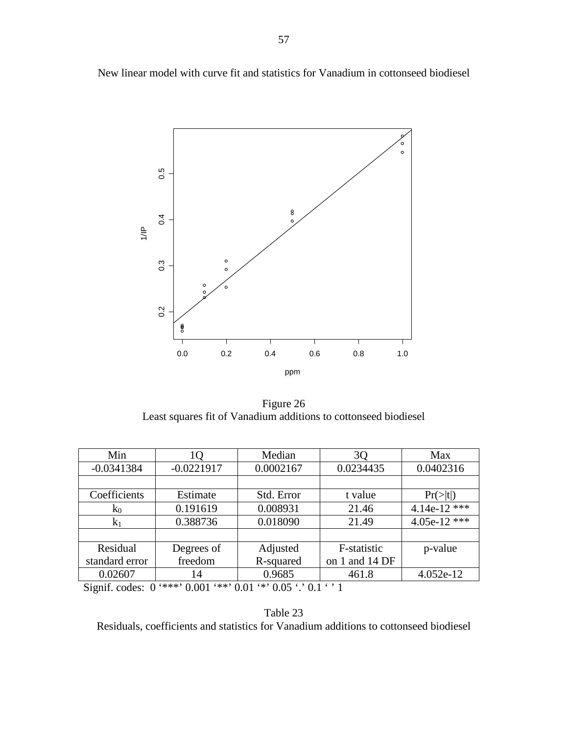New linear model with curve fit and statistics for Vanadium in cottonseed biodiesel



Figure 26 Least squares fit of Vanadium additions to cottonseed biodiesel

| Min            | 10           | Median     | 30             | Max                  |
|----------------|--------------|------------|----------------|----------------------|
| $-0.0341384$   | $-0.0221917$ | 0.0002167  | 0.0234435      | 0.0402316            |
|                |              |            |                |                      |
| Coefficients   | Estimate     | Std. Error | t value        | $Pr(>\vert t \vert)$ |
| $k_0$          | 0.191619     | 0.008931   | 21.46          | 4.14e-12 ***         |
| $k_1$          | 0.388736     | 0.018090   | 21.49          | 4.05e-12 ***         |
|                |              |            |                |                      |
| Residual       | Degrees of   | Adjusted   | F-statistic    | p-value              |
| standard error | freedom      | R-squared  | on 1 and 14 DF |                      |
| 0.02607        | 14           | 0.9685     | 461.8          | 4.052e-12            |

Signif. codes:  $0$  '\*\*\*'  $0.001$  '\*\*'  $0.01$  '\*'  $0.05$  '.'  $0.1$  ' ' 1

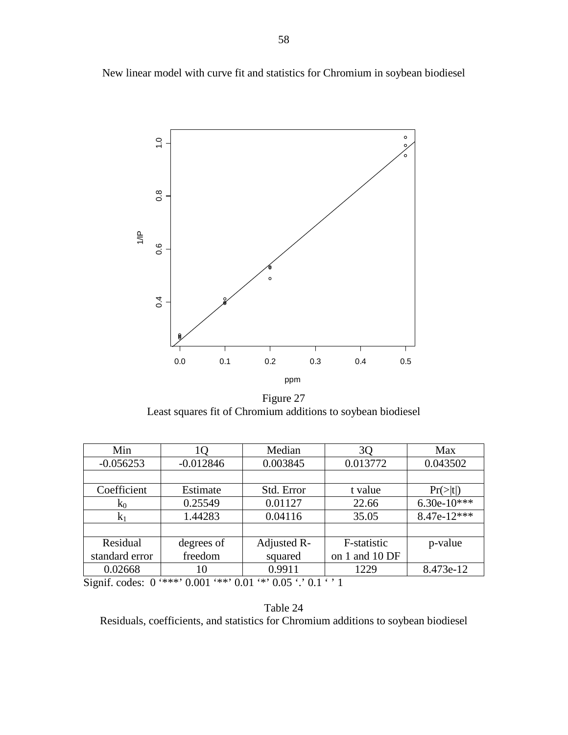New linear model with curve fit and statistics for Chromium in soybean biodiesel



Figure 27 Least squares fit of Chromium additions to soybean biodiesel

| Min                                                                                                                                                                 | 1Q          | Median      | 3Q             | Max                  |
|---------------------------------------------------------------------------------------------------------------------------------------------------------------------|-------------|-------------|----------------|----------------------|
| $-0.056253$                                                                                                                                                         | $-0.012846$ | 0.003845    | 0.013772       | 0.043502             |
|                                                                                                                                                                     |             |             |                |                      |
| Coefficient                                                                                                                                                         | Estimate    | Std. Error  | t value        | $Pr(>\vert t \vert)$ |
| $k_0$                                                                                                                                                               | 0.25549     | 0.01127     | 22.66          | $6.30e-10***$        |
| K <sub>1</sub>                                                                                                                                                      | 1.44283     | 0.04116     | 35.05          | 8.47e-12***          |
|                                                                                                                                                                     |             |             |                |                      |
| Residual                                                                                                                                                            | degrees of  | Adjusted R- | F-statistic    | p-value              |
| standard error                                                                                                                                                      | freedom     | squared     | on 1 and 10 DF |                      |
| 0.02668                                                                                                                                                             | 10          | 0.9911      | 1229           | 8.473e-12            |
| $\alpha'$ (c) 1 $\alpha$ ( $\psi \psi \psi$ ) $\alpha$ $\alpha$ ( $\psi \psi$ ) $\alpha$ $\alpha$ ( $\psi$ ) $\alpha$ $\alpha$ ( $\psi$ ) $\alpha$ 1 ( $\gamma$ ) 1 |             |             |                |                      |

Signif. codes:  $0$  '\*\*\*'  $0.001$  '\*\*'  $0.01$  '\*'  $0.05$  '.'  $0.1$  ' ' 1

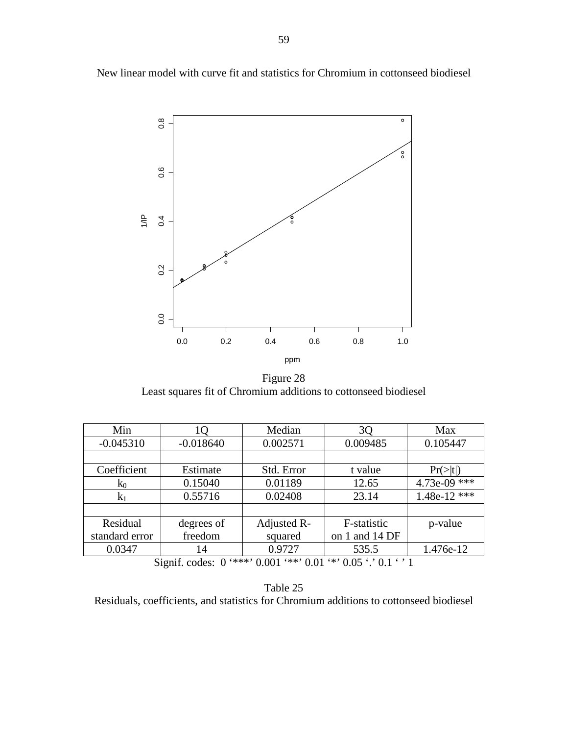New linear model with curve fit and statistics for Chromium in cottonseed biodiesel



Figure 28 Least squares fit of Chromium additions to cottonseed biodiesel

| Min            | lQ          | Median      | 3 <sub>Q</sub> | Max            |  |
|----------------|-------------|-------------|----------------|----------------|--|
| $-0.045310$    | $-0.018640$ | 0.002571    | 0.009485       | 0.105447       |  |
|                |             |             |                |                |  |
| Coefficient    | Estimate    | Std. Error  | t value        | $Pr(>\mid t )$ |  |
| $k_0$          | 0.15040     | 0.01189     | 12.65          | 4.73e-09 ***   |  |
| $k_1$          | 0.55716     | 0.02408     | 23.14          | $1.48e-12$ *** |  |
|                |             |             |                |                |  |
| Residual       | degrees of  | Adjusted R- | F-statistic    | p-value        |  |
| standard error | freedom     | squared     | on 1 and 14 DF |                |  |
| 0.0347         | 14          | 0.9727      | 535.5          | 1.476e-12      |  |
|                |             |             |                |                |  |

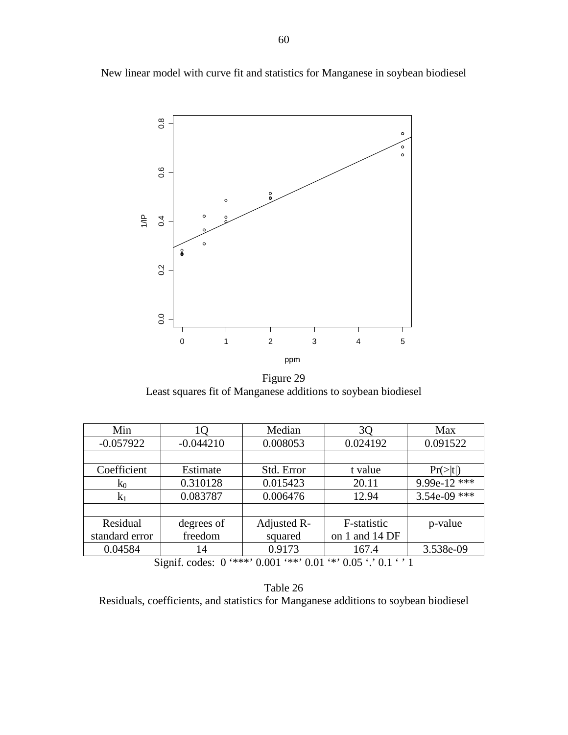New linear model with curve fit and statistics for Manganese in soybean biodiesel



Figure 29 Least squares fit of Manganese additions to soybean biodiesel

| Min            | 1O          | Median      | 3 <sub>Q</sub> | Max                  |
|----------------|-------------|-------------|----------------|----------------------|
| $-0.057922$    | $-0.044210$ | 0.008053    | 0.024192       | 0.091522             |
|                |             |             |                |                      |
| Coefficient    | Estimate    | Std. Error  | t value        | $Pr(>\vert t \vert)$ |
| $k_0$          | 0.310128    | 0.015423    | 20.11          | 9.99e-12 ***         |
| $k_1$          | 0.083787    | 0.006476    | 12.94          | $3.54e-09$ ***       |
|                |             |             |                |                      |
| Residual       | degrees of  | Adjusted R- | F-statistic    | p-value              |
| standard error | freedom     | squared     | on 1 and 14 DF |                      |
| 0.04584        | 14          | 0.9173      | 167.4          | 3.538e-09            |
|                |             |             |                |                      |

Table 26 Residuals, coefficients, and statistics for Manganese additions to soybean biodiesel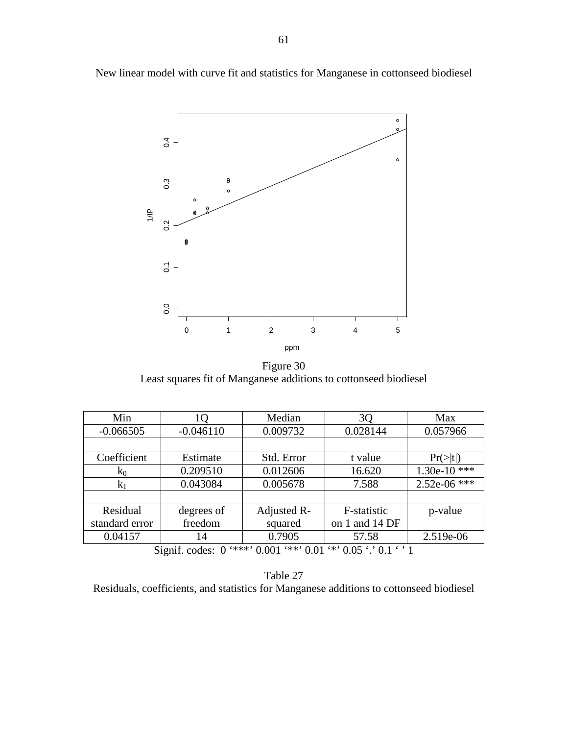New linear model with curve fit and statistics for Manganese in cottonseed biodiesel



Figure 30 Least squares fit of Manganese additions to cottonseed biodiesel

| Min            | 10          | Median      | 3Q             | Max            |
|----------------|-------------|-------------|----------------|----------------|
| $-0.066505$    | $-0.046110$ | 0.009732    | 0.028144       | 0.057966       |
|                |             |             |                |                |
| Coefficient    | Estimate    | Std. Error  | t value        | $Pr(>\mid t )$ |
| $k_0$          | 0.209510    | 0.012606    | 16.620         | $1.30e-10$ *** |
| $k_1$          | 0.043084    | 0.005678    | 7.588          | $2.52e-06$ *** |
|                |             |             |                |                |
| Residual       | degrees of  | Adjusted R- | F-statistic    | p-value        |
| standard error | freedom     | squared     | on 1 and 14 DF |                |
| 0.04157        | 14          | 0.7905      | 57.58          | 2.519e-06      |

Table 27 Residuals, coefficients, and statistics for Manganese additions to cottonseed biodiesel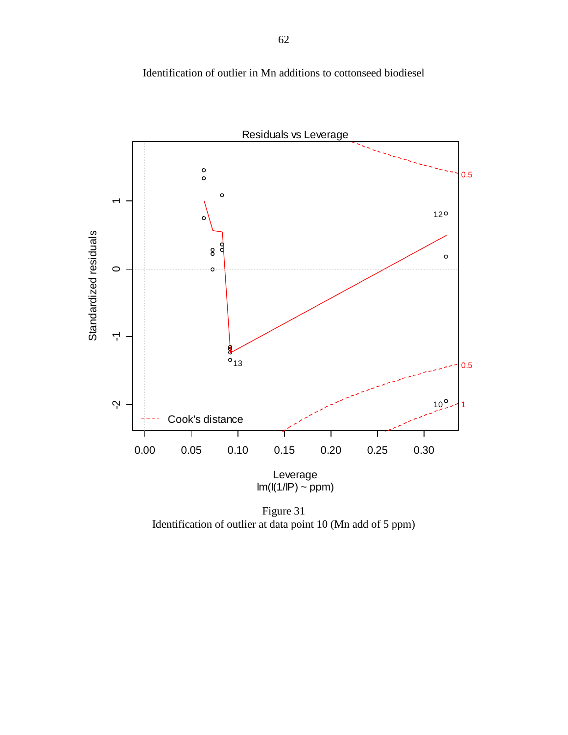

Identification of outlier in Mn additions to cottonseed biodiesel

Figure 31 Identification of outlier at data point 10 (Mn add of 5 ppm)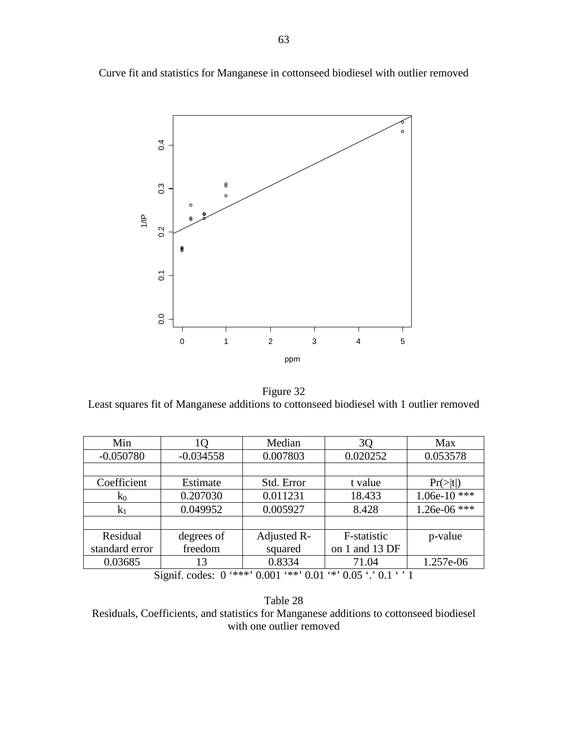Curve fit and statistics for Manganese in cottonseed biodiesel with outlier removed



Figure 32 Least squares fit of Manganese additions to cottonseed biodiesel with 1 outlier removed

| Min            | LO          | Median      | 3Q                                                                       | Max            |  |  |
|----------------|-------------|-------------|--------------------------------------------------------------------------|----------------|--|--|
| $-0.050780$    | $-0.034558$ | 0.007803    | 0.020252                                                                 | 0.053578       |  |  |
|                |             |             |                                                                          |                |  |  |
| Coefficient    | Estimate    | Std. Error  | t value                                                                  | $Pr(>\mid t )$ |  |  |
| $k_0$          | 0.207030    | 0.011231    | 18.433                                                                   | $1.06e-10$ *** |  |  |
| $k_1$          | 0.049952    | 0.005927    | 8.428                                                                    | 1.26e-06 ***   |  |  |
|                |             |             |                                                                          |                |  |  |
| Residual       | degrees of  | Adjusted R- | F-statistic                                                              | p-value        |  |  |
| standard error | freedom     | squared     | on 1 and 13 DF                                                           |                |  |  |
| 0.03685        | 13          | 0.8334      | 71.04                                                                    | 1.257e-06      |  |  |
|                |             |             | $Cianif \ncodone{0}$ $(***' \n0.001$ $(**) \n0.01$ $(*) \n0.05$ $(0.05)$ |                |  |  |



Residuals, Coefficients, and statistics for Manganese additions to cottonseed biodiesel with one outlier removed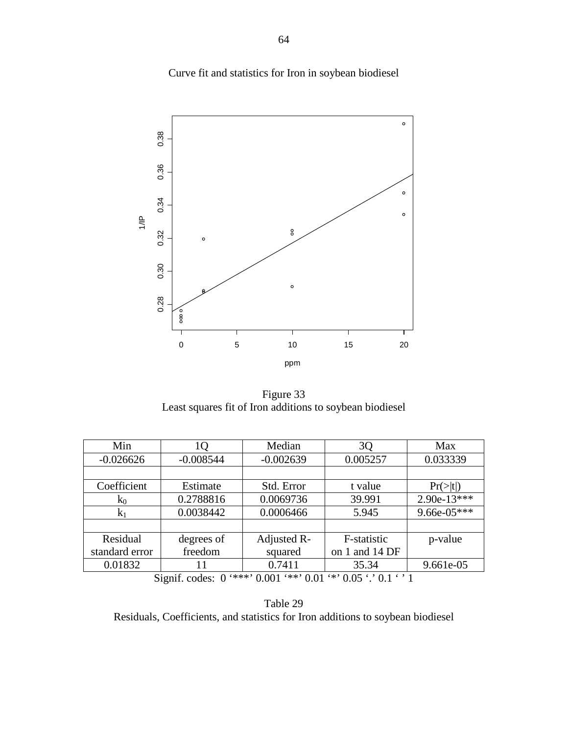Curve fit and statistics for Iron in soybean biodiesel



Figure 33 Least squares fit of Iron additions to soybean biodiesel

| Min            | 10          | Median      | 3Q                                                                  | Max            |
|----------------|-------------|-------------|---------------------------------------------------------------------|----------------|
| $-0.026626$    | $-0.008544$ | $-0.002639$ | 0.005257                                                            | 0.033339       |
|                |             |             |                                                                     |                |
| Coefficient    | Estimate    | Std. Error  | t value                                                             | $Pr(>\mid t )$ |
| $k_0$          | 0.2788816   | 0.0069736   | 39.991                                                              | $2.90e-13***$  |
| $k_1$          | 0.0038442   | 0.0006466   | 5.945                                                               | 9.66e-05***    |
|                |             |             |                                                                     |                |
| Residual       | degrees of  | Adjusted R- | F-statistic                                                         | p-value        |
| standard error | freedom     | squared     | on 1 and 14 DF                                                      |                |
| 0.01832        | 11          | 0.7411      | 35.34                                                               | 9.661e-05      |
|                |             |             | Signif endow $0$ '***' $0.001$ '**' $0.01$ '*' $0.05$ ' $0.1$ ' $1$ |                |

Signif. codes:  $0 \cdot$ \*\*\*'  $0.001 \cdot$ \*\*'  $0.01 \cdot$ ''  $0.05 \cdot$ ' 0.1

Table 29 Residuals, Coefficients, and statistics for Iron additions to soybean biodiesel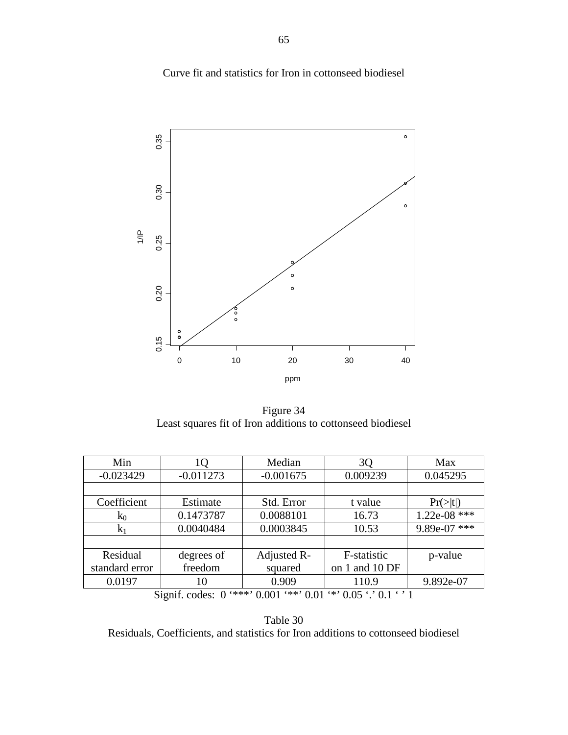Curve fit and statistics for Iron in cottonseed biodiesel



Figure 34 Least squares fit of Iron additions to cottonseed biodiesel

| Min            | 10                                                                        | Median      | 3Q             | Max                  |  |  |
|----------------|---------------------------------------------------------------------------|-------------|----------------|----------------------|--|--|
| $-0.023429$    | $-0.011273$                                                               | $-0.001675$ | 0.009239       | 0.045295             |  |  |
|                |                                                                           |             |                |                      |  |  |
| Coefficient    | Estimate                                                                  | Std. Error  | t value        | $Pr(>\vert t \vert)$ |  |  |
| $k_0$          | 0.1473787                                                                 | 0.0088101   | 16.73          | $1.22e-08$ ***       |  |  |
| $k_1$          | 0.0040484                                                                 | 0.0003845   | 10.53          | 9.89e-07 ***         |  |  |
|                |                                                                           |             |                |                      |  |  |
| Residual       | degrees of                                                                | Adjusted R- | F-statistic    | p-value              |  |  |
| standard error | freedom                                                                   | squared     | on 1 and 10 DF |                      |  |  |
| 0.0197         | 10                                                                        | 0.909       | 110.9          | 9.892e-07            |  |  |
|                | '***' $0.001$ '**' $0.01$ '*' $0.05$ '.' $0.1$ ' '1<br>Signif. codes: $0$ |             |                |                      |  |  |

Table 30 Residuals, Coefficients, and statistics for Iron additions to cottonseed biodiesel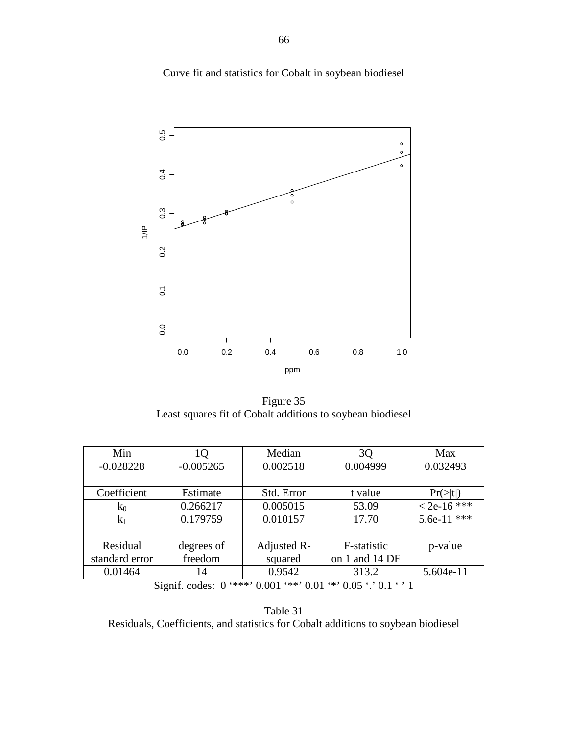Curve fit and statistics for Cobalt in soybean biodiesel



Figure 35 Least squares fit of Cobalt additions to soybean biodiesel

| Min            | lQ                               | Median      | 3Q             | Max                  |
|----------------|----------------------------------|-------------|----------------|----------------------|
| $-0.028228$    | $-0.005265$                      | 0.002518    | 0.004999       | 0.032493             |
|                |                                  |             |                |                      |
| Coefficient    | Estimate                         | Std. Error  | t value        | $Pr(>\vert t \vert)$ |
| $k_0$          | 0.266217                         | 0.005015    | 53.09          | $<$ 2e-16 ***        |
| $k_1$          | 0.179759                         | 0.010157    | 17.70          | 5.6e-11 ***          |
|                |                                  |             |                |                      |
| Residual       | degrees of                       | Adjusted R- | F-statistic    | p-value              |
| standard error | freedom                          | squared     | on 1 and 14 DF |                      |
| 0.01464        | 14                               | 0.9542      | 313.2          | 5.604e-11            |
| $\sim$         | $\cdot$ $\sim$<br>$\blacksquare$ |             |                |                      |

Table 31 Residuals, Coefficients, and statistics for Cobalt additions to soybean biodiesel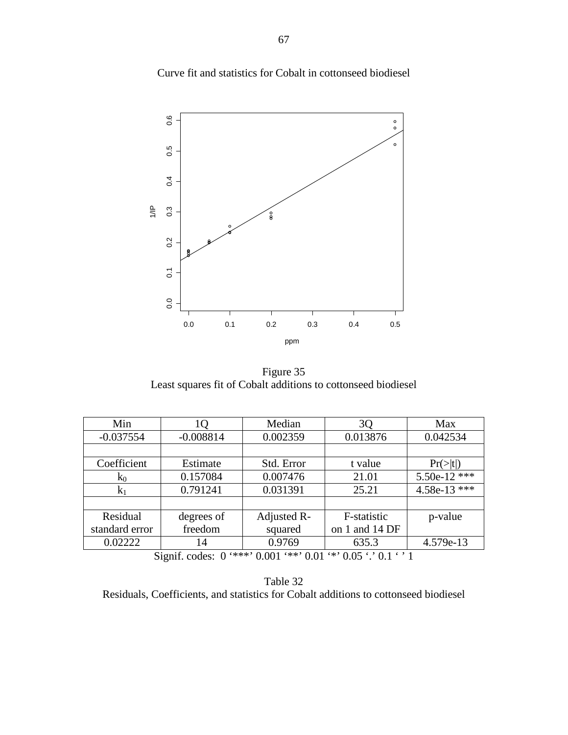Curve fit and statistics for Cobalt in cottonseed biodiesel



Figure 35 Least squares fit of Cobalt additions to cottonseed biodiesel

| Min                                                                         | 10          | Median      | 3Q             | Max                  |  |
|-----------------------------------------------------------------------------|-------------|-------------|----------------|----------------------|--|
| $-0.037554$                                                                 | $-0.008814$ | 0.002359    | 0.013876       | 0.042534             |  |
|                                                                             |             |             |                |                      |  |
| Coefficient                                                                 | Estimate    | Std. Error  | t value        | $Pr(>\vert t \vert)$ |  |
| $k_0$                                                                       | 0.157084    | 0.007476    | 21.01          | $5.50e-12$ ***       |  |
| $k_1$                                                                       | 0.791241    | 0.031391    | 25.21          | 4.58e-13 ***         |  |
|                                                                             |             |             |                |                      |  |
| Residual                                                                    | degrees of  | Adjusted R- | F-statistic    | p-value              |  |
| standard error                                                              | freedom     | squared     | on 1 and 14 DF |                      |  |
| 0.02222                                                                     | 14          | 0.9769      | 635.3          | 4.579e-13            |  |
| $***$ 0.001 $**$ 0.01 $**$ 0.05 $\cdot$ 0.1 $\cdot$ 1<br>Signif. codes: $0$ |             |             |                |                      |  |

Table 32 Residuals, Coefficients, and statistics for Cobalt additions to cottonseed biodiesel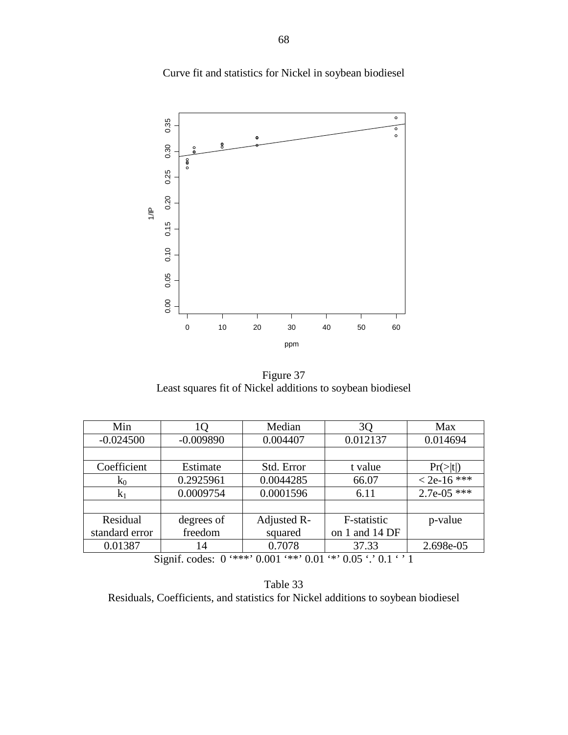

Curve fit and statistics for Nickel in soybean biodiesel

Figure 37 Least squares fit of Nickel additions to soybean biodiesel

| Min            | 1Q          | Median      | 3Q                                                                           | Max                  |
|----------------|-------------|-------------|------------------------------------------------------------------------------|----------------------|
| $-0.024500$    | $-0.009890$ | 0.004407    | 0.012137                                                                     | 0.014694             |
|                |             |             |                                                                              |                      |
| Coefficient    | Estimate    | Std. Error  | t value                                                                      | $Pr(>\vert t \vert)$ |
| $k_0$          | 0.2925961   | 0.0044285   | 66.07                                                                        | $< 2e-16$ ***        |
| $k_1$          | 0.0009754   | 0.0001596   | 6.11                                                                         | $2.7e-05$ ***        |
|                |             |             |                                                                              |                      |
| Residual       | degrees of  | Adjusted R- | F-statistic                                                                  | p-value              |
| standard error | freedom     | squared     | on 1 and 14 DF                                                               |                      |
| 0.01387        | 14          | 0.7078      | 37.33                                                                        | 2.698e-05            |
|                |             |             | $C_{i}$ and $C_{i}$ and $C_{i}$ (***) 0.001 (**) 0.01 (*) 0.05 (*) 0.1 (*) 1 |                      |

Table 33 Residuals, Coefficients, and statistics for Nickel additions to soybean biodiesel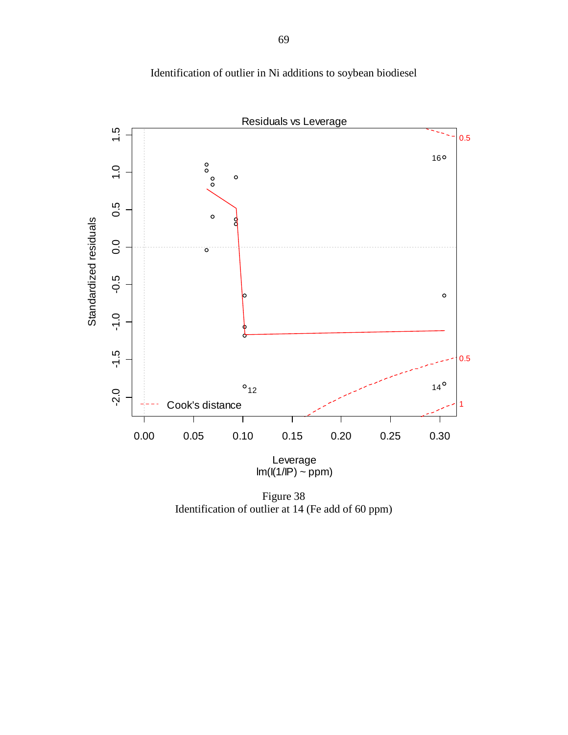

Identification of outlier in Ni additions to soybean biodiesel

Figure 38 Identification of outlier at 14 (Fe add of 60 ppm)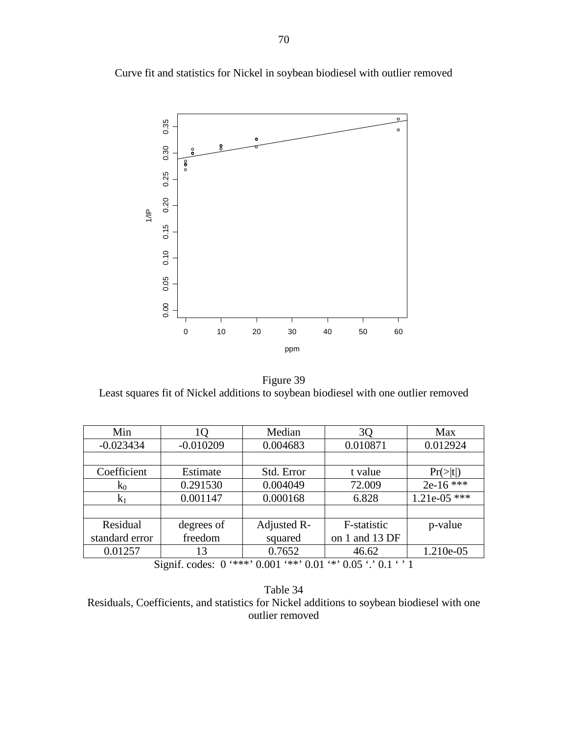

Curve fit and statistics for Nickel in soybean biodiesel with outlier removed

Figure 39 Least squares fit of Nickel additions to soybean biodiesel with one outlier removed

| Min            | IQ          | Median      | 3Q             | Max                  |  |  |
|----------------|-------------|-------------|----------------|----------------------|--|--|
| $-0.023434$    | $-0.010209$ | 0.004683    | 0.010871       | 0.012924             |  |  |
|                |             |             |                |                      |  |  |
| Coefficient    | Estimate    | Std. Error  | t value        | $Pr(>\vert t \vert)$ |  |  |
| $k_0$          | 0.291530    | 0.004049    | 72.009         | $2e-16$ ***          |  |  |
| $k_1$          | 0.001147    | 0.000168    | 6.828          | $1.21e-05$ ***       |  |  |
|                |             |             |                |                      |  |  |
| Residual       | degrees of  | Adjusted R- | F-statistic    | p-value              |  |  |
| standard error | freedom     | squared     | on 1 and 13 DF |                      |  |  |
| 0.01257        | 13          | 0.7652      | 46.62          | 1.210e-05            |  |  |
|                |             |             |                |                      |  |  |

Table 34 Residuals, Coefficients, and statistics for Nickel additions to soybean biodiesel with one outlier removed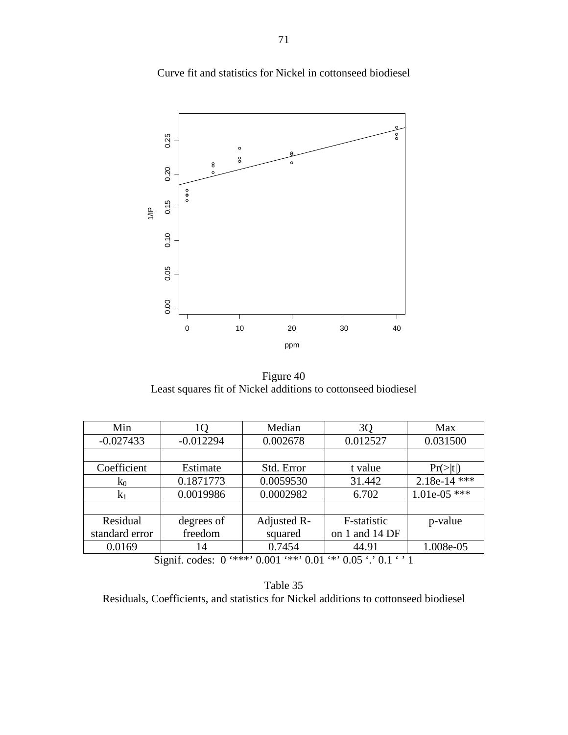

Figure 40 Least squares fit of Nickel additions to cottonseed biodiesel

| Min            | 10          | Median      | 3Q                                                                           | Max            |  |  |
|----------------|-------------|-------------|------------------------------------------------------------------------------|----------------|--|--|
| $-0.027433$    | $-0.012294$ | 0.002678    | 0.012527                                                                     | 0.031500       |  |  |
|                |             |             |                                                                              |                |  |  |
| Coefficient    | Estimate    | Std. Error  | t value                                                                      | $Pr(>\mid t )$ |  |  |
| $k_0$          | 0.1871773   | 0.0059530   | 31.442                                                                       | $2.18e-14$ *** |  |  |
| $k_1$          | 0.0019986   | 0.0002982   | 6.702                                                                        | $1.01e-05$ *** |  |  |
|                |             |             |                                                                              |                |  |  |
| Residual       | degrees of  | Adjusted R- | F-statistic                                                                  | p-value        |  |  |
| standard error | freedom     | squared     | on 1 and 14 DF                                                               |                |  |  |
| 0.0169         | 14          | 0.7454      | 44.91                                                                        | 1.008e-05      |  |  |
|                |             |             | $C_{i}$ and $C_{i}$ and $C_{i}$ (***) 0.001 (**) 0.01 (*) 0.05 (*) 0.1 (*) 1 |                |  |  |

Signif. codes:  $0$  '\*\*\*'  $0.001$  '\*\*'  $0.01$  '\*'  $0.05$  '.'  $0.1$  ' ' 1

Table 35 Residuals, Coefficients, and statistics for Nickel additions to cottonseed biodiesel

Curve fit and statistics for Nickel in cottonseed biodiesel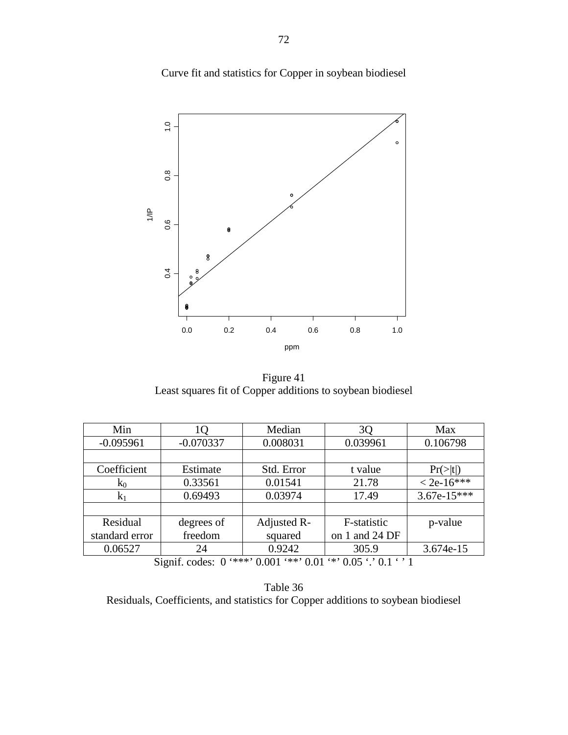Curve fit and statistics for Copper in soybean biodiesel



Figure 41 Least squares fit of Copper additions to soybean biodiesel

| Min            | IQ          | Median      | 3Q             | Max            |
|----------------|-------------|-------------|----------------|----------------|
| $-0.095961$    | $-0.070337$ | 0.008031    | 0.039961       | 0.106798       |
|                |             |             |                |                |
| Coefficient    | Estimate    | Std. Error  | t value        | $Pr(>\mid t )$ |
| $k_0$          | 0.33561     | 0.01541     | 21.78          | $< 2e-16***$   |
| K <sub>1</sub> | 0.69493     | 0.03974     | 17.49          | $3.67e-15***$  |
|                |             |             |                |                |
| Residual       | degrees of  | Adjusted R- | F-statistic    | p-value        |
| standard error | freedom     | squared     | on 1 and 24 DF |                |
| 0.06527        | 24          | 0.9242      | 305.9          | 3.674e-15      |

Table 36 Residuals, Coefficients, and statistics for Copper additions to soybean biodiesel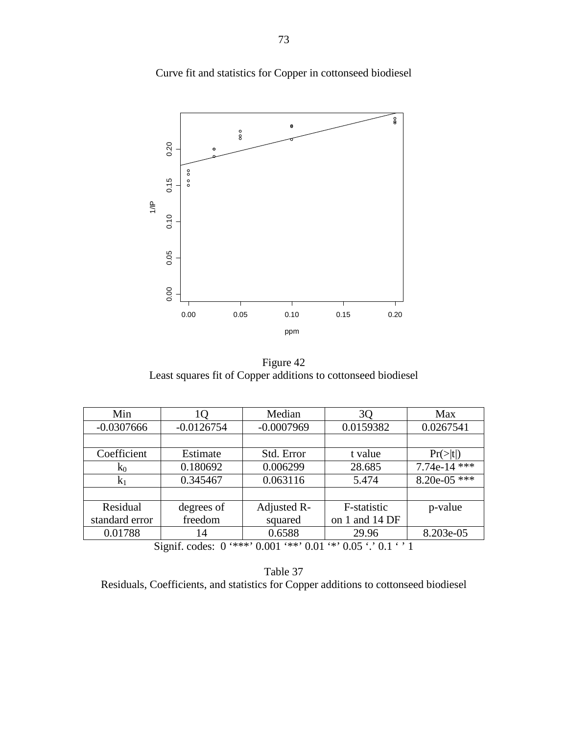$\frac{0}{8}$  $\pmb{\Theta}$  $^{\circ}_{8}$ 0.20 0.00 0.05 0.10 0.15 0.20  $0000$  $0.15$  $\equiv$  $0.10$ 0.05 0.00 0.00 0.05 0.10 0.15 0.20 ppm

Curve fit and statistics for Copper in cottonseed biodiesel

Figure 42 Least squares fit of Copper additions to cottonseed biodiesel

| Min            | ιO           | Median       | 3Q                                                                  | Max               |
|----------------|--------------|--------------|---------------------------------------------------------------------|-------------------|
| $-0.0307666$   | $-0.0126754$ | $-0.0007969$ | 0.0159382                                                           | 0.0267541         |
|                |              |              |                                                                     |                   |
| Coefficient    | Estimate     | Std. Error   | t value                                                             | $Pr(>\mid t )$    |
| $k_0$          | 0.180692     | 0.006299     | 28.685                                                              | ***<br>$7.74e-14$ |
| $k_1$          | 0.345467     | 0.063116     | 5.474                                                               | 8.20e-05 ***      |
|                |              |              |                                                                     |                   |
| Residual       | degrees of   | Adjusted R-  | F-statistic                                                         | p-value           |
| standard error | freedom      | squared      | on 1 and 14 DF                                                      |                   |
| 0.01788        | 14           | 0.6588       | 29.96                                                               | 8.203e-05         |
|                |              |              | Signif endow $0$ '***' $0.001$ '**' $0.01$ '*' $0.05$ ' $0.1$ ' $1$ |                   |

Table 37 Residuals, Coefficients, and statistics for Copper additions to cottonseed biodiesel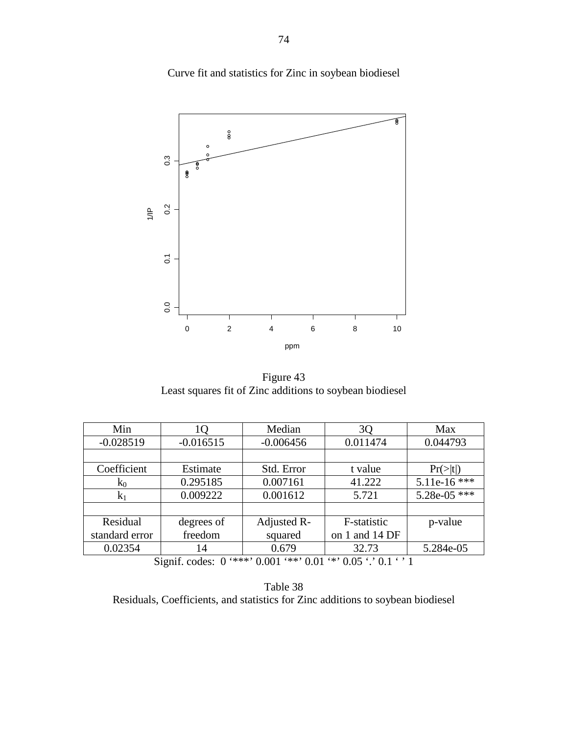$_{\rm 8}^{\rm o}$  $\circ$  $0.\overline{3}$ 0.0<br>0.2<br>0.1<br>0.1<br>0.1  $\overline{\mathbf{g}}$  $\equiv$  $0<sup>2</sup>$  $\overline{O}$  $0.0$ 0 2 4 6 8 10 ppm

Figure 43 Least squares fit of Zinc additions to soybean biodiesel

| lО          | Median      | 3Q             | Max            |
|-------------|-------------|----------------|----------------|
| $-0.016515$ | $-0.006456$ | 0.011474       | 0.044793       |
|             |             |                |                |
| Estimate    | Std. Error  | t value        | $Pr(>\mid t )$ |
| 0.295185    | 0.007161    | 41.222         | $5.11e-16$ *** |
| 0.009222    | 0.001612    | 5.721          | $5.28e-05$ *** |
|             |             |                |                |
| degrees of  | Adjusted R- | F-statistic    | p-value        |
| freedom     | squared     | on 1 and 14 DF |                |
| 14          | 0.679       | 32.73          | 5.284e-05      |
|             |             |                |                |

Signif. codes:  $0$  '\*\*\*'  $0.001$  '\*\*'  $0.01$  '\*'  $0.05$  '.'  $0.1$  ' ' 1

Table 38 Residuals, Coefficients, and statistics for Zinc additions to soybean biodiesel

## Curve fit and statistics for Zinc in soybean biodiesel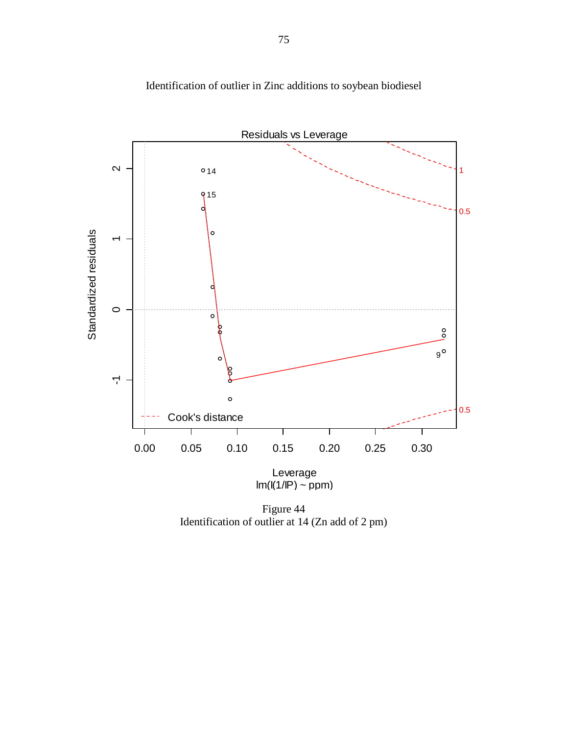

Identification of outlier in Zinc additions to soybean biodiesel

Figure 44 Identification of outlier at 14 (Zn add of 2 pm)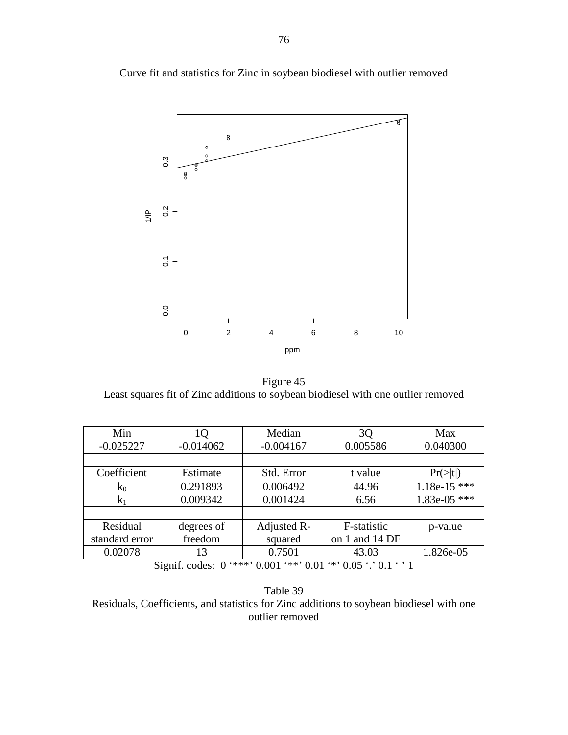

Curve fit and statistics for Zinc in soybean biodiesel with outlier removed

Figure 45 Least squares fit of Zinc additions to soybean biodiesel with one outlier removed

| Min            | ΙO                    | Median      | 3Q                              | Max                  |
|----------------|-----------------------|-------------|---------------------------------|----------------------|
| $-0.025227$    | $-0.014062$           | $-0.004167$ | 0.005586                        | 0.040300             |
|                |                       |             |                                 |                      |
| Coefficient    | Estimate              | Std. Error  | t value                         | $Pr(>\vert t \vert)$ |
| $k_0$          | 0.291893              | 0.006492    | 44.96                           | $1.18e-15$ ***       |
| $K_1$          | 0.009342              | 0.001424    | 6.56                            | $1.83e-05$ ***       |
|                |                       |             |                                 |                      |
| Residual       | degrees of            | Adjusted R- | F-statistic                     | p-value              |
| standard error | freedom               | squared     | on 1 and 14 DF                  |                      |
| 0.02078        | 13                    | 0.7501      | 43.03                           | 1.826e-05            |
| $\sim$         | $\cdot$ $\sim$<br>- 1 |             | 0.64441000164470016420076301631 |                      |

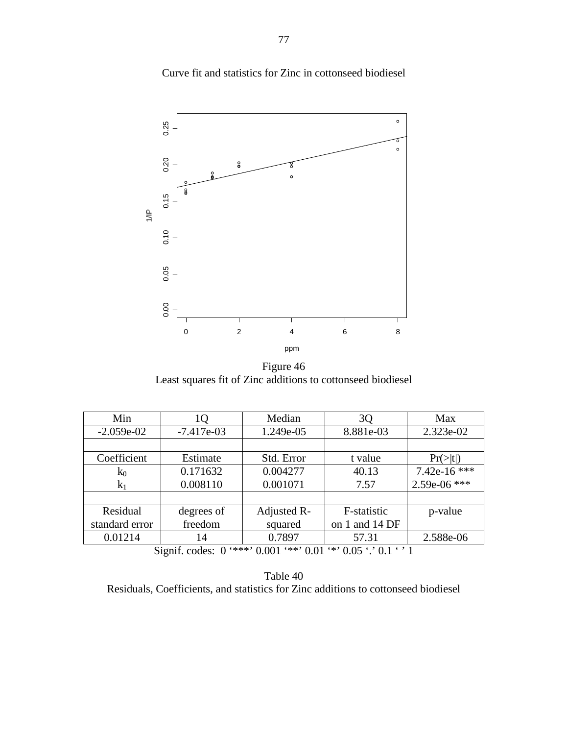

Curve fit and statistics for Zinc in cottonseed biodiesel

Figure 46 Least squares fit of Zinc additions to cottonseed biodiesel

| Min            | IQ           | Median      | 3Q                                                                                      | Max                  |
|----------------|--------------|-------------|-----------------------------------------------------------------------------------------|----------------------|
| $-2.059e-02$   | $-7.417e-03$ | 1.249e-05   | 8.881e-03                                                                               | 2.323e-02            |
|                |              |             |                                                                                         |                      |
| Coefficient    | Estimate     | Std. Error  | t value                                                                                 | $Pr(>\vert t \vert)$ |
| $k_0$          | 0.171632     | 0.004277    | 40.13                                                                                   | 7.42e-16 ***         |
| K <sub>1</sub> | 0.008110     | 0.001071    | 7.57                                                                                    | $2.59e-06$ ***       |
|                |              |             |                                                                                         |                      |
| Residual       | degrees of   | Adjusted R- | F-statistic                                                                             | p-value              |
| standard error | freedom      | squared     | on 1 and 14 DF                                                                          |                      |
| 0.01214        | 14           | 0.7897      | 57.31                                                                                   | 2.588e-06            |
|                |              |             | $C'$ (c) 1 $O(1 + 2)$ $O(1 + 2)$ $O(1 + 2)$ $O(1 + 2)$ $O(1 + 2)$ $O(1 + 2)$ $O(1 + 2)$ |                      |

Table 40 Residuals, Coefficients, and statistics for Zinc additions to cottonseed biodiesel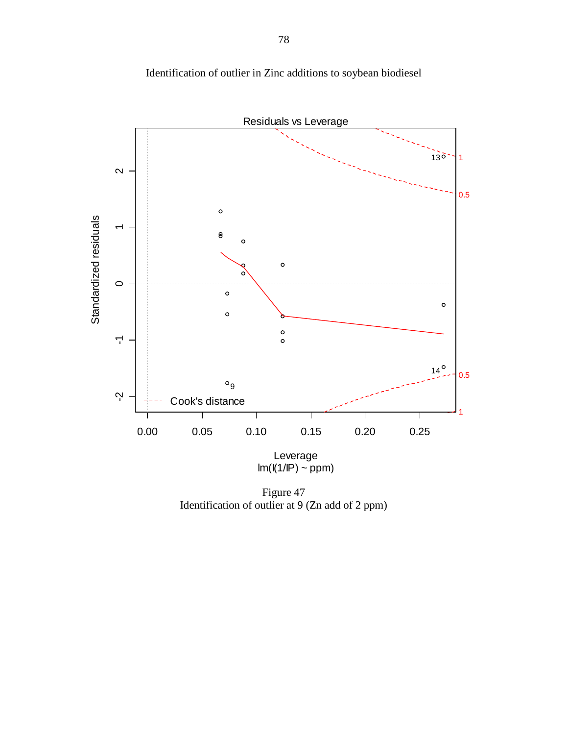

Identification of outlier in Zinc additions to soybean biodiesel

Figure 47 Identification of outlier at 9 (Zn add of 2 ppm)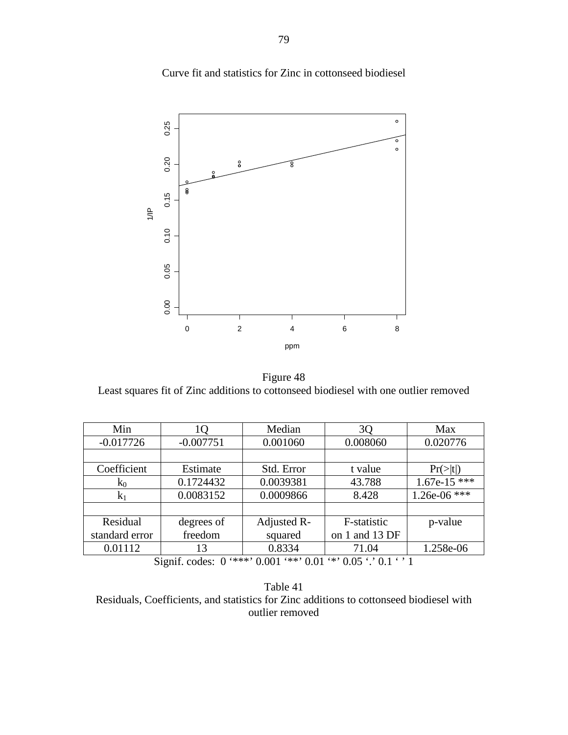Curve fit and statistics for Zinc in cottonseed biodiesel



Figure 48 Least squares fit of Zinc additions to cottonseed biodiesel with one outlier removed

| Min            | 10          | Median      | 3Q             | Max            |  |
|----------------|-------------|-------------|----------------|----------------|--|
| $-0.017726$    | $-0.007751$ | 0.001060    | 0.008060       | 0.020776       |  |
|                |             |             |                |                |  |
| Coefficient    | Estimate    | Std. Error  | t value        | $Pr(>\mid t )$ |  |
| $k_0$          | 0.1724432   | 0.0039381   | 43.788         | $1.67e-15$ *** |  |
| $k_1$          | 0.0083152   | 0.0009866   | 8.428          | $1.26e-06$ *** |  |
|                |             |             |                |                |  |
| Residual       | degrees of  | Adjusted R- | F-statistic    | p-value        |  |
| standard error | freedom     | squared     | on 1 and 13 DF |                |  |
| 0.01112        | 13          | 0.8334      | 71.04          | 1.258e-06      |  |
|                |             |             |                |                |  |

Table 41 Residuals, Coefficients, and statistics for Zinc additions to cottonseed biodiesel with outlier removed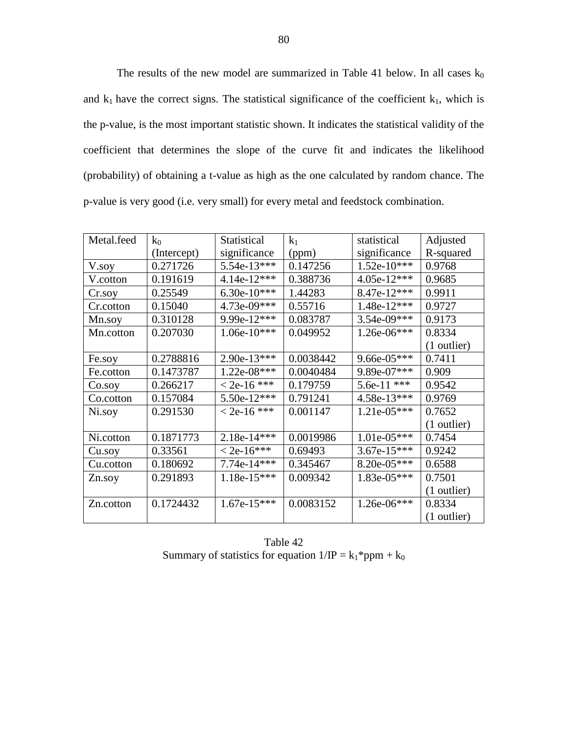The results of the new model are summarized in Table 41 below. In all cases  $k_0$ and  $k_1$  have the correct signs. The statistical significance of the coefficient  $k_1$ , which is the p-value, is the most important statistic shown. It indicates the statistical validity of the coefficient that determines the slope of the curve fit and indicates the likelihood (probability) of obtaining a t-value as high as the one calculated by random chance. The p-value is very good (i.e. very small) for every metal and feedstock combination.

| Metal.feed | $k_0$       | Statistical   | $k_1$     | statistical   | Adjusted      |
|------------|-------------|---------------|-----------|---------------|---------------|
|            | (Intercept) | significance  | (ppm)     | significance  | R-squared     |
| V.soy      | 0.271726    | 5.54e-13***   | 0.147256  | $1.52e-10***$ | 0.9768        |
| V.cotton   | 0.191619    | $4.14e-12***$ | 0.388736  | 4.05e-12***   | 0.9685        |
| Cr.soy     | 0.25549     | 6.30e-10***   | 1.44283   | 8.47e-12***   | 0.9911        |
| Cr.cotton  | 0.15040     | 4.73e-09***   | 0.55716   | 1.48e-12***   | 0.9727        |
| Mn.soy     | 0.310128    | 9.99e-12***   | 0.083787  | $3.54e-09***$ | 0.9173        |
| Mn.cotton  | 0.207030    | $1.06e-10***$ | 0.049952  | 1.26e-06***   | 0.8334        |
|            |             |               |           |               | (1 outlier)   |
| Fe.soy     | 0.2788816   | $2.90e-13***$ | 0.0038442 | 9.66e-05***   | 0.7411        |
| Fe.cotton  | 0.1473787   | $1.22e-08***$ | 0.0040484 | 9.89e-07***   | 0.909         |
| Co.soy     | 0.266217    | $< 2e-16$ *** | 0.179759  | $5.6e-11$ *** | 0.9542        |
| Co.cotton  | 0.157084    | 5.50e-12***   | 0.791241  | 4.58e-13***   | 0.9769        |
| Ni.soy     | 0.291530    | $< 2e-16$ *** | 0.001147  | $1.21e-05***$ | 0.7652        |
|            |             |               |           |               | (1 outlier)   |
| Ni.cotton  | 0.1871773   | 2.18e-14***   | 0.0019986 | $1.01e-05***$ | 0.7454        |
| Cu.soy     | 0.33561     | $< 2e-16***$  | 0.69493   | 3.67e-15***   | 0.9242        |
| Cu.cotton  | 0.180692    | $7.74e-14***$ | 0.345467  | 8.20e-05***   | 0.6588        |
| Zn.soy     | 0.291893    | $1.18e-15***$ | 0.009342  | 1.83e-05***   | 0.7501        |
|            |             |               |           |               | $(1$ outlier) |
| Zn.cotton  | 0.1724432   | $1.67e-15***$ | 0.0083152 | $1.26e-06***$ | 0.8334        |
|            |             |               |           |               | $(1$ outlier) |

Table 42 Summary of statistics for equation  $1/IP = k_1*ppm + k_0$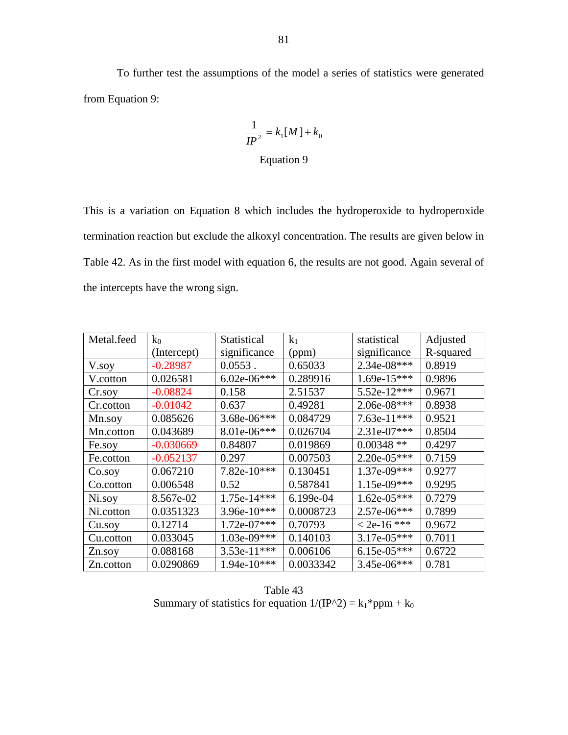To further test the assumptions of the model a series of statistics were generated from Equation 9:

$$
\frac{1}{IP^2} = k_1[M] + k_0
$$
  
Equation 9

This is a variation on Equation 8 which includes the hydroperoxide to hydroperoxide termination reaction but exclude the alkoxyl concentration. The results are given below in Table 42. As in the first model with equation 6, the results are not good. Again several of the intercepts have the wrong sign.

| Metal.feed | $k_0$       | Statistical   | k <sub>1</sub> | statistical   | Adjusted  |
|------------|-------------|---------------|----------------|---------------|-----------|
|            | (Intercept) | significance  | (ppm)          | significance  | R-squared |
| V.soy      | $-0.28987$  | $0.0553$ .    | 0.65033        | 2.34e-08***   | 0.8919    |
| V.cotton   | 0.026581    | $6.02e-06***$ | 0.289916       | $1.69e-15***$ | 0.9896    |
| Cr.soy     | $-0.08824$  | 0.158         | 2.51537        | 5.52e-12***   | 0.9671    |
| Cr.cotton  | $-0.01042$  | 0.637         | 0.49281        | 2.06e-08***   | 0.8938    |
| Mn.soy     | 0.085626    | 3.68e-06***   | 0.084729       | 7.63e-11***   | 0.9521    |
| Mn.cotton  | 0.043689    | 8.01e-06***   | 0.026704       | 2.31e-07***   | 0.8504    |
| Fe.soy     | $-0.030669$ | 0.84807       | 0.019869       | $0.00348**$   | 0.4297    |
| Fe.cotton  | $-0.052137$ | 0.297         | 0.007503       | $2.20e-05***$ | 0.7159    |
| Co.soy     | 0.067210    | 7.82e-10***   | 0.130451       | 1.37e-09***   | 0.9277    |
| Co.cotton  | 0.006548    | 0.52          | 0.587841       | 1.15e-09***   | 0.9295    |
| Ni.soy     | 8.567e-02   | 1.75e-14***   | 6.199e-04      | $1.62e-05***$ | 0.7279    |
| Ni.cotton  | 0.0351323   | 3.96e-10***   | 0.0008723      | $2.57e-06***$ | 0.7899    |
| Cu.soy     | 0.12714     | $1.72e-07***$ | 0.70793        | $< 2e-16$ *** | 0.9672    |
| Cu.cotton  | 0.033045    | $1.03e-09***$ | 0.140103       | 3.17e-05***   | 0.7011    |
| Zn.soy     | 0.088168    | 3.53e-11***   | 0.006106       | $6.15e-05***$ | 0.6722    |
| Zn.cotton  | 0.0290869   | 1.94e-10***   | 0.0033342      | 3.45e-06***   | 0.781     |

Table 43 Summary of statistics for equation  $1/(IP^2) = k_1*ppm + k_0$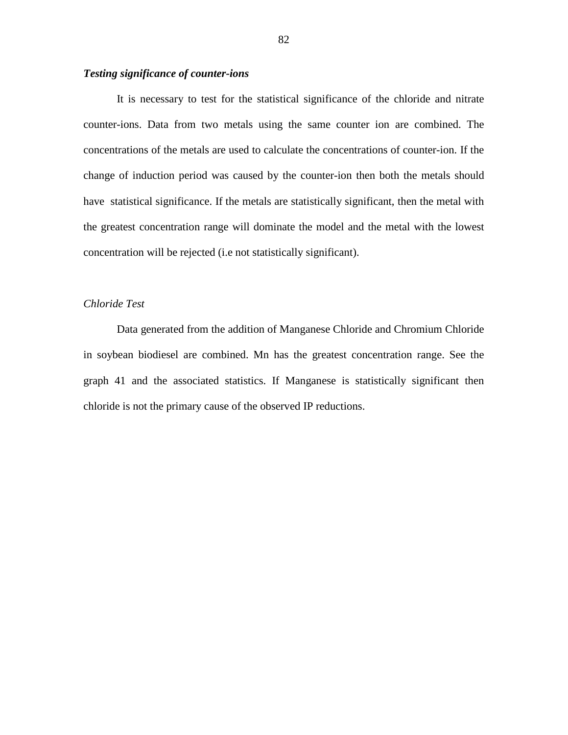### *Testing significance of counter-ions*

 It is necessary to test for the statistical significance of the chloride and nitrate counter-ions. Data from two metals using the same counter ion are combined. The concentrations of the metals are used to calculate the concentrations of counter-ion. If the change of induction period was caused by the counter-ion then both the metals should have statistical significance. If the metals are statistically significant, then the metal with the greatest concentration range will dominate the model and the metal with the lowest concentration will be rejected (i.e not statistically significant).

## *Chloride Test*

 Data generated from the addition of Manganese Chloride and Chromium Chloride in soybean biodiesel are combined. Mn has the greatest concentration range. See the graph 41 and the associated statistics. If Manganese is statistically significant then chloride is not the primary cause of the observed IP reductions.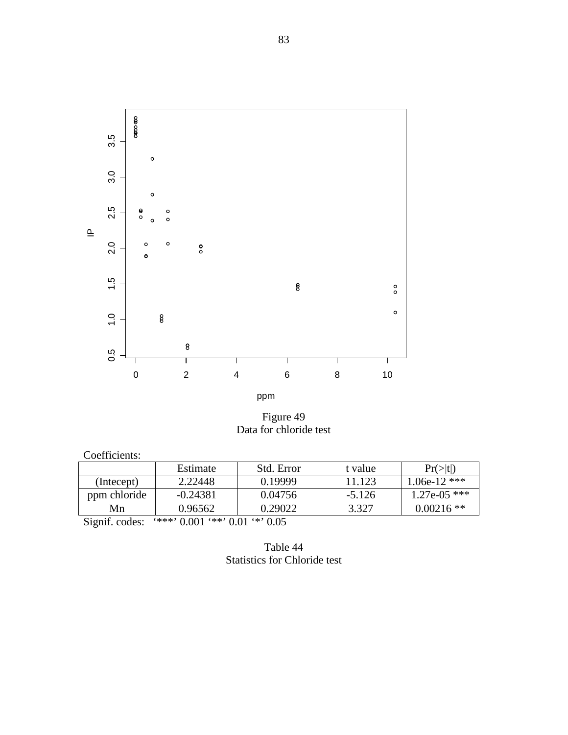

Figure 49 Data for chloride test

| Estimate   | Std. Error | t value  | $Pr(>\vert t \vert)$ |
|------------|------------|----------|----------------------|
| 2.22448    | 0.19999    | 11.123   | 1.06e-12 ***         |
| $-0.24381$ | 0.04756    | $-5.126$ | $1.27e-05$ ***       |
| 0.96562    | 0.29022    | 3.327    | $0.00216$ **         |
|            |            |          |                      |

Signif. codes: '\*\*\*' 0.001 '\*\*' 0.01 '\*' 0.05

Table 44 Statistics for Chloride test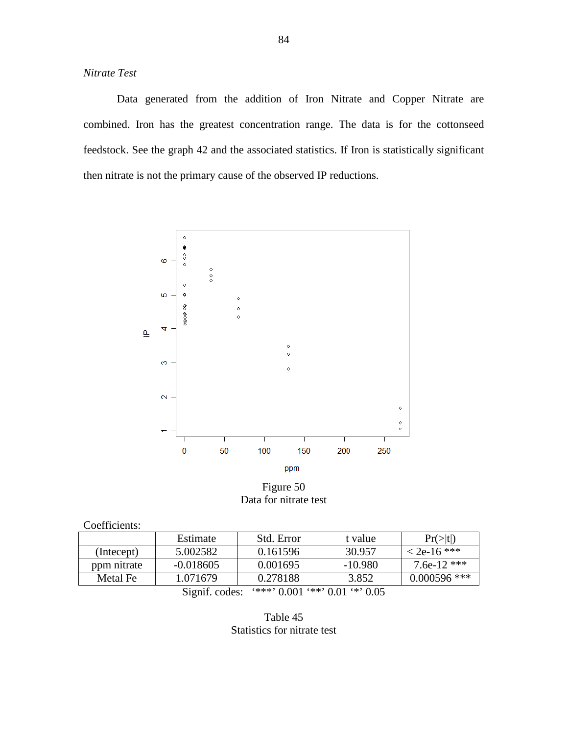*Nitrate Test*

 Data generated from the addition of Iron Nitrate and Copper Nitrate are combined. Iron has the greatest concentration range. The data is for the cottonseed feedstock. See the graph 42 and the associated statistics. If Iron is statistically significant then nitrate is not the primary cause of the observed IP reductions.



Figure 50 Data for nitrate test

| Coefficients:                                     |             |            |           |                |  |
|---------------------------------------------------|-------------|------------|-----------|----------------|--|
|                                                   | Estimate    | Std. Error | t value   | Pr(> t )       |  |
| (Intecept)                                        | 5.002582    | 0.161596   | 30.957    | $<$ 2e-16 ***  |  |
| ppm nitrate                                       | $-0.018605$ | 0.001695   | $-10.980$ | 7.6e-12 ***    |  |
| Metal Fe                                          | 1.071679    | 0.278188   | 3.852     | $0.000596$ *** |  |
| $***$ 0.001 $**$ 0.01 $**$ 0.05<br>Signif. codes: |             |            |           |                |  |

Table 45 Statistics for nitrate test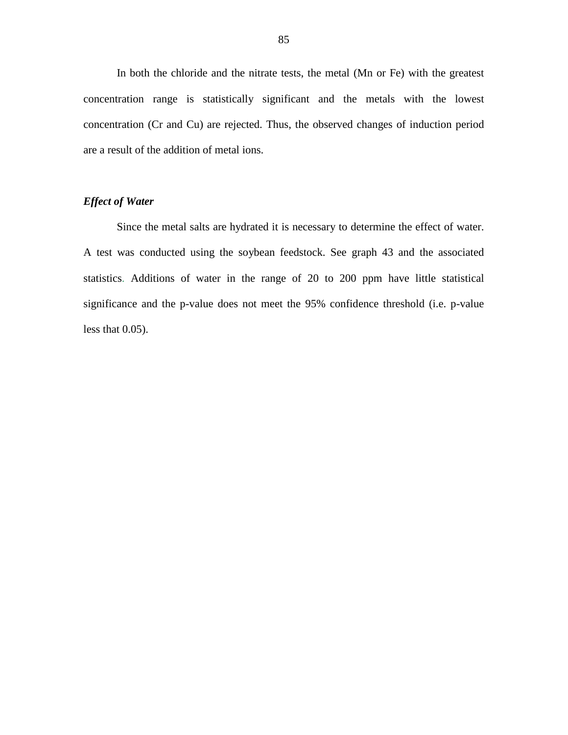In both the chloride and the nitrate tests, the metal (Mn or Fe) with the greatest concentration range is statistically significant and the metals with the lowest concentration (Cr and Cu) are rejected. Thus, the observed changes of induction period are a result of the addition of metal ions.

## *Effect of Water*

 Since the metal salts are hydrated it is necessary to determine the effect of water. A test was conducted using the soybean feedstock. See graph 43 and the associated statistics. Additions of water in the range of 20 to 200 ppm have little statistical significance and the p-value does not meet the 95% confidence threshold (i.e. p-value less that 0.05).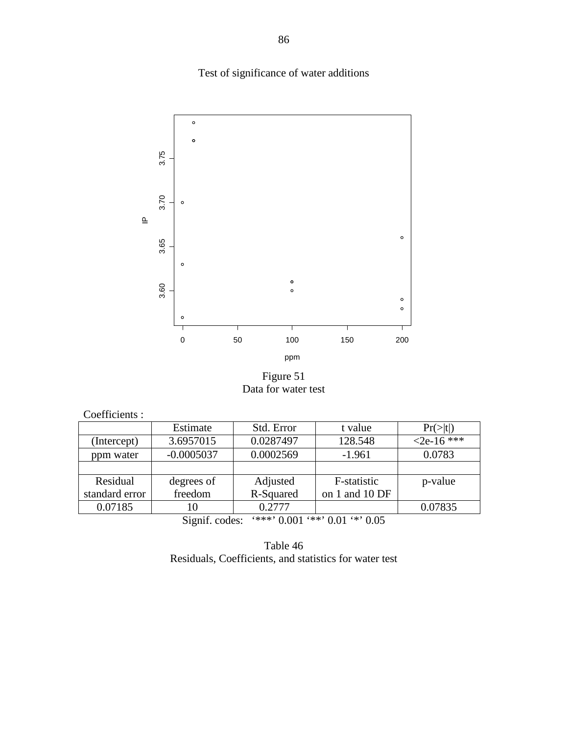Test of significance of water additions



Figure 51 Data for water test

|  | Coefficients: |  |
|--|---------------|--|
|--|---------------|--|

|                | Estimate                             | Std. Error | t value                                                              | $Pr(>\mid t )$ |
|----------------|--------------------------------------|------------|----------------------------------------------------------------------|----------------|
| (Intercept)    | 3.6957015                            | 0.0287497  | 128.548                                                              | $<2e-16$ ***   |
| ppm water      | $-0.0005037$                         | 0.0002569  | $-1.961$                                                             | 0.0783         |
|                |                                      |            |                                                                      |                |
| Residual       | degrees of                           | Adjusted   | F-statistic                                                          | p-value        |
| standard error | freedom                              | R-Squared  | on 1 and 10 DF                                                       |                |
| 0.07185        | 10                                   | 0.2777     |                                                                      | 0.07835        |
|                | $\cdot$ $\sim$<br>$\sim \cdot$<br>п. |            | $\alpha$ , and a communication of $\alpha$ and $\alpha$ and $\alpha$ |                |

Signif. codes: '\*\*\*' 0.001 '\*\*' 0.01 '\*' 0.05

Table 46 Residuals, Coefficients, and statistics for water test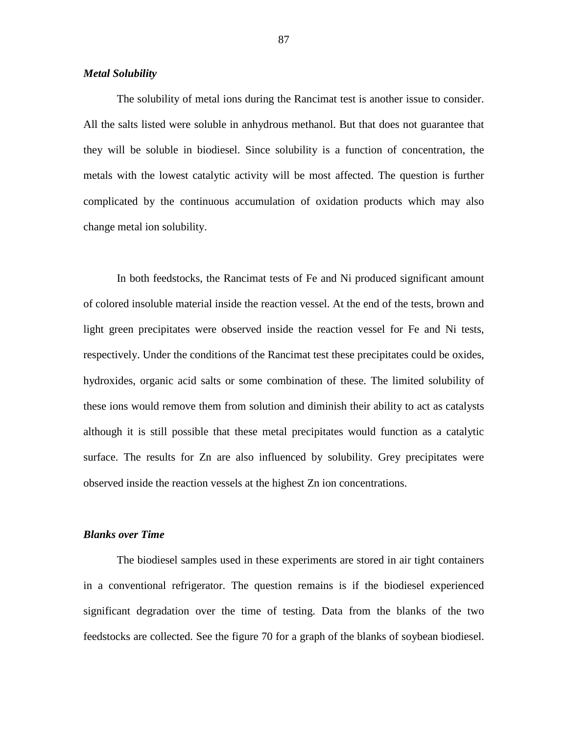#### *Metal Solubility*

 The solubility of metal ions during the Rancimat test is another issue to consider. All the salts listed were soluble in anhydrous methanol. But that does not guarantee that they will be soluble in biodiesel. Since solubility is a function of concentration, the metals with the lowest catalytic activity will be most affected. The question is further complicated by the continuous accumulation of oxidation products which may also change metal ion solubility.

 In both feedstocks, the Rancimat tests of Fe and Ni produced significant amount of colored insoluble material inside the reaction vessel. At the end of the tests, brown and light green precipitates were observed inside the reaction vessel for Fe and Ni tests, respectively. Under the conditions of the Rancimat test these precipitates could be oxides, hydroxides, organic acid salts or some combination of these. The limited solubility of these ions would remove them from solution and diminish their ability to act as catalysts although it is still possible that these metal precipitates would function as a catalytic surface. The results for Zn are also influenced by solubility. Grey precipitates were observed inside the reaction vessels at the highest Zn ion concentrations.

### *Blanks over Time*

 The biodiesel samples used in these experiments are stored in air tight containers in a conventional refrigerator. The question remains is if the biodiesel experienced significant degradation over the time of testing. Data from the blanks of the two feedstocks are collected. See the figure 70 for a graph of the blanks of soybean biodiesel.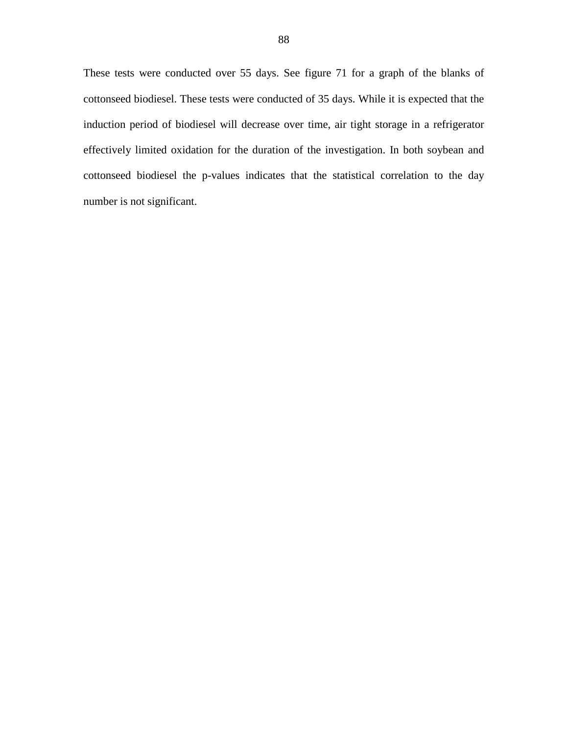These tests were conducted over 55 days. See figure 71 for a graph of the blanks of cottonseed biodiesel. These tests were conducted of 35 days. While it is expected that the induction period of biodiesel will decrease over time, air tight storage in a refrigerator effectively limited oxidation for the duration of the investigation. In both soybean and cottonseed biodiesel the p-values indicates that the statistical correlation to the day number is not significant.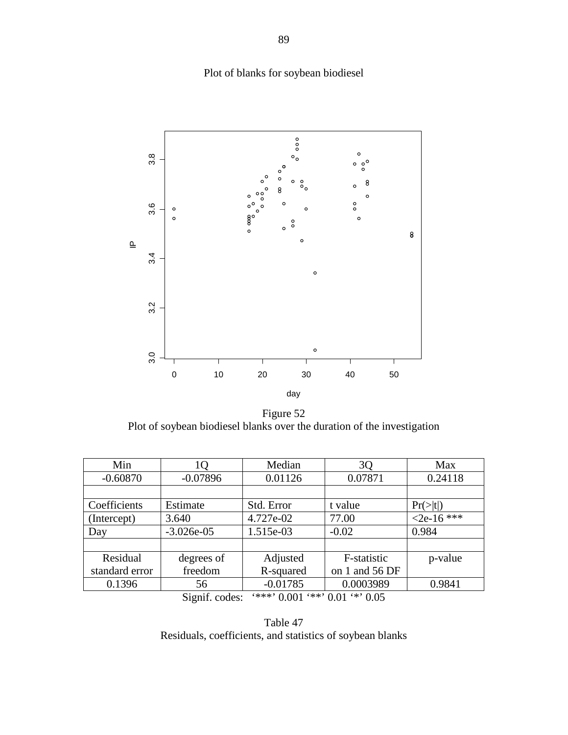# Plot of blanks for soybean biodiesel



Figure 52 Plot of soybean biodiesel blanks over the duration of the investigation

| Min            | lQ           | Median                                 | 3Q             | Max            |
|----------------|--------------|----------------------------------------|----------------|----------------|
| $-0.60870$     | $-0.07896$   | 0.01126                                | 0.07871        | 0.24118        |
|                |              |                                        |                |                |
| Coefficients   | Estimate     | Std. Error                             | t value        | $Pr(>\mid t )$ |
| (Intercept)    | 3.640        | 4.727e-02                              | 77.00          | $<$ 2e-16 ***  |
| Day            | $-3.026e-05$ | 1.515e-03                              | $-0.02$        | 0.984          |
|                |              |                                        |                |                |
| Residual       | degrees of   | Adjusted                               | F-statistic    | p-value        |
| standard error | freedom      | R-squared                              | on 1 and 56 DF |                |
| 0.1396         | 56           | $-0.01785$                             | 0.0003989      | 0.9841         |
|                |              | $***$ , 0.001 $***$ , 0.01 $**$ , 0.05 |                |                |

Signif. codes: '\*\*\*' 0.001 '\*\*' 0.01 '\*' 0.05

Table 47 Residuals, coefficients, and statistics of soybean blanks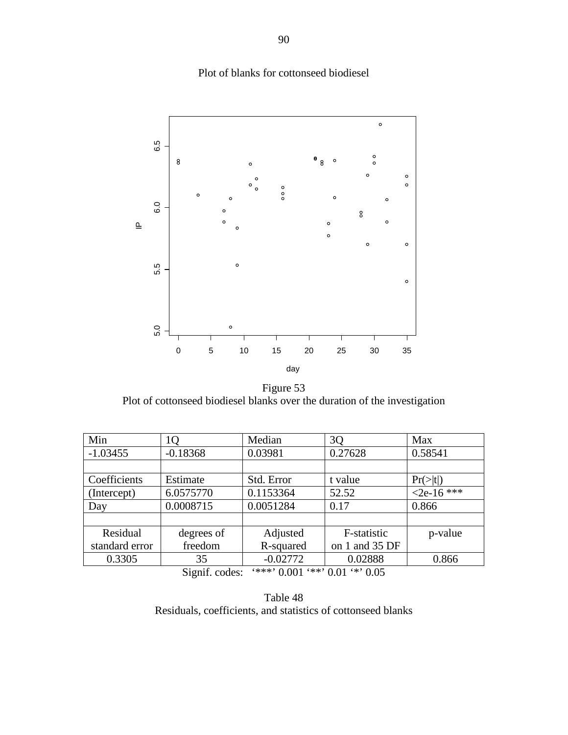# Plot of blanks for cottonseed biodiesel



Figure 53 Plot of cottonseed biodiesel blanks over the duration of the investigation

| Min                                            | 10         | Median     | 30             | Max            |  |
|------------------------------------------------|------------|------------|----------------|----------------|--|
| $-1.03455$                                     | $-0.18368$ | 0.03981    | 0.27628        | 0.58541        |  |
|                                                |            |            |                |                |  |
| Coefficients                                   | Estimate   | Std. Error | t value        | $Pr(>\mid t )$ |  |
| (Intercept)                                    | 6.0575770  | 0.1153364  | 52.52          | $2e-16$ ***    |  |
| Day                                            | 0.0008715  | 0.0051284  | 0.17           | 0.866          |  |
|                                                |            |            |                |                |  |
| Residual                                       | degrees of | Adjusted   | F-statistic    | p-value        |  |
| standard error                                 | freedom    | R-squared  | on 1 and 35 DF |                |  |
| 0.3305                                         | 35         | $-0.02772$ | 0.02888        | 0.866          |  |
| $***$ 0.001 *** 0.01 ** 0.05<br>Signif. codes: |            |            |                |                |  |

Table 48 Residuals, coefficients, and statistics of cottonseed blanks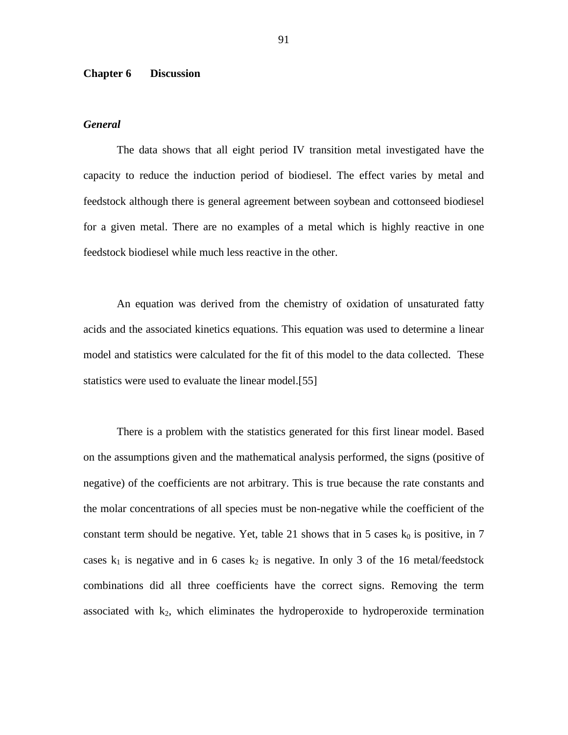### **Chapter 6 Discussion**

### *General*

 The data shows that all eight period IV transition metal investigated have the capacity to reduce the induction period of biodiesel. The effect varies by metal and feedstock although there is general agreement between soybean and cottonseed biodiesel for a given metal. There are no examples of a metal which is highly reactive in one feedstock biodiesel while much less reactive in the other.

 An equation was derived from the chemistry of oxidation of unsaturated fatty acids and the associated kinetics equations. This equation was used to determine a linear model and statistics were calculated for the fit of this model to the data collected. These statistics were used to evaluate the linear model.[55]

 There is a problem with the statistics generated for this first linear model. Based on the assumptions given and the mathematical analysis performed, the signs (positive of negative) of the coefficients are not arbitrary. This is true because the rate constants and the molar concentrations of all species must be non-negative while the coefficient of the constant term should be negative. Yet, table 21 shows that in 5 cases  $k_0$  is positive, in 7 cases  $k_1$  is negative and in 6 cases  $k_2$  is negative. In only 3 of the 16 metal/feedstock combinations did all three coefficients have the correct signs. Removing the term associated with  $k_2$ , which eliminates the hydroperoxide to hydroperoxide termination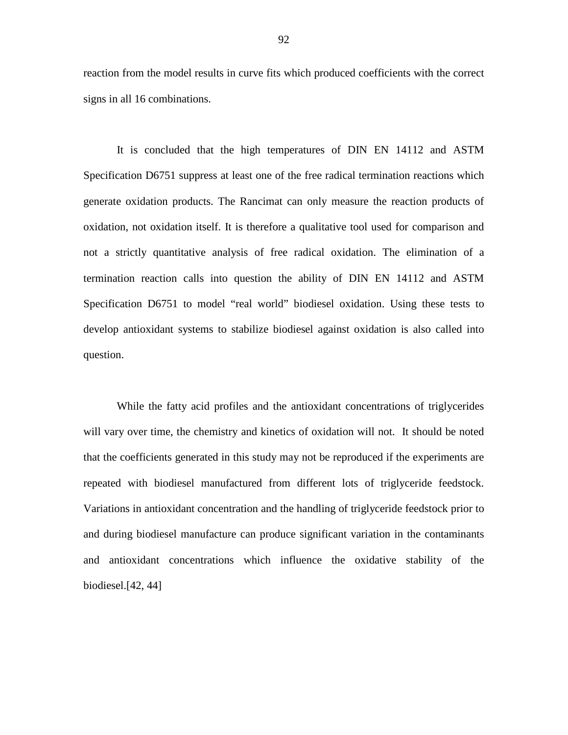reaction from the model results in curve fits which produced coefficients with the correct signs in all 16 combinations.

 It is concluded that the high temperatures of DIN EN 14112 and ASTM Specification D6751 suppress at least one of the free radical termination reactions which generate oxidation products. The Rancimat can only measure the reaction products of oxidation, not oxidation itself. It is therefore a qualitative tool used for comparison and not a strictly quantitative analysis of free radical oxidation. The elimination of a termination reaction calls into question the ability of DIN EN 14112 and ASTM Specification D6751 to model "real world" biodiesel oxidation. Using these tests to develop antioxidant systems to stabilize biodiesel against oxidation is also called into question.

 While the fatty acid profiles and the antioxidant concentrations of triglycerides will vary over time, the chemistry and kinetics of oxidation will not. It should be noted that the coefficients generated in this study may not be reproduced if the experiments are repeated with biodiesel manufactured from different lots of triglyceride feedstock. Variations in antioxidant concentration and the handling of triglyceride feedstock prior to and during biodiesel manufacture can produce significant variation in the contaminants and antioxidant concentrations which influence the oxidative stability of the biodiesel.[42, 44]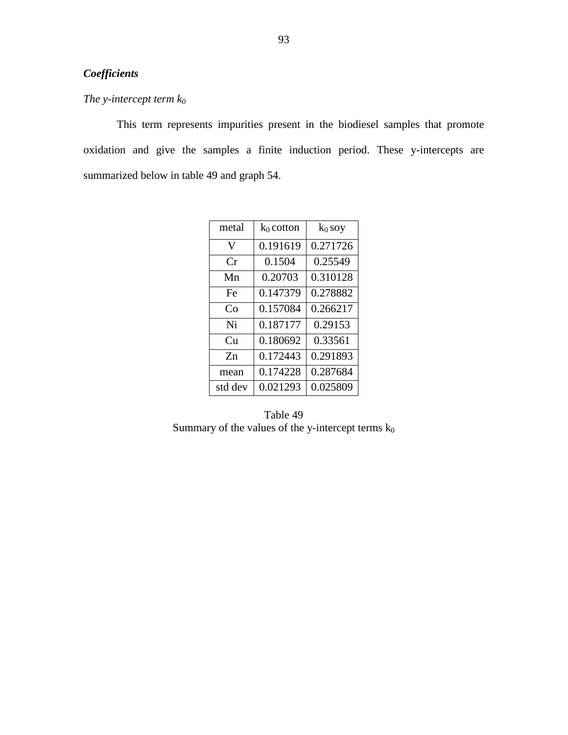# *Coefficients*

# *The y-intercept term k<sup>0</sup>*

 This term represents impurities present in the biodiesel samples that promote oxidation and give the samples a finite induction period. These y-intercepts are summarized below in table 49 and graph 54.

| metal   | $k_0$ cotton | $k_0$ soy |
|---------|--------------|-----------|
| V       | 0.191619     | 0.271726  |
| Cr      | 0.1504       | 0.25549   |
| Mn      | 0.20703      | 0.310128  |
| Fe      | 0.147379     | 0.278882  |
| Co      | 0.157084     | 0.266217  |
| Ni      | 0.187177     | 0.29153   |
| Cu      | 0.180692     | 0.33561   |
| $Z_{n}$ | 0.172443     | 0.291893  |
| mean    | 0.174228     | 0.287684  |
| std dev | 0.021293     | 0.025809  |

Table 49 Summary of the values of the y-intercept terms  $k_0$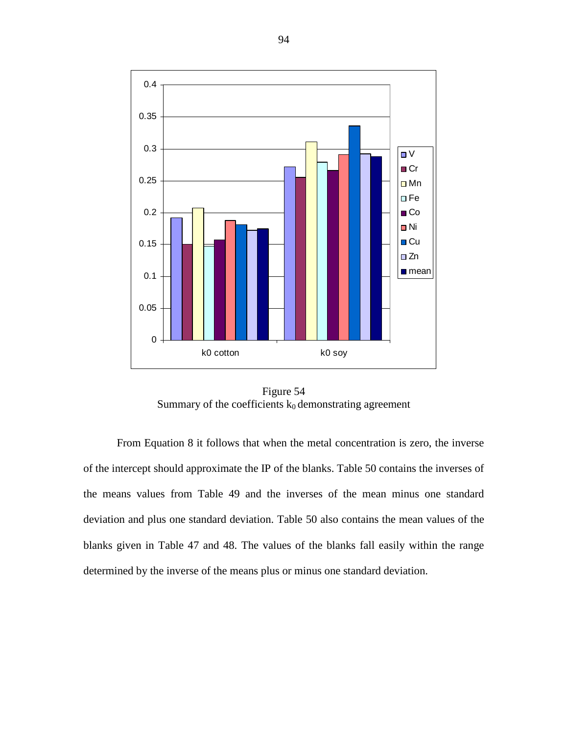

Figure 54 Summary of the coefficients  $k_0$  demonstrating agreement

 From Equation 8 it follows that when the metal concentration is zero, the inverse of the intercept should approximate the IP of the blanks. Table 50 contains the inverses of the means values from Table 49 and the inverses of the mean minus one standard deviation and plus one standard deviation. Table 50 also contains the mean values of the blanks given in Table 47 and 48. The values of the blanks fall easily within the range determined by the inverse of the means plus or minus one standard deviation.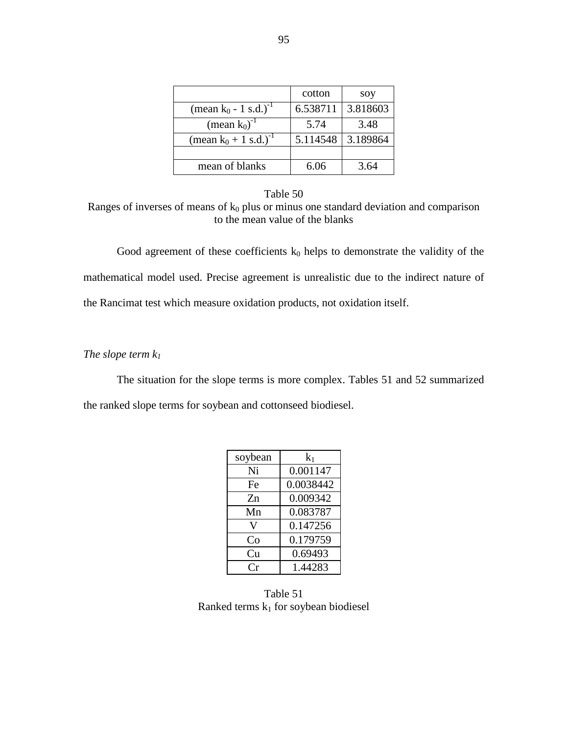|                                     | cotton   | soy      |
|-------------------------------------|----------|----------|
| (mean $k_0$ - 1 s.d.) <sup>-1</sup> | 6.538711 | 3.818603 |
| (mean $k_0$ ) <sup>-1</sup>         | 5.74     | 3.48     |
| (mean $k_0 + 1$ s.d.) <sup>-1</sup> | 5.114548 | 3.189864 |
|                                     |          |          |
| mean of blanks                      | 6.06     | 3.64     |

Table 50 Ranges of inverses of means of  $k_0$  plus or minus one standard deviation and comparison to the mean value of the blanks

Good agreement of these coefficients  $k_0$  helps to demonstrate the validity of the mathematical model used. Precise agreement is unrealistic due to the indirect nature of the Rancimat test which measure oxidation products, not oxidation itself.

*The slope term k<sup>1</sup>*

 The situation for the slope terms is more complex. Tables 51 and 52 summarized the ranked slope terms for soybean and cottonseed biodiesel.

| soybean | $k_1$     |  |
|---------|-----------|--|
| Ni      | 0.001147  |  |
| Fe      | 0.0038442 |  |
| Zn      | 0.009342  |  |
| Mn      | 0.083787  |  |
| V       | 0.147256  |  |
| Co      | 0.179759  |  |
| Cп      | 0.69493   |  |
|         | 1.44283   |  |

Table 51 Ranked terms  $k_1$  for soybean biodiesel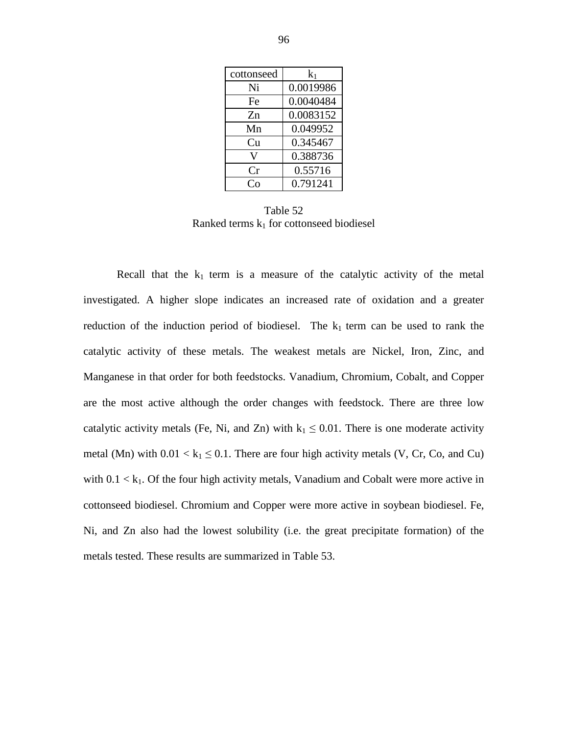| cottonseed | $\rm k_1$ |
|------------|-----------|
| Ni         | 0.0019986 |
| Fe         | 0.0040484 |
| Zn         | 0.0083152 |
| Mn         | 0.049952  |
| Cu         | 0.345467  |
| V          | 0.388736  |
| Cr         | 0.55716   |
| ∩∩         | 0.791241  |

Table 52 Ranked terms  $k_1$  for cottonseed biodiesel

Recall that the  $k_1$  term is a measure of the catalytic activity of the metal investigated. A higher slope indicates an increased rate of oxidation and a greater reduction of the induction period of biodiesel. The  $k_1$  term can be used to rank the catalytic activity of these metals. The weakest metals are Nickel, Iron, Zinc, and Manganese in that order for both feedstocks. Vanadium, Chromium, Cobalt, and Copper are the most active although the order changes with feedstock. There are three low catalytic activity metals (Fe, Ni, and Zn) with  $k_1 \le 0.01$ . There is one moderate activity metal (Mn) with  $0.01 < k_1 \leq 0.1$ . There are four high activity metals (V, Cr, Co, and Cu) with  $0.1 < k_1$ . Of the four high activity metals, Vanadium and Cobalt were more active in cottonseed biodiesel. Chromium and Copper were more active in soybean biodiesel. Fe, Ni, and Zn also had the lowest solubility (i.e. the great precipitate formation) of the metals tested. These results are summarized in Table 53.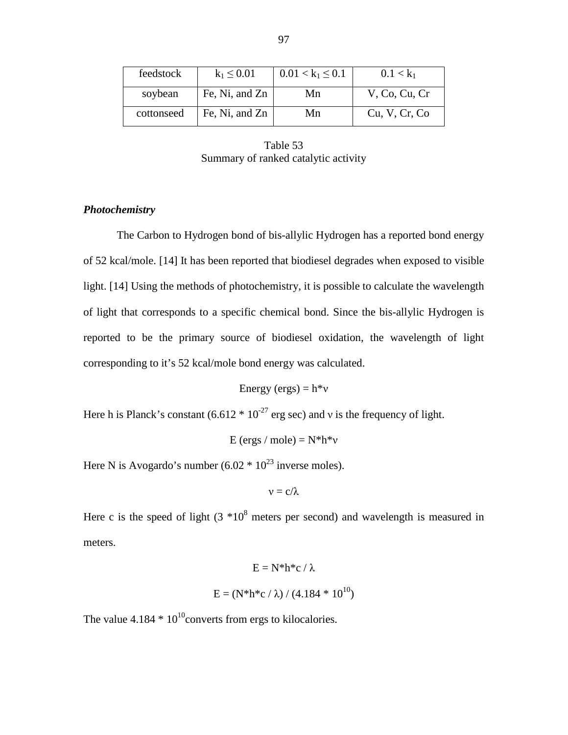| feedstock  | $k_1 \le 0.01$ | $0.01 < k_1 \leq 0.1$ | $0.1 < k_1$   |
|------------|----------------|-----------------------|---------------|
| soybean    | Fe, Ni, and Zn | Mn                    | V, Co, Cu, Cr |
| cottonseed | Fe, Ni, and Zn | Mn                    | Cu, V, Cr, Co |

Table 53 Summary of ranked catalytic activity

# *Photochemistry*

 The Carbon to Hydrogen bond of bis-allylic Hydrogen has a reported bond energy of 52 kcal/mole. [14] It has been reported that biodiesel degrades when exposed to visible light. [14] Using the methods of photochemistry, it is possible to calculate the wavelength of light that corresponds to a specific chemical bond. Since the bis-allylic Hydrogen is reported to be the primary source of biodiesel oxidation, the wavelength of light corresponding to it's 52 kcal/mole bond energy was calculated.

Energy (ergs) =  $h *v$ 

Here h is Planck's constant  $(6.612 * 10^{-27}$  erg sec) and v is the frequency of light.

E (ergs / mole) =  $N^*h^*v$ 

Here N is Avogardo's number  $(6.02 * 10<sup>23</sup>$  inverse moles).

$$
\nu=c/\lambda
$$

Here c is the speed of light  $(3 * 10^8$  meters per second) and wavelength is measured in meters.

$$
E = N^* h^* c / \lambda
$$
  

$$
E = (N^* h^* c / \lambda) / (4.184 * 10^{10})
$$

The value  $4.184 * 10^{10}$ converts from ergs to kilocalories.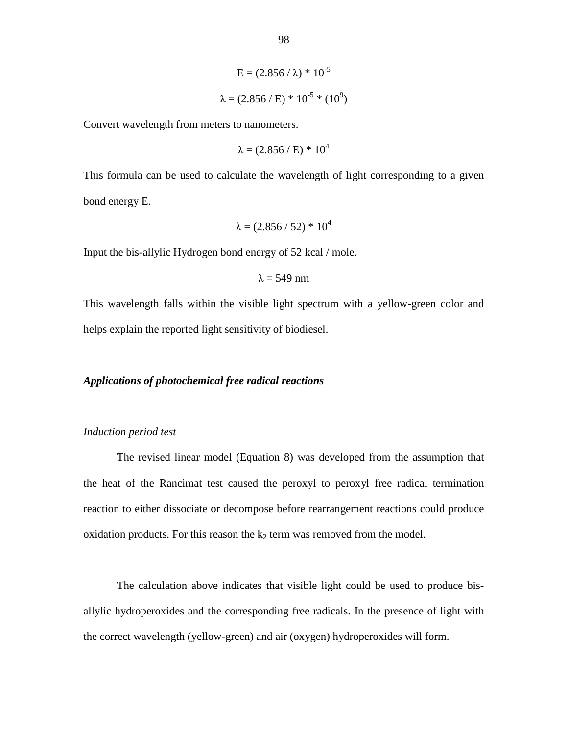$$
E = (2.856 / \lambda) * 10^{-5}
$$

$$
\lambda = (2.856 / E) * 10^{-5} * (10^{9})
$$

Convert wavelength from meters to nanometers.

$$
\lambda = (2.856 \, / \, \text{E}) \, * \, 10^4
$$

This formula can be used to calculate the wavelength of light corresponding to a given bond energy E.

$$
\lambda = (2.856 / 52) * 10^4
$$

Input the bis-allylic Hydrogen bond energy of 52 kcal / mole.

$$
\lambda = 549 \text{ nm}
$$

This wavelength falls within the visible light spectrum with a yellow-green color and helps explain the reported light sensitivity of biodiesel.

# *Applications of photochemical free radical reactions*

### *Induction period test*

 The revised linear model (Equation 8) was developed from the assumption that the heat of the Rancimat test caused the peroxyl to peroxyl free radical termination reaction to either dissociate or decompose before rearrangement reactions could produce oxidation products. For this reason the  $k_2$  term was removed from the model.

 The calculation above indicates that visible light could be used to produce bisallylic hydroperoxides and the corresponding free radicals. In the presence of light with the correct wavelength (yellow-green) and air (oxygen) hydroperoxides will form.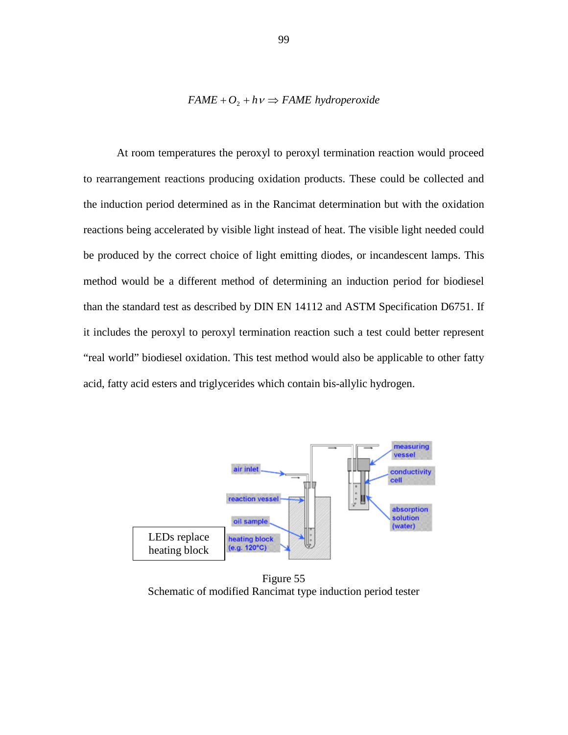### $FAME + O_2 + hv \Rightarrow FAME\ hypdroperoxide$

 At room temperatures the peroxyl to peroxyl termination reaction would proceed to rearrangement reactions producing oxidation products. These could be collected and the induction period determined as in the Rancimat determination but with the oxidation reactions being accelerated by visible light instead of heat. The visible light needed could be produced by the correct choice of light emitting diodes, or incandescent lamps. This method would be a different method of determining an induction period for biodiesel than the standard test as described by DIN EN 14112 and ASTM Specification D6751. If it includes the peroxyl to peroxyl termination reaction such a test could better represent "real world" biodiesel oxidation. This test method would also be applicable to other fatty acid, fatty acid esters and triglycerides which contain bis-allylic hydrogen.



Figure 55 Schematic of modified Rancimat type induction period tester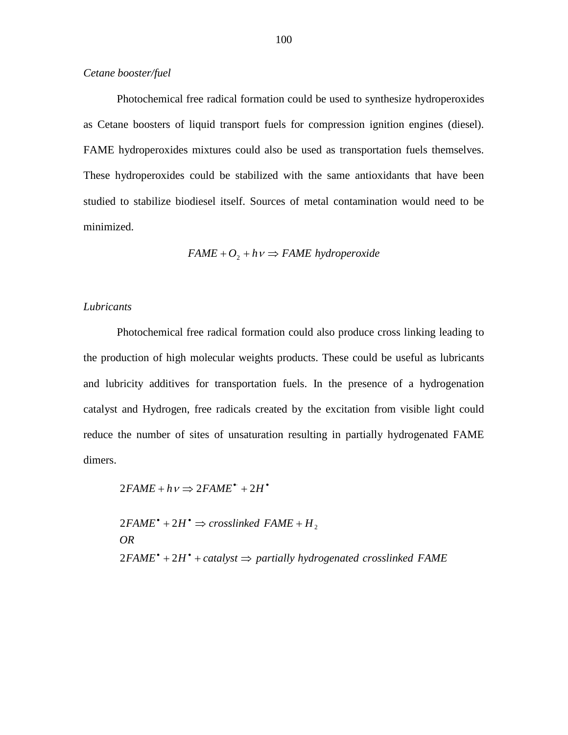# *Cetane booster/fuel*

 Photochemical free radical formation could be used to synthesize hydroperoxides as Cetane boosters of liquid transport fuels for compression ignition engines (diesel). FAME hydroperoxides mixtures could also be used as transportation fuels themselves. These hydroperoxides could be stabilized with the same antioxidants that have been studied to stabilize biodiesel itself. Sources of metal contamination would need to be minimized.

$$
FAME + O_2 + hv \Rightarrow FAME\ hydroperoxide
$$

## *Lubricants*

 Photochemical free radical formation could also produce cross linking leading to the production of high molecular weights products. These could be useful as lubricants and lubricity additives for transportation fuels. In the presence of a hydrogenation catalyst and Hydrogen, free radicals created by the excitation from visible light could reduce the number of sites of unsaturation resulting in partially hydrogenated FAME dimers.

$$
2FAME + h\nu \Rightarrow 2FAME^* + 2H^*
$$

 $2FAME^* + 2H^* + catalyst \Rightarrow$  partially hydrogenated crosslinked FAME *OR*  $2FAME^* + 2H^* \Rightarrow crosslinked$   $FAME + H_2$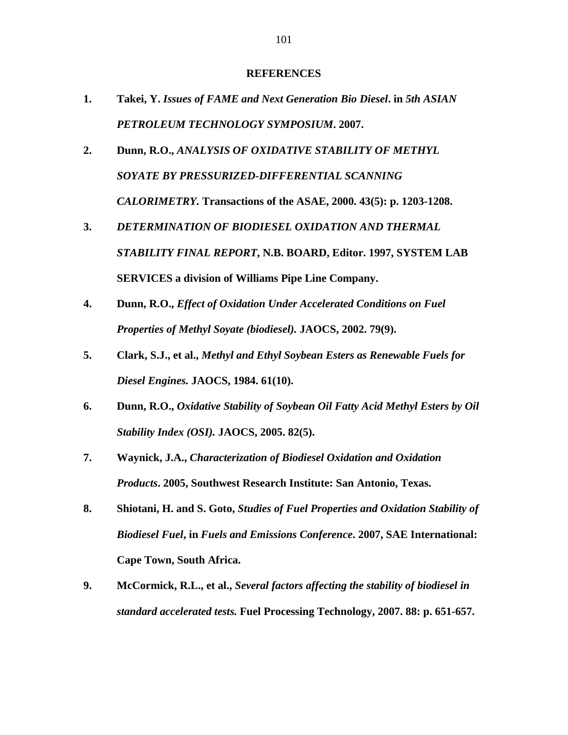#### **REFERENCES**

- **1. Takei, Y.** *Issues of FAME and Next Generation Bio Diesel***. in** *5th ASIAN PETROLEUM TECHNOLOGY SYMPOSIUM***. 2007.**
- **2. Dunn, R.O.,** *ANALYSIS OF OXIDATIVE STABILITY OF METHYL SOYATE BY PRESSURIZED-DIFFERENTIAL SCANNING CALORIMETRY.* **Transactions of the ASAE, 2000. 43(5): p. 1203-1208.**
- **3.** *DETERMINATION OF BIODIESEL OXIDATION AND THERMAL STABILITY FINAL REPORT***, N.B. BOARD, Editor. 1997, SYSTEM LAB SERVICES a division of Williams Pipe Line Company.**
- **4. Dunn, R.O.,** *Effect of Oxidation Under Accelerated Conditions on Fuel Properties of Methyl Soyate (biodiesel).* **JAOCS, 2002. 79(9).**
- **5. Clark, S.J., et al.,** *Methyl and Ethyl Soybean Esters as Renewable Fuels for Diesel Engines.* **JAOCS, 1984. 61(10).**
- **6. Dunn, R.O.,** *Oxidative Stability of Soybean Oil Fatty Acid Methyl Esters by Oil Stability Index (OSI).* **JAOCS, 2005. 82(5).**
- **7. Waynick, J.A.,** *Characterization of Biodiesel Oxidation and Oxidation Products***. 2005, Southwest Research Institute: San Antonio, Texas.**
- **8. Shiotani, H. and S. Goto,** *Studies of Fuel Properties and Oxidation Stability of Biodiesel Fuel***, in** *Fuels and Emissions Conference***. 2007, SAE International: Cape Town, South Africa.**
- **9. McCormick, R.L., et al.,** *Several factors affecting the stability of biodiesel in standard accelerated tests.* **Fuel Processing Technology, 2007. 88: p. 651-657.**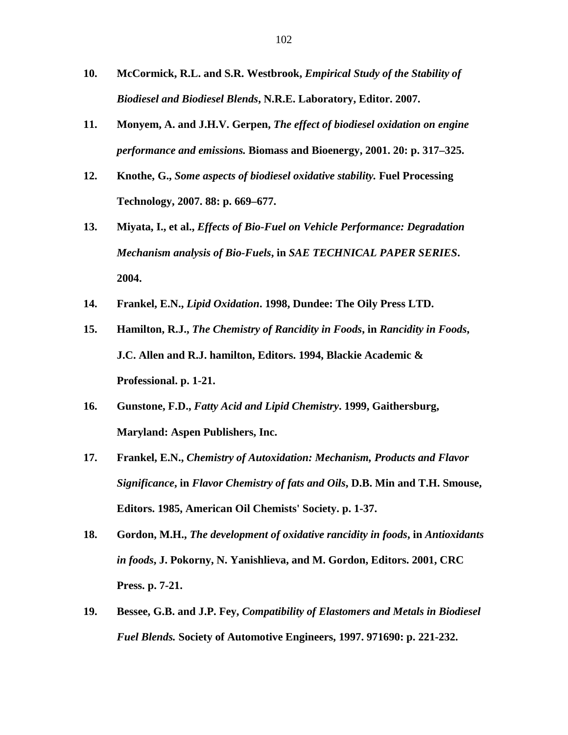- **10. McCormick, R.L. and S.R. Westbrook,** *Empirical Study of the Stability of Biodiesel and Biodiesel Blends***, N.R.E. Laboratory, Editor. 2007.**
- **11. Monyem, A. and J.H.V. Gerpen,** *The effect of biodiesel oxidation on engine performance and emissions.* **Biomass and Bioenergy, 2001. 20: p. 317–325.**
- **12. Knothe, G.,** *Some aspects of biodiesel oxidative stability.* **Fuel Processing Technology, 2007. 88: p. 669–677.**
- **13. Miyata, I., et al.,** *Effects of Bio-Fuel on Vehicle Performance: Degradation Mechanism analysis of Bio-Fuels***, in** *SAE TECHNICAL PAPER SERIES***. 2004.**
- **14. Frankel, E.N.,** *Lipid Oxidation***. 1998, Dundee: The Oily Press LTD.**
- **15. Hamilton, R.J.,** *The Chemistry of Rancidity in Foods***, in** *Rancidity in Foods***, J.C. Allen and R.J. hamilton, Editors. 1994, Blackie Academic & Professional. p. 1-21.**
- **16. Gunstone, F.D.,** *Fatty Acid and Lipid Chemistry***. 1999, Gaithersburg, Maryland: Aspen Publishers, Inc.**
- **17. Frankel, E.N.,** *Chemistry of Autoxidation: Mechanism, Products and Flavor Significance***, in** *Flavor Chemistry of fats and Oils***, D.B. Min and T.H. Smouse, Editors. 1985, American Oil Chemists' Society. p. 1-37.**
- **18. Gordon, M.H.,** *The development of oxidative rancidity in foods***, in** *Antioxidants in foods***, J. Pokorny, N. Yanishlieva, and M. Gordon, Editors. 2001, CRC Press. p. 7-21.**
- **19. Bessee, G.B. and J.P. Fey,** *Compatibility of Elastomers and Metals in Biodiesel Fuel Blends.* **Society of Automotive Engineers, 1997. 971690: p. 221-232.**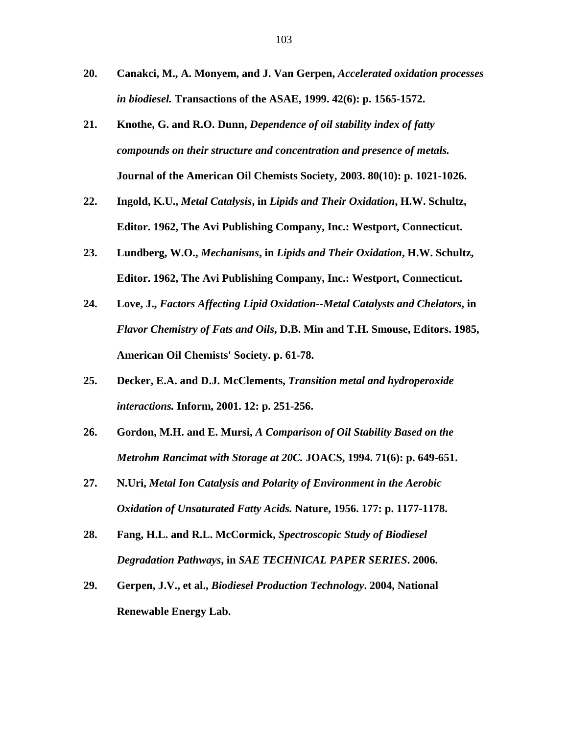- **20. Canakci, M., A. Monyem, and J. Van Gerpen,** *Accelerated oxidation processes in biodiesel.* **Transactions of the ASAE, 1999. 42(6): p. 1565-1572.**
- **21. Knothe, G. and R.O. Dunn,** *Dependence of oil stability index of fatty compounds on their structure and concentration and presence of metals.* **Journal of the American Oil Chemists Society, 2003. 80(10): p. 1021-1026.**
- **22. Ingold, K.U.,** *Metal Catalysis***, in** *Lipids and Their Oxidation***, H.W. Schultz, Editor. 1962, The Avi Publishing Company, Inc.: Westport, Connecticut.**
- **23. Lundberg, W.O.,** *Mechanisms***, in** *Lipids and Their Oxidation***, H.W. Schultz, Editor. 1962, The Avi Publishing Company, Inc.: Westport, Connecticut.**
- **24. Love, J.,** *Factors Affecting Lipid Oxidation--Metal Catalysts and Chelators***, in**  *Flavor Chemistry of Fats and Oils***, D.B. Min and T.H. Smouse, Editors. 1985, American Oil Chemists' Society. p. 61-78.**
- **25. Decker, E.A. and D.J. McClements,** *Transition metal and hydroperoxide interactions.* **Inform, 2001. 12: p. 251-256.**
- **26. Gordon, M.H. and E. Mursi,** *A Comparison of Oil Stability Based on the Metrohm Rancimat with Storage at 20C.* **JOACS, 1994. 71(6): p. 649-651.**
- **27. N.Uri,** *Metal Ion Catalysis and Polarity of Environment in the Aerobic Oxidation of Unsaturated Fatty Acids.* **Nature, 1956. 177: p. 1177-1178.**
- **28. Fang, H.L. and R.L. McCormick,** *Spectroscopic Study of Biodiesel Degradation Pathways***, in** *SAE TECHNICAL PAPER SERIES***. 2006.**
- **29. Gerpen, J.V., et al.,** *Biodiesel Production Technology***. 2004, National Renewable Energy Lab.**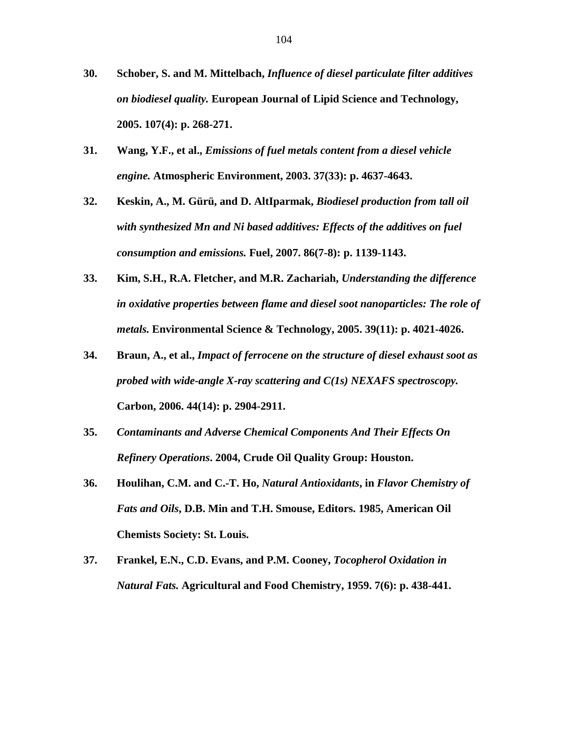- **30. Schober, S. and M. Mittelbach,** *Influence of diesel particulate filter additives on biodiesel quality.* **European Journal of Lipid Science and Technology, 2005. 107(4): p. 268-271.**
- **31. Wang, Y.F., et al.,** *Emissions of fuel metals content from a diesel vehicle engine.* **Atmospheric Environment, 2003. 37(33): p. 4637-4643.**
- **32. Keskin, A., M. Gürü, and D. AltIparmak,** *Biodiesel production from tall oil with synthesized Mn and Ni based additives: Effects of the additives on fuel consumption and emissions.* **Fuel, 2007. 86(7-8): p. 1139-1143.**
- **33. Kim, S.H., R.A. Fletcher, and M.R. Zachariah,** *Understanding the difference in oxidative properties between flame and diesel soot nanoparticles: The role of metals.* **Environmental Science & Technology, 2005. 39(11): p. 4021-4026.**
- **34. Braun, A., et al.,** *Impact of ferrocene on the structure of diesel exhaust soot as probed with wide-angle X-ray scattering and C(1s) NEXAFS spectroscopy.* **Carbon, 2006. 44(14): p. 2904-2911.**
- **35.** *Contaminants and Adverse Chemical Components And Their Effects On Refinery Operations***. 2004, Crude Oil Quality Group: Houston.**
- **36. Houlihan, C.M. and C.-T. Ho,** *Natural Antioxidants***, in** *Flavor Chemistry of Fats and Oils***, D.B. Min and T.H. Smouse, Editors. 1985, American Oil Chemists Society: St. Louis.**
- **37. Frankel, E.N., C.D. Evans, and P.M. Cooney,** *Tocopherol Oxidation in Natural Fats.* **Agricultural and Food Chemistry, 1959. 7(6): p. 438-441.**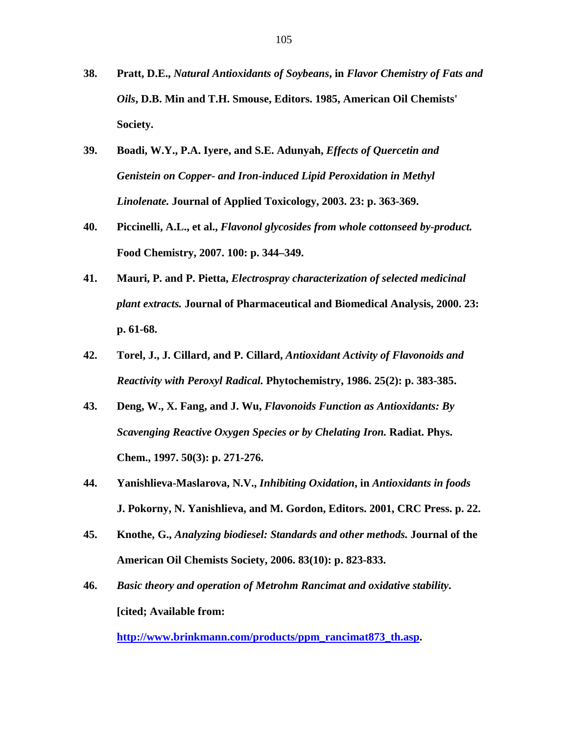- **38. Pratt, D.E.,** *Natural Antioxidants of Soybeans***, in** *Flavor Chemistry of Fats and Oils***, D.B. Min and T.H. Smouse, Editors. 1985, American Oil Chemists' Society.**
- **39. Boadi, W.Y., P.A. Iyere, and S.E. Adunyah,** *Effects of Quercetin and Genistein on Copper- and Iron-induced Lipid Peroxidation in Methyl Linolenate.* **Journal of Applied Toxicology, 2003. 23: p. 363-369.**
- **40. Piccinelli, A.L., et al.,** *Flavonol glycosides from whole cottonseed by-product.* **Food Chemistry, 2007. 100: p. 344–349.**
- **41. Mauri, P. and P. Pietta,** *Electrospray characterization of selected medicinal plant extracts.* **Journal of Pharmaceutical and Biomedical Analysis, 2000. 23: p. 61-68.**
- **42. Torel, J., J. Cillard, and P. Cillard,** *Antioxidant Activity of Flavonoids and Reactivity with Peroxyl Radical.* **Phytochemistry, 1986. 25(2): p. 383-385.**
- **43. Deng, W., X. Fang, and J. Wu,** *Flavonoids Function as Antioxidants: By Scavenging Reactive Oxygen Species or by Chelating Iron.* **Radiat. Phys. Chem., 1997. 50(3): p. 271-276.**
- **44. Yanishlieva-Maslarova, N.V.,** *Inhibiting Oxidation***, in** *Antioxidants in foods*   **J. Pokorny, N. Yanishlieva, and M. Gordon, Editors. 2001, CRC Press. p. 22.**
- **45. Knothe, G.,** *Analyzing biodiesel: Standards and other methods.* **Journal of the American Oil Chemists Society, 2006. 83(10): p. 823-833.**
- **46.** *Basic theory and operation of Metrohm Rancimat and oxidative stability***. [cited; Available from:**

**http://www.brinkmann.com/products/ppm\_rancimat873\_th.asp.**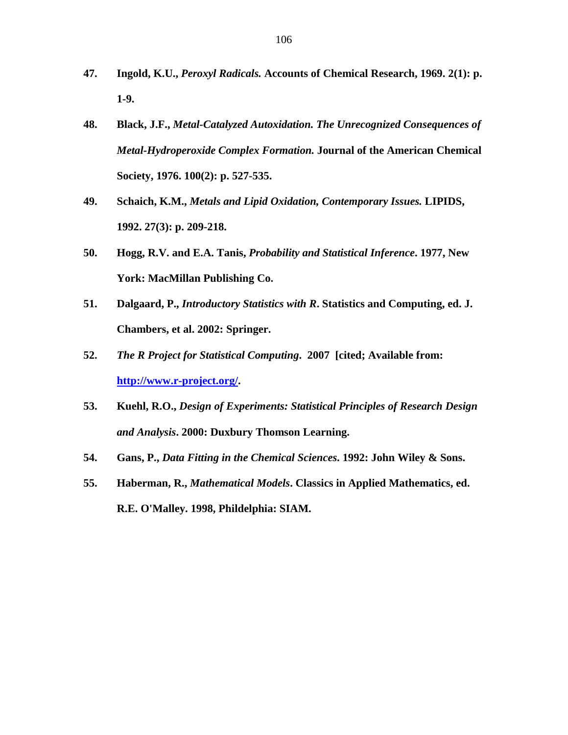- **47. Ingold, K.U.,** *Peroxyl Radicals.* **Accounts of Chemical Research, 1969. 2(1): p. 1-9.**
- **48. Black, J.F.,** *Metal-Catalyzed Autoxidation. The Unrecognized Consequences of Metal-Hydroperoxide Complex Formation.* **Journal of the American Chemical Society, 1976. 100(2): p. 527-535.**
- **49. Schaich, K.M.,** *Metals and Lipid Oxidation, Contemporary Issues.* **LIPIDS, 1992. 27(3): p. 209-218.**
- **50. Hogg, R.V. and E.A. Tanis,** *Probability and Statistical Inference***. 1977, New York: MacMillan Publishing Co.**
- **51. Dalgaard, P.,** *Introductory Statistics with R***. Statistics and Computing, ed. J. Chambers, et al. 2002: Springer.**
- **52.** *The R Project for Statistical Computing***. 2007 [cited; Available from: http://www.r-project.org/.**
- **53. Kuehl, R.O.,** *Design of Experiments: Statistical Principles of Research Design and Analysis***. 2000: Duxbury Thomson Learning.**
- **54. Gans, P.,** *Data Fitting in the Chemical Sciences***. 1992: John Wiley & Sons.**
- **55. Haberman, R.,** *Mathematical Models***. Classics in Applied Mathematics, ed. R.E. O'Malley. 1998, Phildelphia: SIAM.**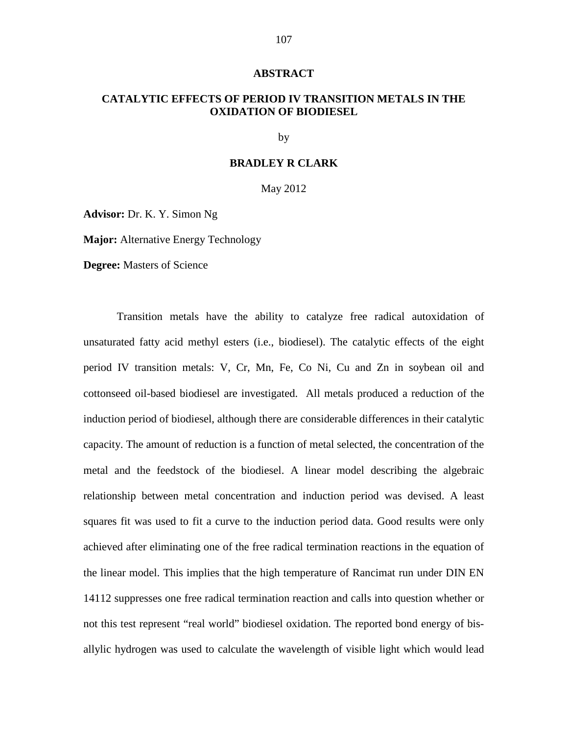#### **ABSTRACT**

# **CATALYTIC EFFECTS OF PERIOD IV TRANSITION METALS IN THE OXIDATION OF BIODIESEL**

by

# **BRADLEY R CLARK**

May 2012

**Advisor:** Dr. K. Y. Simon Ng

**Major:** Alternative Energy Technology

**Degree:** Masters of Science

 Transition metals have the ability to catalyze free radical autoxidation of unsaturated fatty acid methyl esters (i.e., biodiesel). The catalytic effects of the eight period IV transition metals: V, Cr, Mn, Fe, Co Ni, Cu and Zn in soybean oil and cottonseed oil-based biodiesel are investigated. All metals produced a reduction of the induction period of biodiesel, although there are considerable differences in their catalytic capacity. The amount of reduction is a function of metal selected, the concentration of the metal and the feedstock of the biodiesel. A linear model describing the algebraic relationship between metal concentration and induction period was devised. A least squares fit was used to fit a curve to the induction period data. Good results were only achieved after eliminating one of the free radical termination reactions in the equation of the linear model. This implies that the high temperature of Rancimat run under DIN EN 14112 suppresses one free radical termination reaction and calls into question whether or not this test represent "real world" biodiesel oxidation. The reported bond energy of bisallylic hydrogen was used to calculate the wavelength of visible light which would lead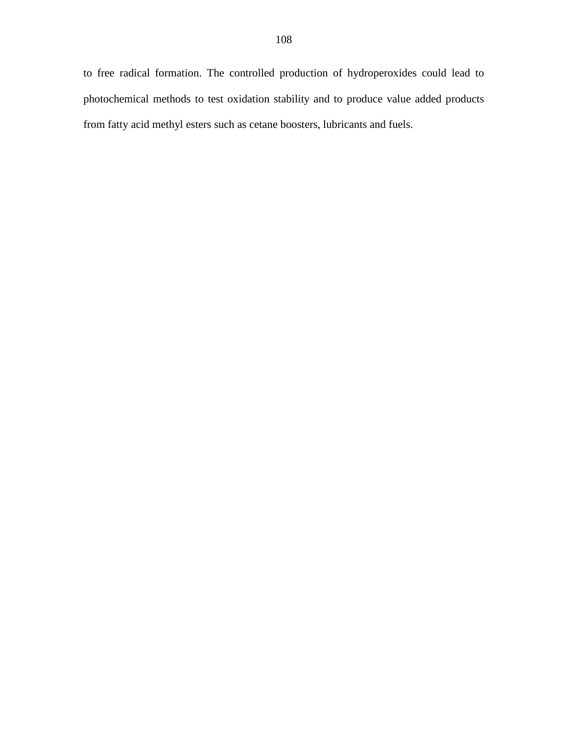to free radical formation. The controlled production of hydroperoxides could lead to photochemical methods to test oxidation stability and to produce value added products from fatty acid methyl esters such as cetane boosters, lubricants and fuels.